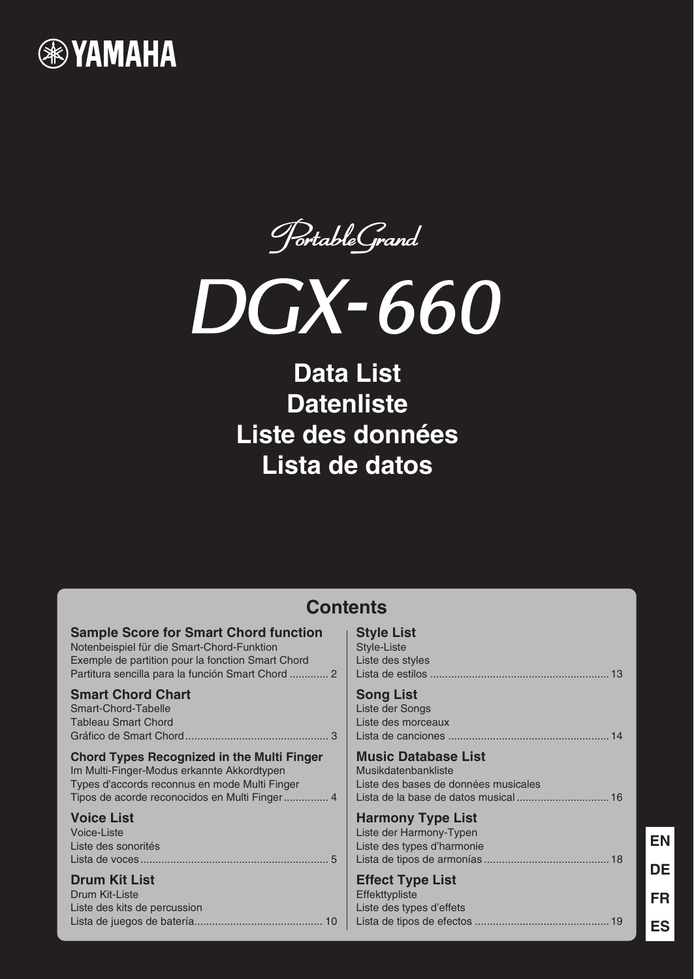

PortableGrand



# **Data List Datenliste Liste des données Lista de datos**

| <b>Contents</b>                                   |                                      |  |  |  |  |  |  |  |  |
|---------------------------------------------------|--------------------------------------|--|--|--|--|--|--|--|--|
| <b>Sample Score for Smart Chord function</b>      | <b>Style List</b>                    |  |  |  |  |  |  |  |  |
| Notenbeispiel für die Smart-Chord-Funktion        | Style-Liste                          |  |  |  |  |  |  |  |  |
| Exemple de partition pour la fonction Smart Chord | Liste des styles                     |  |  |  |  |  |  |  |  |
| Partitura sencilla para la función Smart Chord  2 |                                      |  |  |  |  |  |  |  |  |
| <b>Smart Chord Chart</b>                          | <b>Song List</b>                     |  |  |  |  |  |  |  |  |
| Smart-Chord-Tabelle                               | Liste der Songs                      |  |  |  |  |  |  |  |  |
| <b>Tableau Smart Chord</b>                        | Liste des morceaux                   |  |  |  |  |  |  |  |  |
|                                                   |                                      |  |  |  |  |  |  |  |  |
| <b>Chord Types Recognized in the Multi Finger</b> | <b>Music Database List</b>           |  |  |  |  |  |  |  |  |
| Im Multi-Finger-Modus erkannte Akkordtypen        | Musikdatenbankliste                  |  |  |  |  |  |  |  |  |
| Types d'accords reconnus en mode Multi Finger     | Liste des bases de données musicales |  |  |  |  |  |  |  |  |
|                                                   |                                      |  |  |  |  |  |  |  |  |
| <b>Voice List</b>                                 | <b>Harmony Type List</b>             |  |  |  |  |  |  |  |  |
| Voice-Liste                                       | Liste der Harmony-Typen              |  |  |  |  |  |  |  |  |
| Liste des sonorités                               | Liste des types d'harmonie           |  |  |  |  |  |  |  |  |
|                                                   |                                      |  |  |  |  |  |  |  |  |
| <b>Drum Kit List</b>                              | <b>Effect Type List</b>              |  |  |  |  |  |  |  |  |
| Drum Kit-Liste                                    | Effekttypliste                       |  |  |  |  |  |  |  |  |
| Liste des kits de percussion                      | Liste des types d'effets             |  |  |  |  |  |  |  |  |
|                                                   |                                      |  |  |  |  |  |  |  |  |

**FR**

**DE**

**EN**

**ES**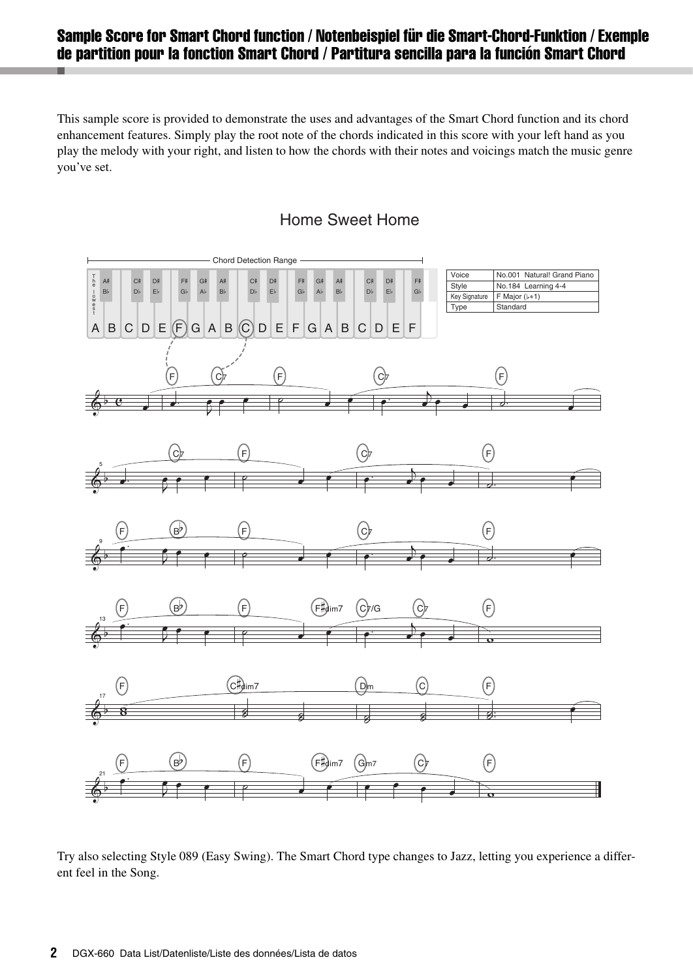### <span id="page-1-0"></span>Sample Score for Smart Chord function / Notenbeispiel für die Smart-Chord-Funktion / Exemple de partition pour la fonction Smart Chord / Partitura sencilla para la función Smart Chord

This sample score is provided to demonstrate the uses and advantages of the Smart Chord function and its chord enhancement features. Simply play the root note of the chords indicated in this score with your left hand as you play the melody with your right, and listen to how the chords with their notes and voicings match the music genre you've set.





Try also selecting Style 089 (Easy Swing). The Smart Chord type changes to Jazz, letting you experience a different feel in the Song.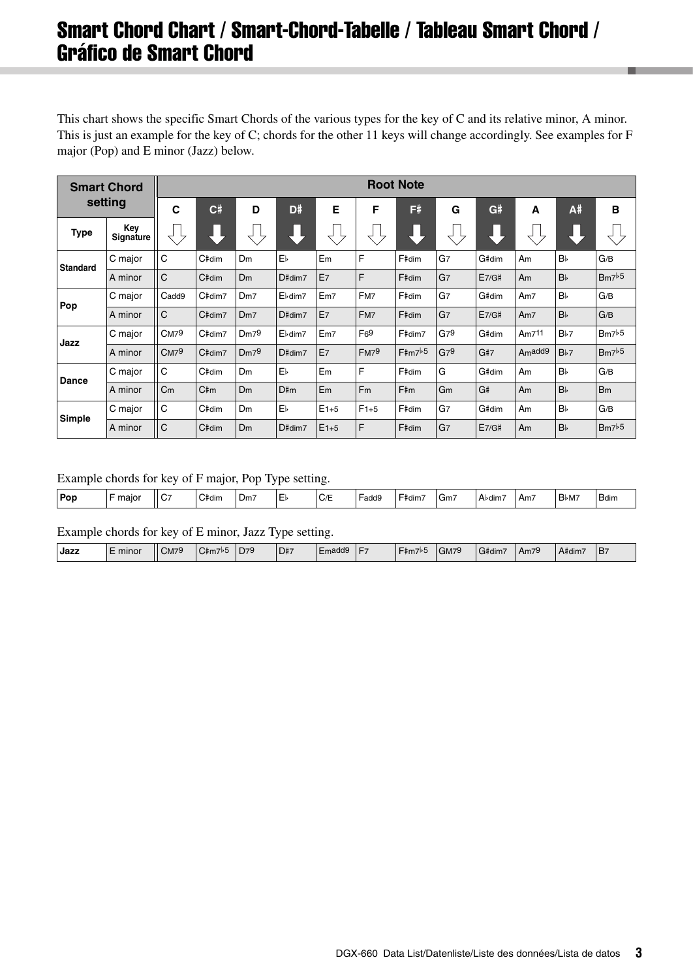## <span id="page-2-0"></span>Smart Chord Chart / Smart-Chord-Tabelle / Tableau Smart Chord / Gráfico de Smart Chord

This chart shows the specific Smart Chords of the various types for the key of C and its relative minor, A minor. This is just an example for the key of C; chords for the other 11 keys will change accordingly. See examples for F major (Pop) and E minor (Jazz) below.

| <b>Smart Chord</b> |                         | <b>Root Note</b> |        |                 |         |                |                |        |                 |       |                     |                 |                       |
|--------------------|-------------------------|------------------|--------|-----------------|---------|----------------|----------------|--------|-----------------|-------|---------------------|-----------------|-----------------------|
|                    | setting                 | C                | C#     | D               | D#      | E              | F              | F#     | G               | G#    | A                   | A#              | B                     |
| <b>Type</b>        | Key<br><b>Signature</b> |                  |        |                 |         |                |                |        |                 |       |                     |                 |                       |
| <b>Standard</b>    | C major                 | C                | C#dim  | Dm              | Еŀ      | Em             | F              | F#dim  | G7              | G#dim | Am                  | <b>B</b>        | G/B                   |
|                    | A minor                 | $\mathsf{C}$     | C#dim  | <b>Dm</b>       | D#dim7  | E <sub>7</sub> | F              | F#dim  | G <sub>7</sub>  | E7/G# | Am                  | B <sub>b</sub>  | Bm7b5                 |
| Pop                | C major                 | Cadd9            | C#dim7 | Dm <sub>7</sub> | El-dim7 | Em7            | FM7            | F#dim  | G7              | G#dim | Am7                 | B               | G/B                   |
|                    | A minor                 | $\mathsf{C}$     | C#dim7 | Dm <sub>7</sub> | D#dim7  | E <sub>7</sub> | FM7            | F#dim  | G <sub>7</sub>  | E7/G# | Am7                 | B <sub>b</sub>  | G/B                   |
| Jazz               | C major                 | CM79             | C#dim7 | Dm79            | El-dim7 | Em7            | F69            | F#dim7 | G79             | G#dim | Am711               | B <sub>b7</sub> | Bm7b5                 |
|                    | A minor                 | CM <sup>9</sup>  | C#dim7 | Dm79            | D#dim7  | E <sub>7</sub> | FM79           | F#m7b5 | G7 <sup>9</sup> | G#7   | A <sub>m</sub> add9 | B <sub>b7</sub> | Bm7b5                 |
| Dance              | C major                 | C                | C#dim  | <b>Dm</b>       | E       | Em             | F              | F#dim  | G               | G#dim | Am                  | <b>B</b>        | G/B                   |
|                    | A minor                 | C <sub>m</sub>   | C#m    | <b>Dm</b>       | D#m     | Em             | F <sub>m</sub> | F#m    | Gm              | G#    | Am                  | B <sub>b</sub>  | <b>B</b> <sub>m</sub> |
| Simple             | C major                 | C                | C#dim  | Dm              | EЬ      | $E1+5$         | $F1+5$         | F#dim  | G7              | G#dim | Am                  | B               | G/B                   |
|                    | A minor                 | $\mathsf{C}$     | C#dim  | <b>Dm</b>       | D#dim7  | $E1+5$         | F              | F#dim  | G7              | E7/G# | Am                  | B <sub>b</sub>  | Bm7b5                 |

#### Example chords for key of F major, Pop Type setting.

|            |       |               |       | -   | - -    |                        |            |         |              |         |      |                  |              |
|------------|-------|---------------|-------|-----|--------|------------------------|------------|---------|--------------|---------|------|------------------|--------------|
| <b>Por</b> | maior | $\sim$<br>107 | C#dim | Dm. | ┍<br>ᆮ | $\sim$ $\sim$<br>' C/E | .<br>⊢add9 | '−#dim, | Gm<br>$\sim$ | - A♭dim | 'Am. | B <sub>bM7</sub> | <b>B</b> dim |
|            |       |               |       |     |        |                        |            |         |              |         |      |                  |              |

Example chords for key of E minor, Jazz Type setting.

| Emadd9<br>D <sub>79</sub><br>$\sim$<br>D#7<br>A#dim7<br>F<br>$\sim$<br>I Jazz<br>CM79<br>GM7 <sup>9</sup><br><del>⊺ 4</del> m7™ب<br>B.<br>minor<br>⊢‡m7⊵≎<br>G#dim,<br>⊺Am7ե |
|------------------------------------------------------------------------------------------------------------------------------------------------------------------------------|
|------------------------------------------------------------------------------------------------------------------------------------------------------------------------------|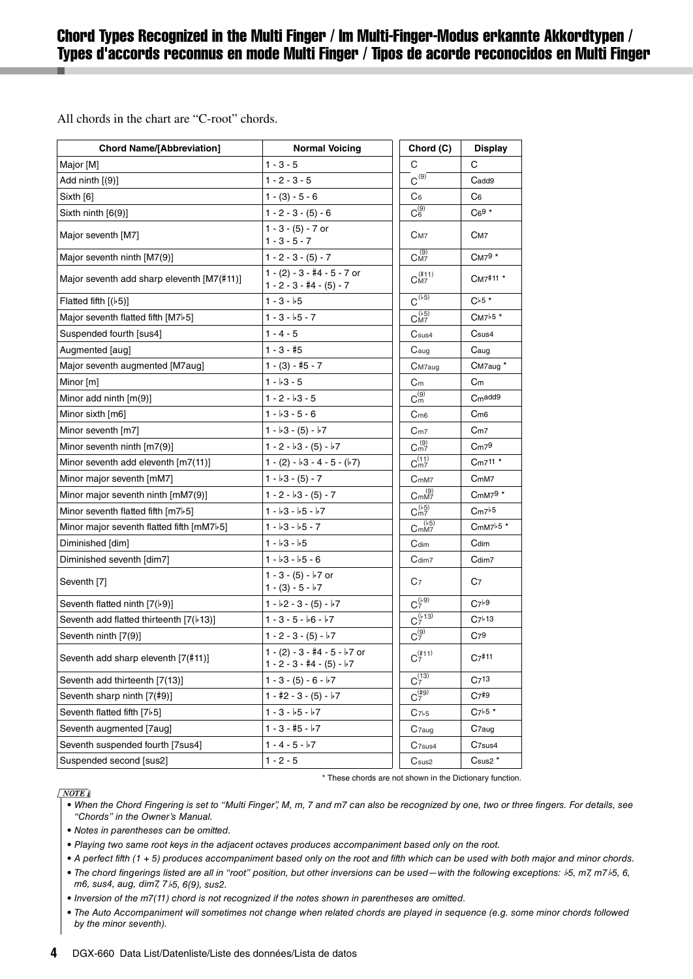### <span id="page-3-0"></span>Chord Types Recognized in the Multi Finger / Im Multi-Finger-Modus erkannte Akkordtypen / Types d'accords reconnus en mode Multi Finger / Tipos de acorde reconocidos en Multi Finger

All chords in the chart are "C-root" chords.

| <b>Chord Name/[Abbreviation]</b>                | <b>Normal Voicing</b>                                         | Chord (C)                             | <b>Display</b>      |
|-------------------------------------------------|---------------------------------------------------------------|---------------------------------------|---------------------|
| Major [M]                                       | $1 - 3 - 5$                                                   | С                                     | C                   |
| Add ninth $(9)$ ]                               | $1 - 2 - 3 - 5$                                               | $C^{(9)}$                             | Cadd9               |
| Sixth [6]                                       | $1 - (3) - 5 - 6$                                             | C <sub>6</sub>                        | C <sub>6</sub>      |
| Sixth ninth [6(9)]                              | $1 - 2 - 3 - (5) - 6$                                         | $C_6^{(9)}$                           | $C69*$              |
| Major seventh [M7]                              | $1 - 3 - (5) - 7$ or<br>$1 - 3 - 5 - 7$                       | C <sub>M7</sub>                       | C <sub>M</sub> 7    |
| Major seventh ninth [M7(9)]                     | $1 - 2 - 3 - (5) - 7$                                         | CM7                                   | CM79 *              |
| Major seventh add sharp eleventh [M7(#11)]      | $1 - (2) - 3 - 4 - 5 - 7$ or<br>$1 - 2 - 3 - 4 - (5) - 7$     | $C_{\rm M7}^{(\ddag 11)}$             | CM7#11 *            |
| Flatted fifth $(65)$ ]                          | $1 - 3 - 5$                                                   | $C^{(5)}$                             | $C_{55}$ *          |
| Major seventh flatted fifth [M7 <sup>b</sup> 5] | $1 - 3 - 5 - 7$                                               | $C_{\text{M7}}^{(\flat\overline{5})}$ | CM7b5 *             |
| Suspended fourth [sus4]                         | $1 - 4 - 5$                                                   | C <sub>sus4</sub>                     | Csus4               |
| Augmented [aug]                                 | $1 - 3 - 15$                                                  | C <sub>aug</sub>                      | Caug                |
| Major seventh augmented [M7aug]                 | $1 - (3) - 15 - 7$                                            | C <sub>M7</sub> aug                   | CM7aug <sup>*</sup> |
| Minor [m]                                       | $1 - b3 - 5$                                                  | C <sub>m</sub>                        | C <sub>m</sub>      |
| Minor add ninth $[m(9)]$                        | $1 - 2 - 3 - 5$                                               | $C_m^{(9)}$                           | C <sub>m</sub> add9 |
| Minor sixth [m6]                                | $1 - 3 - 5 - 6$                                               | C <sub>m6</sub>                       | C <sub>m6</sub>     |
| Minor seventh [m7]                              | $1 - b3 - (5) - b7$                                           | C <sub>m7</sub>                       | Cm7                 |
| Minor seventh ninth [m7(9)]                     | $1 - 2 - 3 - (5) - 7$                                         | $C_{m7}^{(9)}$                        | Cm <sub>79</sub>    |
| Minor seventh add eleventh [m7(11)]             | $1 - (2) - b3 - 4 - 5 - (b7)$                                 | $C_{m7}^{(11)}$                       | Cm711 *             |
| Minor major seventh [mM7]                       | $1 - b3 - (5) - 7$                                            | C <sub>mM7</sub>                      | C <sub>mM7</sub>    |
| Minor major seventh ninth [mM7(9)]              | $1 - 2 - 3 - (5) - 7$                                         | C <sub>mM7</sub> <sup>(9)</sup>       | CmM79 *             |
| Minor seventh flatted fifth [m7}5]              | $1 - b3 - b5 - b7$                                            | $C_{m7}^{(1.5)}$                      | Cm7b5               |
| Minor major seventh flatted fifth [mM7 $b$ 5]   | $1 - 3 - 5 - 7$                                               | C <sub>mM7</sub> <sup>(15)</sup>      | $CmM7b5*$           |
| Diminished [dim]                                | $1 - 3 - 5$                                                   | Cdim                                  | Cdim                |
| Diminished seventh [dim7]                       | $1 - 3 - 5 - 6$                                               | Cdim7                                 | Cdim7               |
| Seventh [7]                                     | $1 - 3 - (5) - 7$ or<br>1 - (3) - 5 - $\flat$ 7               | C7                                    | C <sub>7</sub>      |
| Seventh flatted ninth $[7(b9)]$                 | $1 - b2 - 3 - (5) - b7$                                       | $C_7^{(1)}$                           | $C7^{b9}$           |
| Seventh add flatted thirteenth [7(b13)]         | $1 - 3 - 5 - 6 - 7$                                           | $C_7^{(b\,13)}$                       | $C7^{b}13$          |
| Seventh ninth [7(9)]                            | $1 - 2 - 3 - (5) - 7$                                         | $C_7^{(9)}$                           | C <sub>79</sub>     |
| Seventh add sharp eleventh [7(#11)]             | $1 - (2) - 3 - 4 + 5 - 5 - 7$ or<br>$1 - 2 - 3 - 4 - (5) - 7$ | $C_7^{(\#11)}$                        | $C_{7}$ #11         |
| Seventh add thirteenth [7(13)]                  | $1 - 3 - (5) - 6 - 7$                                         | $C_7^{(13)}$                          | C <sub>7</sub> 13   |
| Seventh sharp ninth [7(#9)]                     | 1 - #2 - 3 - (5) - $\nvdash 7$                                | $C_7^{(\#9)}$                         | $C7*9$              |
| Seventh flatted fifth [7 $b$ 5]                 | $1 - 3 - 5 - 7$                                               | C <sub>7b5</sub>                      | $C7^{b}5*$          |
| Seventh augmented [7aug]                        | $1 - 3 - 15 - 7$                                              | C <sub>7aug</sub>                     | C <sub>7</sub> aug  |
| Seventh suspended fourth [7sus4]                | $1 - 4 - 5 - b7$                                              | C <sub>7sus4</sub>                    | C <sub>7sus4</sub>  |
| Suspended second [sus2]                         | $1 - 2 - 5$                                                   | C <sub>sus2</sub>                     | Csus <sub>2</sub> * |

#### $\sqrt{NOTE}$

\* These chords are not shown in the Dictionary function.

- When the Chord Fingering is set to "Multi Finger", M, m, 7 and m7 can also be recognized by one, two or three fingers. For details, see "Chords" in the Owner's Manual.
- Notes in parentheses can be omitted.
- Playing two same root keys in the adjacent octaves produces accompaniment based only on the root.
- A perfect fifth (1 + 5) produces accompaniment based only on the root and fifth which can be used with both major and minor chords.
- The chord fingerings listed are all in "root" position, but other inversions can be used—with the following exceptions:  $b$ 5, m7, m7 $b$ 5, 6, m6, sus4, aug, dim7, 7b5, 6(9), sus2.
- Inversion of the m7(11) chord is not recognized if the notes shown in parentheses are omitted.
- The Auto Accompaniment will sometimes not change when related chords are played in sequence (e.g. some minor chords followed by the minor seventh).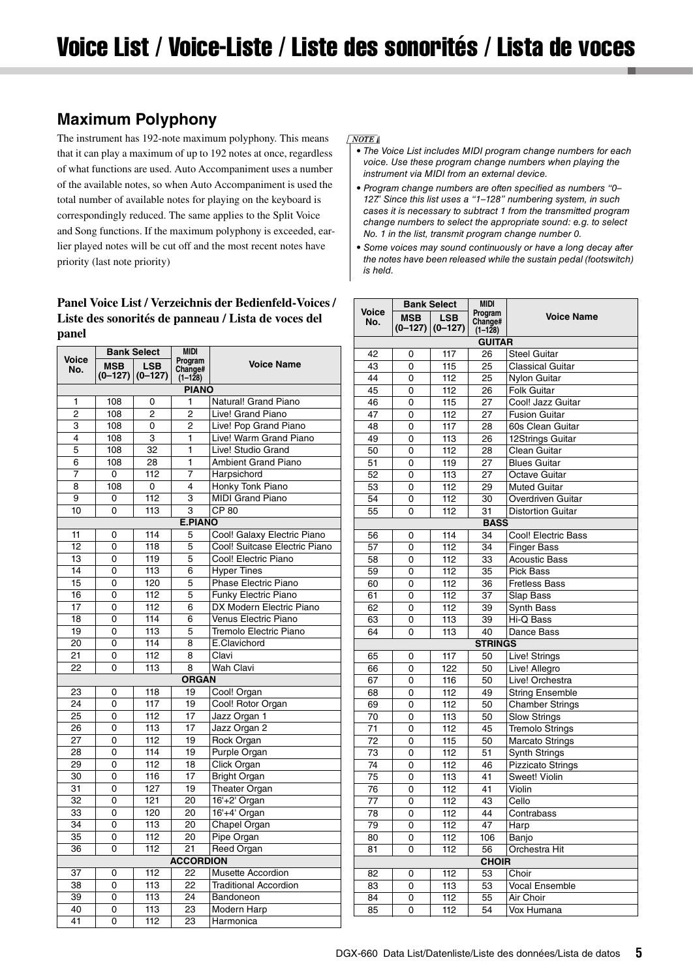### <span id="page-4-0"></span>**Maximum Polyphony**

The instrument has 192-note maximum polyphony. This means that it can play a maximum of up to 192 notes at once, regardless of what functions are used. Auto Accompaniment uses a number of the available notes, so when Auto Accompaniment is used the total number of available notes for playing on the keyboard is correspondingly reduced. The same applies to the Split Voice and Song functions. If the maximum polyphony is exceeded, earlier played notes will be cut off and the most recent notes have priority (last note priority)

#### **Panel Voice List / Verzeichnis der Bedienfeld-Voices / Liste des sonorités de panneau / Lista de voces del panel**

|                |                         | <b>Bank Select</b>      | <b>MIDI</b>                       |                               |
|----------------|-------------------------|-------------------------|-----------------------------------|-------------------------------|
| Voice<br>No.   | <b>MSB</b><br>$(0-127)$ | <b>LSB</b><br>$(0-127)$ | Program<br>Change#<br>$(1 - 128)$ | <b>Voice Name</b>             |
|                |                         |                         | <b>PIANO</b>                      |                               |
| 1              | 108                     | 0                       | 1                                 | Natural! Grand Piano          |
| $\overline{c}$ | 108                     | $\overline{2}$          | $\overline{2}$                    | Live! Grand Piano             |
| 3              | 108                     | 0                       | 2                                 | Live! Pop Grand Piano         |
| $\overline{4}$ | 108                     | 3                       | 1                                 | Live! Warm Grand Piano        |
| 5              | 108                     | 32                      | 1                                 | Live! Studio Grand            |
| 6              | 108                     | 28                      | 1                                 | <b>Ambient Grand Piano</b>    |
| 7              | 0                       | 112                     | 7                                 | Harpsichord                   |
| 8              | 108                     | 0                       | 4                                 | Honky Tonk Piano              |
| 9              | 0                       | 112                     | 3                                 | <b>MIDI Grand Piano</b>       |
| 10             | 0                       | 113                     | 3                                 | $CP$ 80                       |
|                |                         |                         | <b>E.PIANO</b>                    |                               |
| 11             | 0                       | 114                     | 5                                 | Cool! Galaxy Electric Piano   |
| 12             | $\Omega$                | 118                     | 5                                 | Cool! Suitcase Electric Piano |
| 13             | 0                       | 119                     | 5                                 | Cool! Electric Piano          |
| 14             | $\Omega$                | 113                     | 6                                 | <b>Hyper Tines</b>            |
| 15             | $\Omega$                | 120                     | 5                                 | Phase Electric Piano          |
| 16             | 0                       | 112                     | 5                                 | <b>Funky Electric Piano</b>   |
| 17             | 0                       | 112                     | 6                                 | DX Modern Electric Piano      |
| 18             | 0                       | 114                     | 6                                 | Venus Electric Piano          |
| 19             | 0                       | 113                     | 5                                 | Tremolo Electric Piano        |
| 20             | $\Omega$                | 114                     | 8                                 | E.Clavichord                  |
| 21             | $\Omega$                | 112                     | 8                                 | Clavi                         |
| 22             | 0                       | 113                     | 8                                 | <b>Wah Clavi</b>              |
|                |                         |                         | <b>ORGAN</b>                      |                               |
| 23             | 0                       | 118                     | 19                                | Cool! Organ                   |
| 24             | $\Omega$                | 117                     | 19                                | Cool! Rotor Organ             |
| 25             | 0                       | 112                     | 17                                | Jazz Organ 1                  |
| 26             | 0                       | 113                     | 17                                | Jazz Organ 2                  |
| 27             | $\Omega$                | 112                     | 19                                | <b>Rock Organ</b>             |
| 28             | 0                       | 114                     | 19                                | <b>Purple Organ</b>           |
| 29             | $\Omega$                | 112                     | 18                                | Click Organ                   |
| 30             | 0                       | 116                     | 17                                | <b>Bright Organ</b>           |
| 31             | 0                       | 127                     | 19                                | <b>Theater Organ</b>          |
| 32             | 0                       | 121                     | 20                                | 16'+2' Organ                  |
| 33             | $\Omega$                | 120                     | 20                                | 16'+4' Organ                  |
| 34             | 0                       | 113                     | 20                                | Chapel Organ                  |
| 35             | $\Omega$                | 112                     | 20                                | Pipe Organ                    |
| 36             | $\Omega$                | 112                     | 21                                | Reed Organ                    |
|                |                         |                         | <b>ACCORDION</b>                  |                               |
| 37             | 0                       | 112                     | 22                                | Musette Accordion             |
| 38             | 0                       | 113                     | 22                                | <b>Traditional Accordion</b>  |
| 39             | $\Omega$                | 113                     | 24                                | Bandoneon                     |
| 40             | 0                       | 113                     | 23                                | <b>Modern Harp</b>            |
| 41             | $\Omega$                | 112                     | 23                                | Harmonica                     |

#### $\sqrt{NOTE}$

- The Voice List includes MIDI program change numbers for each voice. Use these program change numbers when playing the instrument via MIDI from an external device.
- Program change numbers are often specified as numbers "0– 127<sup>"</sup> Since this list uses a "1-128" numbering system, in such cases it is necessary to subtract 1 from the transmitted program change numbers to select the appropriate sound: e.g. to select No. 1 in the list, transmit program change number 0.
- Some voices may sound continuously or have a long decay after the notes have been released while the sustain pedal (footswitch) is held.

|                 |                         | <b>Bank Select</b>      |                                   |                                                  |  |  |
|-----------------|-------------------------|-------------------------|-----------------------------------|--------------------------------------------------|--|--|
| Voice<br>No.    | <b>MSB</b><br>$(0-127)$ | <b>LSB</b><br>$(0-127)$ | Program<br>Change#<br>$(1 - 128)$ | <b>Voice Name</b>                                |  |  |
|                 |                         |                         | <b>GUITAR</b>                     |                                                  |  |  |
| 42              | 0                       | 117                     | 26                                | <b>Steel Guitar</b>                              |  |  |
| 43              | 0                       | 115                     | 25                                | <b>Classical Guitar</b>                          |  |  |
| 44              | 0                       | 112                     | 25                                | <b>Nylon Guitar</b>                              |  |  |
| 45              | $\overline{0}$          | 112                     | 26                                | <b>Folk Guitar</b>                               |  |  |
| 46              | 0                       | 115                     | 27                                | Cool! Jazz Guitar                                |  |  |
| 47              | 0                       | 112                     | 27                                | <b>Fusion Guitar</b>                             |  |  |
| 48              | 0                       | 117                     | 28                                | 60s Clean Guitar                                 |  |  |
| 49              | 0                       | 113                     | 26                                | 12Strings Guitar                                 |  |  |
| 50              | 0                       | 112                     | 28                                | Clean Guitar                                     |  |  |
| 51              | 0                       | 119                     | 27                                | <b>Blues Guitar</b>                              |  |  |
| 52              | 0                       | 113                     | 27                                | Octave Guitar                                    |  |  |
| $5\overline{3}$ | 0                       | 112                     | 29                                | <b>Muted Guitar</b>                              |  |  |
| 54              | 0                       | 112                     | 30                                | Overdriven Guitar                                |  |  |
| 55              | 0                       | 112                     | 31                                | <b>Distortion Guitar</b>                         |  |  |
|                 |                         |                         | <b>BASS</b>                       |                                                  |  |  |
| 56              | 0                       | 114                     | 34                                | Cool! Electric Bass                              |  |  |
| 57              | 0                       | 112                     | 34                                | <b>Finger Bass</b>                               |  |  |
| 58              | 0                       | 112                     | 33                                | <b>Acoustic Bass</b>                             |  |  |
| 59              | 0                       | 112                     | 35                                | <b>Pick Bass</b>                                 |  |  |
| 60              | 0                       | 112                     | 36                                | <b>Fretless Bass</b>                             |  |  |
| 61              | 0                       | 112                     | $3\overline{7}$                   | Slap Bass                                        |  |  |
| 62              | 0                       | 112                     | 39                                | Synth Bass                                       |  |  |
| 63              | 0                       | 113                     | 39                                | Hi-Q Bass                                        |  |  |
| 64              | $\overline{0}$          | 113                     | 40                                | Dance Bass                                       |  |  |
|                 |                         |                         | <b>STRINGS</b>                    |                                                  |  |  |
| 65              | 0                       | 117                     | 50                                | Live! Strings                                    |  |  |
| 66              | 0                       | 122                     | 50                                | Live! Allegro                                    |  |  |
| 67              | 0                       | 116                     | 50                                | Live! Orchestra                                  |  |  |
| 68              | 0                       | 112                     | 49                                | <b>String Ensemble</b>                           |  |  |
| 69<br>70        | 0                       | 112<br>113              | 50<br>50                          | <b>Chamber Strings</b>                           |  |  |
| 71              | 0                       | 112                     | 45                                | <b>Slow Strings</b>                              |  |  |
| 72              | 0<br>0                  | 115                     | 50                                | <b>Tremolo Strings</b>                           |  |  |
|                 |                         |                         |                                   | <b>Marcato Strings</b>                           |  |  |
| 73<br>74        | 0<br>0                  | 112<br>112              | 51<br>46                          | <b>Synth Strings</b><br><b>Pizzicato Strings</b> |  |  |
| 75              | 0                       | 113                     | 41                                | Sweet! Violin                                    |  |  |
| 76              | 0                       | 112                     | 41                                | Violin                                           |  |  |
| 77              | 0                       | 112                     | 43                                | Cello                                            |  |  |
| 78              | 0                       | 112                     | 44                                | Contrabass                                       |  |  |
| 79              | 0                       | 112                     | 47                                | Harp                                             |  |  |
| 80              | 0                       | 112                     | 106                               | Banjo                                            |  |  |
| 81              | 0                       | 112                     | 56                                | Orchestra Hit                                    |  |  |
|                 |                         |                         | <b>CHOIR</b>                      |                                                  |  |  |
| 82              | 0                       | 112                     | 53                                | Choir                                            |  |  |
| 83              | 0                       | 113                     | 53                                | <b>Vocal Ensemble</b>                            |  |  |
| 84              | 0                       | 112                     | 55                                | Air Choir                                        |  |  |
| 85              | 0                       | 112                     | 54                                | Vox Humana                                       |  |  |
|                 |                         |                         |                                   |                                                  |  |  |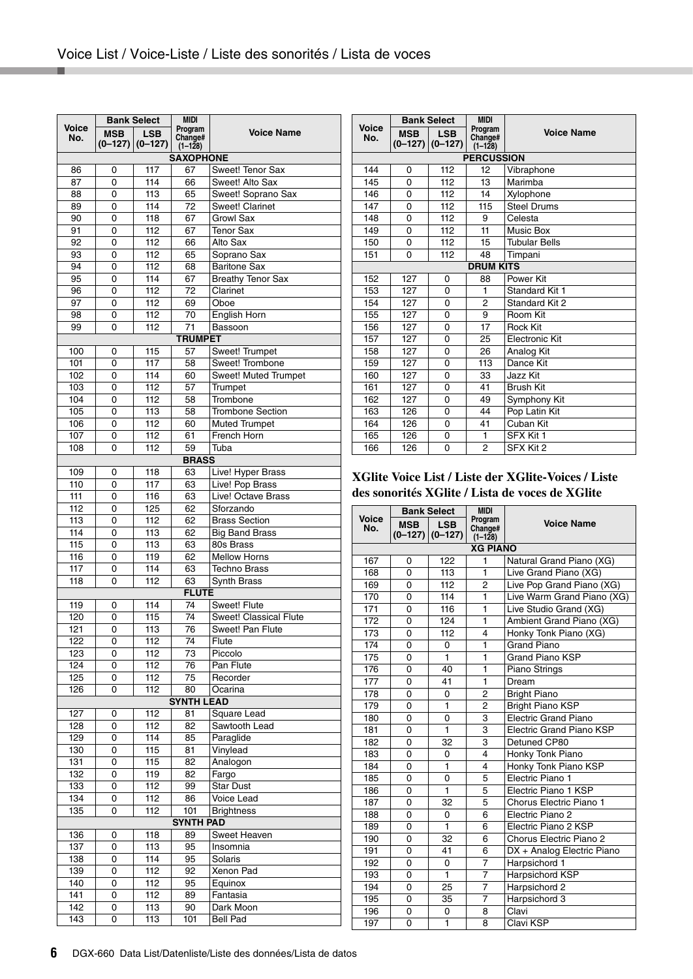|       |                       | <b>Bank Select</b>      | <b>MIDI</b>                     |                          |
|-------|-----------------------|-------------------------|---------------------------------|--------------------------|
| Voice |                       |                         | Program                         | <b>Voice Name</b>        |
| No.   | <b>MSB</b><br>(0–127) | <b>LSB</b><br>$(0-127)$ | Change#                         |                          |
|       |                       |                         | $(1 - 128)$<br><b>SAXOPHONE</b> |                          |
|       |                       |                         |                                 |                          |
| 86    | 0                     | 117                     | 67                              | Sweet! Tenor Sax         |
| 87    | 0                     | 114                     | 66                              | Sweet! Alto Sax          |
| 88    | 0                     | 113                     | 65                              | Sweet! Soprano Sax       |
| 89    | 0                     | 114                     | 72                              | <b>Sweet! Clarinet</b>   |
| 90    | 0                     | 118                     | 67                              | <b>Growl Sax</b>         |
| 91    | 0                     | 112                     | 67                              | <b>Tenor Sax</b>         |
| 92    | 0                     | 112                     | 66                              | Alto Sax                 |
| 93    | 0                     | 112                     | 65                              | Soprano Sax              |
| 94    | 0                     | 112                     | 68                              | <b>Baritone Sax</b>      |
| 95    | 0                     | 114                     | 67                              | <b>Breathy Tenor Sax</b> |
| 96    | 0                     | 112                     | 72                              | Clarinet                 |
| 97    | 0                     | 112                     | 69                              | Oboe                     |
| 98    | 0                     | 112                     | 70                              | English Horn             |
| 99    | 0                     | 112                     | 71                              | Bassoon                  |
|       |                       |                         | <b>TRUMPET</b>                  |                          |
| 100   | 0                     | 115                     | 57                              | Sweet! Trumpet           |
| 101   | 0                     | 117                     | 58                              | Sweet! Trombone          |
| 102   | 0                     | 114                     | 60                              | Sweet! Muted Trumpet     |
| 103   | 0                     | 112                     | 57                              | Trumpet                  |
| 104   | 0                     | 112                     | 58                              | Trombone                 |
| 105   | 0                     | 113                     | 58                              | <b>Trombone Section</b>  |
| 106   | 0                     | 112                     | 60                              | <b>Muted Trumpet</b>     |
| 107   | 0                     | 112                     | 61                              | French Horn              |
| 108   | 0                     | 112                     | 59                              | Tuba                     |
|       |                       |                         | <b>BRASS</b>                    |                          |
| 109   | 0                     | 118                     | 63                              | Live! Hyper Brass        |
| 110   | 0                     | 117                     | 63                              | Live! Pop Brass          |
| 111   | 0                     | 116                     | 63                              | Live! Octave Brass       |
| 112   | 0                     | 125                     | 62                              | Sforzando                |
| 113   | 0                     | 112                     | 62                              | <b>Brass Section</b>     |
| 114   | 0                     | 113                     | 62                              | <b>Big Band Brass</b>    |
| 115   | 0                     | 113                     | 63                              | 80s Brass                |
| 116   | 0                     | 119                     | 62                              | <b>Mellow Horns</b>      |
| 117   | 0                     | 114                     | 63                              | <b>Techno Brass</b>      |
| 118   | 0                     | 112                     | 63                              | Synth Brass              |
|       |                       |                         | <b>FLUTE</b>                    |                          |
| 119   | 0                     | 114                     | 74                              | Sweet! Flute             |
| 120   | 0                     | 115                     | 74                              | Sweet! Classical Flute   |
| 121   | 0                     |                         | 76                              | Sweet! Pan Flute         |
| 122   |                       | 113                     |                                 | Flute                    |
| 123   | 0                     | 112<br>112              | 74                              | Piccolo                  |
|       | 0                     |                         | 73                              |                          |
| 124   | 0                     | 112                     | 76                              | Pan Flute                |
| 125   | 0                     | 112                     | 75                              | Recorder                 |
| 126   | 0                     | 112                     | 80<br><b>SYNTH LEAD</b>         | Ocarina                  |
|       |                       |                         |                                 |                          |
| 12/   | o                     | 112                     | 81                              | Square Lead              |
| 128   | 0                     | 112                     | 82                              | Sawtooth Lead            |
| 129   | 0                     | 114                     | 85                              | Paraglide                |
| 130   | 0                     | 115                     | 81                              | Vinylead                 |
| 131   | 0                     | 115                     | 82                              | Analogon                 |
| 132   | 0                     | 119                     | 82                              | Fargo                    |
| 133   | 0                     | 112                     | 99                              | <b>Star Dust</b>         |
| 134   | 0                     | 112                     | 86                              | Voice Lead               |
| 135   | 0                     | 112                     | 101                             | <b>Brightness</b>        |
|       |                       |                         | <b>SYNTH PAD</b>                |                          |
| 136   | 0                     | 118                     | 89                              | Sweet Heaven             |
| 137   | 0                     | 113                     | 95                              | Insomnia                 |
| 138   | 0                     | 114                     | 95                              | Solaris                  |
| 139   | 0                     | 112                     | 92                              | Xenon Pad                |
| 140   | 0                     | 112                     | 95                              | Equinox                  |
| 141   | 0                     | 112                     | 89                              | Fantasia                 |
| 142   | 0                     | 113                     | 90                              | Dark Moon                |
| 143   | 0                     | 113                     | 101                             | <b>Bell Pad</b>          |

|                   | <b>Bank Select</b> |                                   | <b>MIDI</b>                       |                       |  |  |  |  |  |  |
|-------------------|--------------------|-----------------------------------|-----------------------------------|-----------------------|--|--|--|--|--|--|
| Voice<br>No.      | <b>MSB</b>         | <b>LSB</b><br>$(0-127)$ $(0-127)$ | Program<br>Change#<br>$(1 - 128)$ | <b>Voice Name</b>     |  |  |  |  |  |  |
| <b>PERCUSSION</b> |                    |                                   |                                   |                       |  |  |  |  |  |  |
| 144               | 0                  | 112                               | 12                                | Vibraphone            |  |  |  |  |  |  |
| 145               | 0                  | 112                               | 13                                | Marimba               |  |  |  |  |  |  |
| 146               | 0                  | 112                               | 14                                | Xylophone             |  |  |  |  |  |  |
| 147               | 0                  | 112                               | 115                               | <b>Steel Drums</b>    |  |  |  |  |  |  |
| 148               | 0                  | 112                               | 9                                 | Celesta               |  |  |  |  |  |  |
| 149               | 0                  | 112                               | 11                                | Music Box             |  |  |  |  |  |  |
| 150               | 0                  | 112                               | 15                                | <b>Tubular Bells</b>  |  |  |  |  |  |  |
| 151               | 0                  | 112                               | 48                                | Timpani               |  |  |  |  |  |  |
|                   |                    |                                   | <b>DRUM KITS</b>                  |                       |  |  |  |  |  |  |
| 152               | 127                | 0                                 | 88                                | Power Kit             |  |  |  |  |  |  |
| 153               | 127                | $\Omega$                          | 1                                 | Standard Kit 1        |  |  |  |  |  |  |
| 154               | 127                | $\Omega$                          | $\overline{2}$                    | Standard Kit 2        |  |  |  |  |  |  |
| 155               | 127                | $\Omega$                          | 9                                 | Room Kit              |  |  |  |  |  |  |
| 156               | 127                | 0                                 | 17                                | <b>Rock Kit</b>       |  |  |  |  |  |  |
| 157               | 127                | 0                                 | 25                                | <b>Electronic Kit</b> |  |  |  |  |  |  |
| 158               | 127                | $\Omega$                          | 26                                | Analog Kit            |  |  |  |  |  |  |
| 159               | 127                | $\Omega$                          | 113                               | Dance Kit             |  |  |  |  |  |  |
| 160               | 127                | $\Omega$                          | 33                                | Jazz Kit              |  |  |  |  |  |  |
| 161               | 127                | 0                                 | 41                                | <b>Brush Kit</b>      |  |  |  |  |  |  |
| 162               | 127                | $\mathbf 0$                       | 49                                | Symphony Kit          |  |  |  |  |  |  |
| 163               | 126                | $\Omega$                          | 44                                | Pop Latin Kit         |  |  |  |  |  |  |
| 164               | 126                | 0                                 | 41                                | Cuban Kit             |  |  |  |  |  |  |
| 165               | 126                | 0                                 | 1                                 | SFX Kit 1             |  |  |  |  |  |  |
| 166               | 126                | $\Omega$                          | $\overline{2}$                    | SFX Kit 2             |  |  |  |  |  |  |

#### **XGlite Voice List / Liste der XGlite-Voices / Liste des sonorités XGlite / Lista de voces de XGlite**

|              |            | <b>Bank Select</b>                | <b>MIDI</b>                       |                                 |
|--------------|------------|-----------------------------------|-----------------------------------|---------------------------------|
| Voice<br>No. | <b>MSB</b> | <b>LSB</b><br>$(0-127)$ $(0-127)$ | Program<br>Change#<br>$(1 - 128)$ | <b>Voice Name</b>               |
|              |            |                                   | <b>XG PIANO</b>                   |                                 |
| 167          | 0          | 122                               | 1                                 | Natural Grand Piano (XG)        |
| 168          | 0          | 113                               | 1                                 | Live Grand Piano (XG)           |
| 169          | 0          | 112                               | 2                                 | Live Pop Grand Piano (XG)       |
| 170          | $\Omega$   | 114                               | 1                                 | Live Warm Grand Piano (XG)      |
| 171          | 0          | 116                               | 1                                 | Live Studio Grand (XG)          |
| 172          | $\Omega$   | 124                               | 1                                 | Ambient Grand Piano (XG)        |
| 173          | 0          | 112                               | 4                                 | Honky Tonk Piano (XG)           |
| 174          | $\Omega$   | 0                                 | $\mathbf{1}$                      | <b>Grand Piano</b>              |
| 175          | 0          | 1                                 | 1                                 | <b>Grand Piano KSP</b>          |
| 176          | $\Omega$   | 40                                | 1                                 | Piano Strings                   |
| 177          | 0          | 41                                | 1                                 | Dream                           |
| 178          | 0          | 0                                 | 2                                 | <b>Bright Piano</b>             |
| 179          | 0          | 1                                 | 2                                 | <b>Bright Piano KSP</b>         |
| 180          | 0          | 0                                 | 3                                 | <b>Electric Grand Piano</b>     |
| 181          | 0          | $\mathbf{1}$                      | 3                                 | <b>Electric Grand Piano KSP</b> |
| 182          | $\Omega$   | 32                                | 3                                 | Detuned CP80                    |
| 183          | 0          | 0                                 | 4                                 | Honky Tonk Piano                |
| 184          | 0          | 1                                 | 4                                 | Honky Tonk Piano KSP            |
| 185          | 0          | 0                                 | 5                                 | Electric Piano 1                |
| 186          | 0          | $\mathbf{1}$                      | 5                                 | Electric Piano 1 KSP            |
| 187          | 0          | 32                                | 5                                 | Chorus Electric Piano 1         |
| 188          | 0          | 0                                 | 6                                 | Electric Piano 2                |
| 189          | 0          | 1                                 | 6                                 | Electric Piano 2 KSP            |
| 190          | 0          | 32                                | 6                                 | Chorus Electric Piano 2         |
| 191          | 0          | 41                                | 6                                 | DX + Analog Electric Piano      |
| 192          | 0          | $\Omega$                          | 7                                 | Harpsichord 1                   |
| 193          | 0          | 1                                 | 7                                 | Harpsichord KSP                 |
| 194          | 0          | 25                                | 7                                 | Harpsichord 2                   |
| 195          | 0          | 35                                | 7                                 | Harpsichord 3                   |
| 196          | 0          | $\Omega$                          | 8                                 | Clavi                           |
| 197          | 0          | 1                                 | 8                                 | Clavi KSP                       |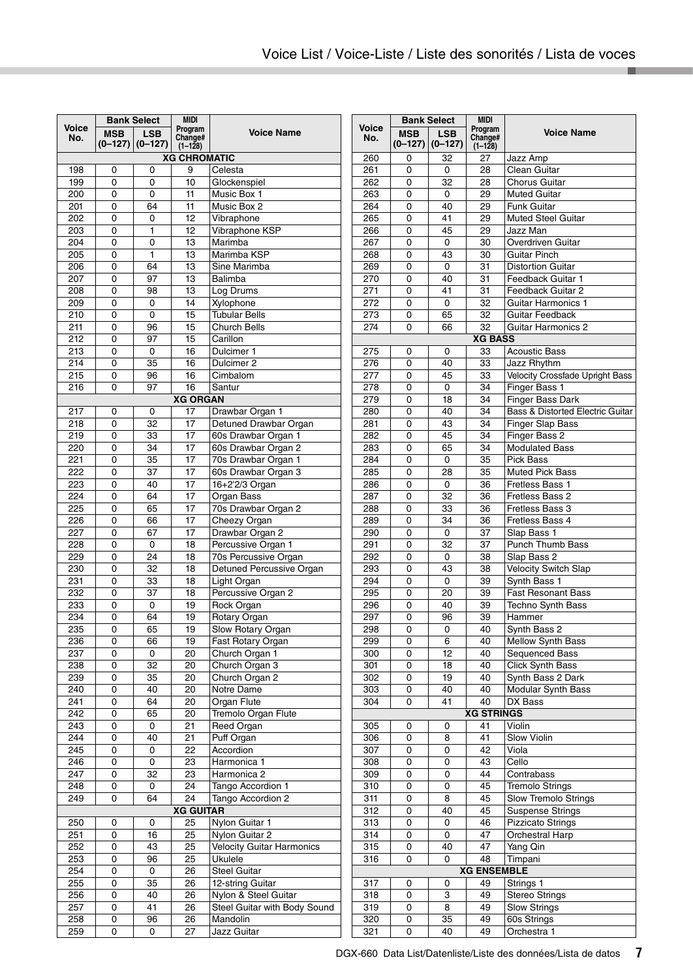|                  | <b>Bank Select</b> |                     | <b>MIDI</b>         |                                  |  |  |
|------------------|--------------------|---------------------|---------------------|----------------------------------|--|--|
| Voice<br>No.     | <b>MSB</b>         | <b>LSB</b>          | Program<br>Change#  | <b>Voice Name</b>                |  |  |
|                  |                    | $(0-127)$ $(0-127)$ | $(1 - 128)$         |                                  |  |  |
|                  |                    |                     | <b>XG CHROMATIC</b> |                                  |  |  |
| 198              | 0                  | 0                   | 9                   | Celesta                          |  |  |
| 199              | 0                  | 0                   | 10                  | Glockenspiel                     |  |  |
| 200              | 0                  | 0                   | 11                  | Music Box 1                      |  |  |
| 201              | 0                  | 64                  | 11                  | Music Box 2                      |  |  |
| 202              | 0                  | 0                   | 12                  | Vibraphone                       |  |  |
| 203              | 0                  | 1                   | 12                  | Vibraphone KSP                   |  |  |
| 204              | 0                  | 0                   | 13                  | Marimba                          |  |  |
| 205              | 0                  | 1                   | 13                  | Marimba KSP                      |  |  |
| 206              | 0                  | 64                  | 13                  | Sine Marimba                     |  |  |
| 207              | 0                  | 97                  | 13                  | Balimba                          |  |  |
| 208              | 0                  | 98                  | 13                  | Log Drums                        |  |  |
| 209              | 0                  | 0                   | 14                  | Xylophone                        |  |  |
| 210              | 0                  | 0                   | 15                  | <b>Tubular Bells</b>             |  |  |
| 211              | 0                  | 96                  | 15                  | Church Bells                     |  |  |
| 212              | 0                  | 97                  | 15                  | Carillon                         |  |  |
| 213              | 0                  | 0                   | 16                  | Dulcimer 1                       |  |  |
| 214              | 0                  | 35                  | 16                  | Dulcimer <sub>2</sub>            |  |  |
| 215              | 0                  | 96                  | 16                  | Cimbalom                         |  |  |
| 216              | 0                  | 97                  | 16                  | Santur                           |  |  |
|                  |                    |                     | <b>XG ORGAN</b>     |                                  |  |  |
| 217              | 0                  | 0                   | 17                  | Drawbar Organ 1                  |  |  |
| 218              | 0                  | 32                  | 17                  | Detuned Drawbar Organ            |  |  |
| 219              | 0                  | 33                  | 17                  | 60s Drawbar Organ 1              |  |  |
| 220              | 0                  | 34                  | 17                  | 60s Drawbar Organ 2              |  |  |
| 221              | 0                  | 35                  | 17                  | 70s Drawbar Organ 1              |  |  |
| 222              | 0                  | 37                  | 17                  | 60s Drawbar Organ 3              |  |  |
| 223              | 0                  | 40                  | 17                  | 16+2'2/3 Organ                   |  |  |
| 224              | 0                  | 64                  | 17                  | Organ Bass                       |  |  |
| 225              | 0                  | 65                  | 17                  | 70s Drawbar Organ 2              |  |  |
| 226              | 0                  | 66                  | 17                  | Cheezy Organ                     |  |  |
| 227              | 0                  | 67                  | 17                  | Drawbar Organ 2                  |  |  |
| 228              | 0                  | 0                   | 18                  | Percussive Organ 1               |  |  |
| 229              | 0                  | 24                  | 18                  | 70s Percussive Organ             |  |  |
| 230              | 0                  | 32                  | 18                  | Detuned Percussive Organ         |  |  |
| 231              | 0                  | 33                  | 18                  | Light Organ                      |  |  |
| 232              | 0                  | 37                  | 18                  | Percussive Organ 2               |  |  |
| 233              | 0                  | 0                   | 19                  | Rock Organ                       |  |  |
| 234              | 0                  | 64                  | 19                  | Rotary Organ                     |  |  |
| 235              | 0                  | 65                  | 19                  | Slow Rotary Organ                |  |  |
| 236              | 0                  | 66                  | 19                  | Fast Rotary Organ                |  |  |
| 237              | 0                  | 0                   | 20                  | Church Organ 1                   |  |  |
| 238              | 0                  | 32                  | 20                  | Church Organ 3                   |  |  |
| 239              | 0                  | 35                  | 20                  | Church Organ 2                   |  |  |
| 240              | 0                  | 40                  | 20                  | Notre Dame                       |  |  |
| 241              | 0                  | 64                  | 20                  | Organ Flute                      |  |  |
| 242              | 0                  | 65                  | 20                  | Tremolo Organ Flute              |  |  |
| 243              | 0                  | 0                   | 21                  | Reed Organ                       |  |  |
| 244              | 0                  | 40                  | 21                  | Puff Organ                       |  |  |
| 245              | 0                  | 0                   | 22                  | Accordion                        |  |  |
| 246              | 0                  | 0                   | 23                  | Harmonica 1                      |  |  |
| 247              | 0                  | 32                  | 23                  | Harmonica 2                      |  |  |
| 248              | 0                  | 0                   | 24                  | Tango Accordion 1                |  |  |
| 249              | 0                  | 64                  | 24                  | Tango Accordion 2                |  |  |
|                  |                    |                     | <b>XG GUITAR</b>    |                                  |  |  |
| 250              | 0                  | 0                   | 25                  | Nylon Guitar 1                   |  |  |
| 251              | 0                  | 16                  | 25                  | Nylon Guitar 2                   |  |  |
| $\overline{252}$ | 0                  | 43                  | 25                  | <b>Velocity Guitar Harmonics</b> |  |  |
| 253              | 0                  | 96                  | 25                  | Ukulele                          |  |  |
| 254              | 0                  | 0                   | 26                  | <b>Steel Guitar</b>              |  |  |
| 255              | 0                  | 35                  | 26                  | 12-string Guitar                 |  |  |
| 256              | 0                  | 40                  | 26                  | Nylon & Steel Guitar             |  |  |
| 257              | 0                  | 41                  | 26                  | Steel Guitar with Body Sound     |  |  |
| 258              | 0                  | 96                  | 26                  | Mandolin                         |  |  |
| 259              | 0                  | 0                   | 27                  | Jazz Guitar                      |  |  |

|              | <b>Bank Select</b>      |                         | <b>MIDI</b>                   |                                           |  |
|--------------|-------------------------|-------------------------|-------------------------------|-------------------------------------------|--|
| Voice<br>No. | <b>MSB</b><br>$(0-127)$ | <b>LSB</b><br>$(0-127)$ | Program<br>Change#<br>(1–128) | <b>Voice Name</b>                         |  |
| 260          | 0                       | 32                      | 27                            | Jazz Amp                                  |  |
| 261          | 0                       | 0                       | 28                            | Clean Guitar                              |  |
| 262          | 0                       | 32                      | 28                            | <b>Chorus Guitar</b>                      |  |
| 263          | 0                       | 0                       | 29                            | <b>Muted Guitar</b>                       |  |
| 264          | 0                       | 40                      | 29                            | <b>Funk Guitar</b>                        |  |
| 265          | 0                       | 41                      | 29                            | <b>Muted Steel Guitar</b>                 |  |
| 266          | 0                       | 45                      | 29                            | Jazz Man                                  |  |
| 267          | 0                       | 0                       | 30                            | Overdriven Guitar                         |  |
| 268          | 0                       | 43                      | 30                            | Guitar Pinch                              |  |
| 269          | 0                       | 0                       | 31                            | <b>Distortion Guitar</b>                  |  |
| 270          | 0                       | 40                      | 31                            | Feedback Guitar 1                         |  |
| 271          | 0                       | 41                      | 31                            | Feedback Guitar 2                         |  |
| 272          | 0                       | 0                       | 32                            | <b>Guitar Harmonics 1</b>                 |  |
| 273          | 0                       | 65                      | 32                            | <b>Guitar Feedback</b>                    |  |
| 274          | 0                       | 66                      | 32                            | <b>Guitar Harmonics 2</b>                 |  |
|              |                         |                         | <b>XG BASS</b>                |                                           |  |
| 275          | 0                       | 0                       | 33                            | <b>Acoustic Bass</b>                      |  |
| 276          | 0                       | 40                      | 33                            | Jazz Rhythm                               |  |
| 277          | 0                       | 45                      | 33                            | <b>Velocity Crossfade Upright Bass</b>    |  |
| 278          | 0                       | 0                       | 34                            | Finger Bass 1                             |  |
| 279          | 0                       | 18                      | 34                            | <b>Finger Bass Dark</b>                   |  |
| 280          | 0                       | 40                      | 34                            | Bass & Distorted Electric Guitar          |  |
| 281          | 0                       | 43                      | 34                            | <b>Finger Slap Bass</b>                   |  |
| 282          | 0                       | 45                      | 34                            | Finger Bass 2                             |  |
| 283          | 0                       | 65                      | 34                            | <b>Modulated Bass</b>                     |  |
| 284          | 0                       | 0                       | 35                            | Pick Bass                                 |  |
| 285          | 0                       | 28                      | 35                            | <b>Muted Pick Bass</b>                    |  |
| 286          | 0                       | 0                       | 36                            | Fretless Bass 1                           |  |
| 287          | 0                       | 32                      | 36                            | Fretless Bass 2                           |  |
| 288          | 0                       | 33                      | 36                            | Fretless Bass 3                           |  |
| 289          | 0                       | 34                      | 36                            | Fretless Bass 4                           |  |
| 290          | 0                       | 0                       | 37                            | Slap Bass 1                               |  |
| 291          | 0                       | 32                      | 37                            | <b>Punch Thumb Bass</b>                   |  |
| 292          | 0                       | 0                       | 38                            | Slap Bass 2                               |  |
| 293          | 0                       | 43                      | 38                            | <b>Velocity Switch Slap</b>               |  |
| 294          | 0<br>0                  | 0                       | 39                            | Synth Bass 1<br><b>Fast Resonant Bass</b> |  |
| 295<br>296   | 0                       | 20<br>40                | 39<br>39                      | <b>Techno Synth Bass</b>                  |  |
| 297          | 0                       | 96                      | 39                            | Hammer                                    |  |
| 298          | 0                       | 0                       | 40                            | Synth Bass 2                              |  |
| 299          | 0                       | 6                       | 40                            | <b>Mellow Synth Bass</b>                  |  |
| 300          | 0                       | 12                      | 40                            | Sequenced Bass                            |  |
| 301          | 0                       | 18                      | 40                            | <b>Click Synth Bass</b>                   |  |
| 302          | 0                       | 19                      | 40                            | Synth Bass 2 Dark                         |  |
| 303          | 0                       | 40                      | 40                            | Modular Synth Bass                        |  |
| 304          | 0                       | 41                      | 40                            | DX Bass                                   |  |
|              |                         |                         | <b>XG STRINGS</b>             |                                           |  |
| 305          | 0                       | 0                       | 41                            | Violin                                    |  |
| 306          | 0                       | 8                       | 41                            | Slow Violin                               |  |
| 307          | 0                       | 0                       | 42                            | Viola                                     |  |
| 308          | 0                       | 0                       | 43                            | Cello                                     |  |
| 309          | 0                       | 0                       | 44                            | Contrabass                                |  |
| 310          | 0                       | 0                       | 45                            | <b>Tremolo Strings</b>                    |  |
| 311          | 0                       | 8                       | 45                            | Slow Tremolo Strings                      |  |
| 312          | 0                       | 40                      | 45                            | <b>Suspense Strings</b>                   |  |
| 313          | 0                       | 0                       | 46                            | <b>Pizzicato Strings</b>                  |  |
| 314          | 0                       | 0                       | 47                            | Orchestral Harp                           |  |
| 315          | 0                       | 40                      | 47                            | Yang Qin                                  |  |
| 316          | 0                       | 0                       | 48                            | Timpani                                   |  |
|              |                         |                         | <b>XG ENSEMBLE</b>            |                                           |  |
| 317          | 0                       | 0                       | 49                            | Strings <sub>1</sub>                      |  |
| 318          | 0                       | 3                       | 49                            | <b>Stereo Strings</b>                     |  |
| 319          | 0                       | 8                       | 49                            | <b>Slow Strings</b>                       |  |
| 320          | 0                       | 35                      | 49                            | 60s Strings                               |  |
| 321          | 0                       | 40                      | 49                            | Orchestra 1                               |  |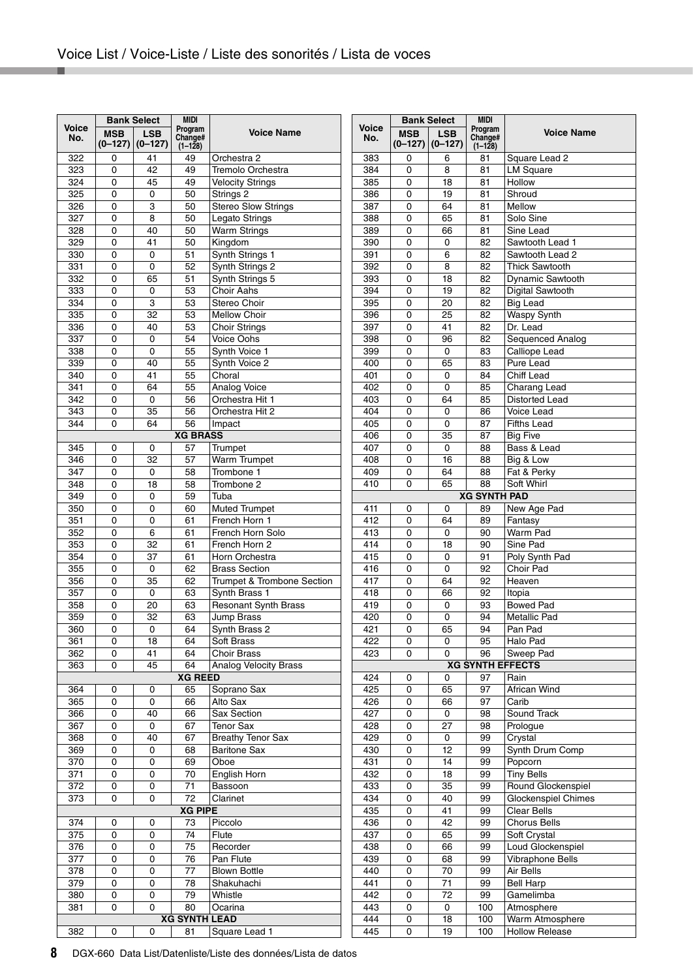m.

|              |                         | <b>Bank Select</b>      | <b>MIDI</b>                   |                              |
|--------------|-------------------------|-------------------------|-------------------------------|------------------------------|
| Voice<br>No. | <b>MSB</b><br>$(0-127)$ | <b>LSB</b><br>$(0-127)$ | Program<br>Change#<br>(1-128) | <b>Voice Name</b>            |
| 322          | 0                       | 41                      | 49                            | Orchestra 2                  |
| 323          | 0                       | 42                      | 49                            | Tremolo Orchestra            |
| 324          | 0                       | 45                      | 49                            | <b>Velocity Strings</b>      |
| 325          | 0                       | 0                       | 50                            | Strings 2                    |
| 326          | 0                       | 3                       | 50                            | <b>Stereo Slow Strings</b>   |
| 327          | 0                       | 8                       | 50                            | Legato Strings               |
| 328          | 0                       | 40                      | 50                            | <b>Warm Strings</b>          |
| 329          | 0                       | 41                      | 50                            | Kingdom                      |
| 330          | 0                       | 0                       | 51                            | Synth Strings 1              |
| 331          | 0                       | 0                       | 52                            | Synth Strings 2              |
| 332          | 0                       | 65                      | 51                            | Synth Strings 5              |
| 333          | 0                       | 0                       | 53                            | <b>Choir Aahs</b>            |
| 334          | 0                       | 3                       | 53                            | Stereo Choir                 |
| 335          | 0                       | 32                      | 53                            | <b>Mellow Choir</b>          |
| 336          | 0                       | 40                      | 53                            | <b>Choir Strings</b>         |
| 337          | 0                       | 0                       | 54                            | <b>Voice Oohs</b>            |
| 338          | 0                       | 0                       | 55                            | Synth Voice 1                |
| 339          | 0                       | 40                      | 55                            | Synth Voice 2                |
| 340          | 0                       | 41                      | 55                            | Choral                       |
| 341          | 0                       | 64                      | 55                            | Analog Voice                 |
| 342          | 0                       | 0                       | 56                            | Orchestra Hit 1              |
| 343          | 0                       | 35                      | 56                            | Orchestra Hit 2              |
| 344          | 0                       | 64                      | 56                            | Impact                       |
|              |                         |                         | <b>XG BRASS</b>               |                              |
| 345          | 0                       | 0                       | 57                            | Trumpet                      |
| 346          | 0                       | 32                      | 57                            | <b>Warm Trumpet</b>          |
| 347          | 0                       | 0                       | 58                            | Trombone 1                   |
| 348          | 0                       | 18                      | 58                            | Trombone 2                   |
| 349          | 0                       | 0                       | 59                            | Tuba                         |
| 350          | 0                       | 0                       | 60                            | <b>Muted Trumpet</b>         |
| 351          | 0                       | 0                       | 61                            | French Horn 1                |
| 352          | 0                       | 6                       | 61                            | French Horn Solo             |
| 353          | 0                       | 32                      | 61                            | French Horn 2                |
| 354          | 0                       | 37                      | 61                            | Horn Orchestra               |
| 355          | 0                       | 0                       | 62                            | <b>Brass Section</b>         |
| 356          | 0                       | 35                      | 62                            | Trumpet & Trombone Section   |
| 357          | 0                       | 0                       | 63                            | Synth Brass 1                |
| 358          | 0                       | 20                      | 63                            | <b>Resonant Synth Brass</b>  |
| 359          | 0                       | 32                      | 63                            | Jump Brass                   |
| 360          | 0                       | 0                       | 64                            | Synth Brass 2                |
| 361          | 0                       | 18                      | 64                            | Soft Brass                   |
| 362          | 0                       | 41                      | 64                            | <b>Choir Brass</b>           |
| 363          | 0                       | 45                      | 64                            | <b>Analog Velocity Brass</b> |
|              |                         |                         | <b>XG REED</b>                |                              |
| 364          | 0                       | 0                       | 65                            | Soprano Sax                  |
| 365          | 0                       | 0                       | 66                            | Alto Sax                     |
| 366          | 0                       | 40                      | 66                            | Sax Section                  |
| 367          | 0                       | 0                       | 67                            | <b>Tenor Sax</b>             |
| 368          | 0                       | 40                      | 67                            | <b>Breathy Tenor Sax</b>     |
| 369          | 0                       | 0                       | 68                            | <b>Baritone Sax</b>          |
| 370          | 0                       | 0                       | 69                            | Oboe                         |
| 371          | 0                       | 0                       | 70                            | English Horn                 |
| 372          | 0                       | 0                       | 71                            | Bassoon                      |
| 373          | 0                       | 0                       | 72                            | Clarinet                     |
|              |                         |                         | <b>XG PIPE</b>                |                              |
| 374          | 0                       | 0                       | 73                            | Piccolo                      |
| 375          | 0                       | 0                       | 74                            | Flute                        |
| 376          | 0                       | 0                       | 75                            | Recorder                     |
| 377          | 0                       | 0                       | 76                            | Pan Flute                    |
| 378          | 0                       | 0                       | 77                            | <b>Blown Bottle</b>          |
| 379          | 0                       | 0                       | 78                            | Shakuhachi                   |
| 380          | 0                       | 0                       | 79                            | Whistle                      |
| 381          | 0                       | 0                       | 80                            | Ocarina                      |
|              |                         |                         | <b>XG SYNTH LEAD</b>          |                              |
| 382          | 0                       | 0                       | 81                            | Square Lead 1                |

| <b>MIDI</b><br><b>Bank Select</b> |                                                               |    |                           |                            |  |  |
|-----------------------------------|---------------------------------------------------------------|----|---------------------------|----------------------------|--|--|
| <b>Voice</b>                      |                                                               |    | Program                   |                            |  |  |
| No.                               | <b>MSB</b><br><b>LSB</b><br>Change#<br>$(0-127)$<br>$(0-127)$ |    | <b>Voice Name</b>         |                            |  |  |
|                                   |                                                               |    | $(1-128)$                 |                            |  |  |
| 383<br>384                        | 0                                                             | 6  | 81                        | Square Lead 2              |  |  |
|                                   | 0                                                             | 8  | 81                        | <b>LM Square</b><br>Hollow |  |  |
| 385<br>386                        | 0                                                             | 18 | 81                        |                            |  |  |
|                                   | 0                                                             | 19 | 81                        | Shroud                     |  |  |
| 387                               | 0                                                             | 64 | 81                        | Mellow                     |  |  |
| 388                               | 0                                                             | 65 | 81                        | Solo Sine                  |  |  |
| 389                               | 0                                                             | 66 | 81                        | Sine Lead                  |  |  |
| 390                               | 0                                                             | 0  | 82                        | Sawtooth Lead 1            |  |  |
| 391                               | 0                                                             | 6  | 82                        | Sawtooth Lead 2            |  |  |
| 392                               | 0                                                             | 8  | 82                        | <b>Thick Sawtooth</b>      |  |  |
| 393                               | 0                                                             | 18 | 82                        | Dynamic Sawtooth           |  |  |
| 394                               | 0                                                             | 19 | 82                        | Digital Sawtooth           |  |  |
| 395                               | 0                                                             | 20 | 82                        | <b>Big Lead</b>            |  |  |
| 396                               | 0                                                             | 25 | 82                        | <b>Waspy Synth</b>         |  |  |
| 397                               | 0                                                             | 41 | 82                        | Dr. Lead                   |  |  |
| 398                               | 0                                                             | 96 | 82                        | Sequenced Analog           |  |  |
| 399                               | 0                                                             | 0  | 83                        | Calliope Lead<br>Pure Lead |  |  |
| 400                               | 0                                                             | 65 | 83                        |                            |  |  |
| 401                               | 0                                                             | 0  | 84                        | Chiff Lead                 |  |  |
| 402                               | 0                                                             | 0  | 85                        | Charang Lead               |  |  |
| 403                               | 0                                                             | 64 | 85                        | <b>Distorted Lead</b>      |  |  |
| 404                               | 0                                                             | 0  | 86                        | <b>Voice Lead</b>          |  |  |
| 405                               | 0                                                             | 0  | 87                        | <b>Fifths Lead</b>         |  |  |
| 406                               | 0                                                             | 35 | 87                        | <b>Big Five</b>            |  |  |
| 407                               | 0                                                             | 0  | 88                        | Bass & Lead                |  |  |
| 408                               | 0                                                             | 16 | 88                        | Big & Low                  |  |  |
| 409                               | 0                                                             | 64 | 88                        | Fat & Perky                |  |  |
| 410                               | 0                                                             | 65 | 88<br><b>XG SYNTH PAD</b> | Soft Whirl                 |  |  |
| 411                               | 0                                                             | 0  | 89                        | New Age Pad                |  |  |
| 412                               | 0                                                             | 64 | 89                        | Fantasy                    |  |  |
| 413                               | 0                                                             | 0  | 90                        | <b>Warm Pad</b>            |  |  |
| 414                               | 0                                                             | 18 | 90                        | Sine Pad                   |  |  |
| 415                               | 0                                                             | 0  | 91                        | Poly Synth Pad             |  |  |
| 416                               | 0                                                             | 0  | 92                        | Choir Pad                  |  |  |
| 417                               | 0                                                             | 64 | 92                        | Heaven                     |  |  |
| 418                               | 0                                                             | 66 | 92                        | Itopia                     |  |  |
| 419                               | 0                                                             | 0  | 93                        | <b>Bowed Pad</b>           |  |  |
| 420                               | 0                                                             | 0  | 94                        | Metallic Pad               |  |  |
| 421                               | 0                                                             | 65 | 94                        | Pan Pad                    |  |  |
| 422                               | 0                                                             | 0  | 95                        | Halo Pad                   |  |  |
| 423                               | 0                                                             | 0  | 96                        | Sweep Pad                  |  |  |
|                                   |                                                               |    | <b>XG SYNTH EFFECTS</b>   |                            |  |  |
| 424                               | 0                                                             | 0  | 97                        | Rain                       |  |  |
| 425                               | 0                                                             | 65 | 97                        | African Wind               |  |  |
| 426                               | 0                                                             | 66 | 97                        | Carib                      |  |  |
| 427                               | 0                                                             | 0  | 98                        | Sound Track                |  |  |
| 428                               | 0                                                             | 27 | 98                        | Prologue                   |  |  |
| 429                               | 0                                                             | 0  | 99                        | Crystal                    |  |  |
| 430                               | 0                                                             | 12 | 99                        | Synth Drum Comp            |  |  |
| 431                               | 0                                                             | 14 | 99                        | Popcorn                    |  |  |
| 432                               | 0                                                             | 18 | 99                        | <b>Tiny Bells</b>          |  |  |
| 433                               | 0                                                             | 35 | 99                        | Round Glockenspiel         |  |  |
| 434                               | 0                                                             | 40 | 99                        | <b>Glockenspiel Chimes</b> |  |  |
| 435                               | 0                                                             | 41 | 99                        | Clear Bells                |  |  |
| 436                               | 0                                                             | 42 | 99                        | <b>Chorus Bells</b>        |  |  |
| 437                               | 0                                                             | 65 | 99                        | Soft Crystal               |  |  |
| 438                               | 0                                                             | 66 | 99                        | Loud Glockenspiel          |  |  |
| 439                               | 0                                                             | 68 | 99                        | Vibraphone Bells           |  |  |
| 440                               | 0                                                             | 70 | 99                        | Air Bells                  |  |  |
| 441                               | 0                                                             | 71 | 99                        | <b>Bell Harp</b>           |  |  |
| 442                               | 0                                                             | 72 | 99                        | Gamelimba                  |  |  |
| 443                               | 0                                                             | 0  | 100                       | Atmosphere                 |  |  |
| 444                               | 0                                                             | 18 | 100                       | Warm Atmosphere            |  |  |
| 445                               | 0                                                             | 19 | 100                       | <b>Hollow Release</b>      |  |  |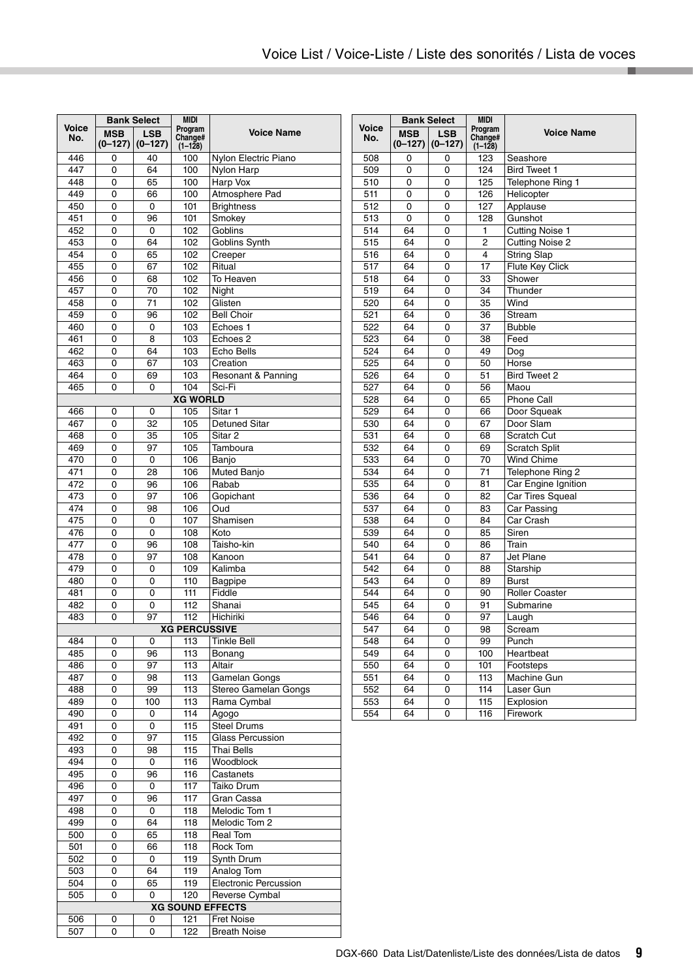|              |                       | <b>Bank Select</b>      | <b>MIDI</b>                       |                               |
|--------------|-----------------------|-------------------------|-----------------------------------|-------------------------------|
| Voice<br>No. | <b>MSB</b><br>(0–127) | <b>LSB</b><br>$(0-127)$ | Program<br>Change#<br>$(1 - 128)$ | <b>Voice Name</b>             |
| 446          | 0                     | 40                      | 100                               | Nylon Electric Piano          |
| 447<br>448   | 0<br>0                | 64                      | 100                               | Nylon Harp<br>Harp Vox        |
| 449          | 0                     | 65<br>66                | 100<br>100                        | Atmosphere Pad                |
| 450          | 0                     | 0                       | 101                               | <b>Brightness</b>             |
| 451          | 0                     | 96                      | 101                               | Smokey                        |
| 452          | 0                     | 0                       | 102                               | Goblins                       |
| 453          | 0                     | 64                      | 102                               | Goblins Synth                 |
| 454          | 0                     | 65                      | 102                               | Creeper                       |
| 455          | 0                     | 67                      | 102                               | Ritual                        |
| 456          | 0                     | 68                      | 102                               | To Heaven                     |
| 457          | 0                     | 70                      | 102                               | Night                         |
| 458          | 0                     | 71                      | 102                               | Glisten                       |
| 459<br>460   | 0<br>0                | 96<br>0                 | 102<br>103                        | <b>Bell Choir</b><br>Echoes 1 |
| 461          | 0                     | 8                       | 103                               | Echoes <sub>2</sub>           |
| 462          | 0                     | 64                      | 103                               | Echo Bells                    |
| 463          | 0                     | 67                      | 103                               | Creation                      |
| 464          | 0                     | 69                      | 103                               | Resonant & Panning            |
| 465          | 0                     | 0                       | 104                               | Sci-Fi                        |
|              |                       |                         | <b>XG WORLD</b>                   |                               |
| 466          | 0                     | 0                       | 105                               | Sitar 1                       |
| 467          | 0                     | 32                      | 105                               | <b>Detuned Sitar</b>          |
| 468          | 0                     | 35                      | 105                               | Sitar <sub>2</sub>            |
| 469          | 0                     | 97                      | 105                               | Tamboura                      |
| 470          | 0                     | 0                       | 106                               | Banjo                         |
| 471          | 0                     | 28                      | 106                               | Muted Banjo                   |
| 472          | 0                     | 96                      | 106                               | Rabab                         |
| 473<br>474   | 0<br>0                | 97<br>98                | 106<br>106                        | Gopichant<br>Oud              |
| 475          | 0                     | 0                       | 107                               | Shamisen                      |
| 476          | 0                     | 0                       | 108                               | Koto                          |
| 477          | 0                     | 96                      | 108                               | Taisho-kin                    |
| 478          | 0                     | 97                      | 108                               | Kanoon                        |
| 479          | 0                     | 0                       | 109                               | Kalimba                       |
| 480          | 0                     | 0                       | 110                               | <b>Bagpipe</b>                |
| 481          | 0                     | 0                       | 111                               | Fiddle                        |
| 482          | 0                     | 0                       | 112                               | Shanai                        |
| 483          | 0                     | 97                      | 112                               | Hichiriki                     |
|              |                       |                         | <b>XG PERCUSSIVE</b>              |                               |
| 484          | 0                     | 0                       | 113                               | <b>Tinkle Bell</b>            |
| 485<br>486   | 0<br>0                | 96<br>97                | 113<br>113                        | Bonang<br>Altair              |
| 487          | 0                     | 98                      | 113                               | Gamelan Gongs                 |
| 488          | 0                     | 99                      | 113                               | Stereo Gamelan Gongs          |
| 489          | 0                     | 100                     | 113                               | Rama Cymbal                   |
| 490          | 0                     | 0                       | 114                               | Aaoao                         |
| 491          | 0                     | 0                       | 115                               | <b>Steel Drums</b>            |
| 492          | 0                     | 97                      | 115                               | <b>Glass Percussion</b>       |
| 493          | 0                     | 98                      | 115                               | Thai Bells                    |
| 494          | 0                     | 0                       | 116                               | Woodblock                     |
| 495          | 0                     | 96                      | 116                               | Castanets                     |
| 496          | 0                     | 0                       | 117                               | Taiko Drum                    |
| 497          | 0                     | 96                      | 117                               | Gran Cassa                    |
| 498          | 0                     | 0                       | 118                               | Melodic Tom 1                 |
| 499          | 0                     | 64                      | 118                               | Melodic Tom 2                 |
| 500<br>501   | 0<br>0                | 65<br>66                | 118<br>118                        | Real Tom<br>Rock Tom          |
| 502          | 0                     | 0                       | 119                               | Synth Drum                    |
| 503          | 0                     | 64                      | 119                               | Analog Tom                    |
| 504          | 0                     | 65                      | 119                               | Electronic Percussion         |
| 505          | 0                     | 0                       | 120                               | Reverse Cymbal                |
|              |                       |                         |                                   | <b>XG SOUND EFFECTS</b>       |
| 506          | 0                     | 0                       | 121                               | <b>Fret Noise</b>             |
| 507          | 0                     | 0                       | 122                               | <b>Breath Noise</b>           |

| <b>Voice</b><br>Program<br><b>Voice Name</b><br><b>MSB</b><br><b>LSB</b><br>No.<br>Change#<br>$(0-127)$<br>$(0-127)$<br>$(1 - 128)$<br>508<br>123<br>Seashore<br>0<br>0<br>124<br><b>Bird Tweet 1</b><br>509<br>0<br>0<br>0<br>0<br>125<br>Telephone Ring 1 |     |
|-------------------------------------------------------------------------------------------------------------------------------------------------------------------------------------------------------------------------------------------------------------|-----|
|                                                                                                                                                                                                                                                             |     |
|                                                                                                                                                                                                                                                             |     |
|                                                                                                                                                                                                                                                             |     |
|                                                                                                                                                                                                                                                             | 510 |
| Helicopter<br>511<br>0<br>0<br>126                                                                                                                                                                                                                          |     |
| 512<br>$\Omega$<br>0<br>127<br>Applause                                                                                                                                                                                                                     |     |
| 513<br>128<br>$\Omega$<br>0<br>Gunshot                                                                                                                                                                                                                      |     |
| 514<br>64<br>0<br>1<br><b>Cutting Noise 1</b>                                                                                                                                                                                                               |     |
| <b>Cutting Noise 2</b><br>515<br>64<br>$\Omega$<br>2                                                                                                                                                                                                        |     |
| 516<br>$\overline{\mathbf{4}}$<br><b>String Slap</b><br>64<br>0                                                                                                                                                                                             |     |
| 517<br>17<br>Flute Key Click<br>64<br>0                                                                                                                                                                                                                     |     |
| 518<br>64<br>0<br>33<br>Shower                                                                                                                                                                                                                              |     |
| 519<br>64<br>0<br>34<br>Thunder                                                                                                                                                                                                                             |     |
| 35<br>Wind<br>520<br>64<br>0                                                                                                                                                                                                                                |     |
| 521<br>36<br><b>Stream</b><br>64<br>0                                                                                                                                                                                                                       |     |
| 522<br>64<br>0<br>37<br><b>Bubble</b>                                                                                                                                                                                                                       |     |
| 523<br>64<br>0<br>38<br>Feed                                                                                                                                                                                                                                |     |
| 524<br>64<br>0<br>49<br>Dog                                                                                                                                                                                                                                 |     |
| 525<br>64<br>0<br>50<br>Horse                                                                                                                                                                                                                               |     |
| 526<br>64<br>0<br>51<br><b>Bird Tweet 2</b>                                                                                                                                                                                                                 |     |
| 527<br>64<br>56<br>0<br>Maou                                                                                                                                                                                                                                |     |
| 528<br>64<br>65<br>Phone Call<br>0                                                                                                                                                                                                                          |     |
| 529<br>64<br>$\Omega$<br>66<br>Door Squeak                                                                                                                                                                                                                  |     |
| 67<br>Door Slam<br>530<br>64<br>0                                                                                                                                                                                                                           |     |
| 531<br>64<br>0<br>68<br>Scratch Cut                                                                                                                                                                                                                         |     |
| 532<br>64<br>69<br><b>Scratch Split</b><br>0                                                                                                                                                                                                                |     |
| 64<br><b>Wind Chime</b><br>533<br>0<br>70                                                                                                                                                                                                                   |     |
| 534<br>64<br>71<br>Telephone Ring 2<br>0                                                                                                                                                                                                                    |     |
| 535<br>64<br>0<br>81<br>Car Engine Ignition                                                                                                                                                                                                                 |     |
| Car Tires Squeal<br>536<br>64<br>0<br>82                                                                                                                                                                                                                    |     |
| 537<br>64<br>0<br>83<br>Car Passing                                                                                                                                                                                                                         |     |
| Car Crash<br>538<br>64<br>0<br>84                                                                                                                                                                                                                           |     |
| 539<br>64<br>0<br>85<br>Siren                                                                                                                                                                                                                               |     |
| 540<br>64<br>0<br>86<br>Train                                                                                                                                                                                                                               |     |
| Jet Plane<br>541<br>64<br>0<br>87                                                                                                                                                                                                                           |     |
| 542<br>64<br>0<br>88<br>Starship                                                                                                                                                                                                                            |     |
| 543<br>89<br><b>Burst</b><br>64<br>0                                                                                                                                                                                                                        |     |
| 544<br>64<br>0<br>90<br><b>Roller Coaster</b>                                                                                                                                                                                                               |     |
| Submarine<br>545<br>64<br>0<br>91                                                                                                                                                                                                                           |     |
| 546<br>64<br>0<br>97<br>Laugh                                                                                                                                                                                                                               |     |
| 547<br>64<br>98<br>Scream<br>0                                                                                                                                                                                                                              |     |
| 548<br>64<br>0<br>99<br>Punch                                                                                                                                                                                                                               |     |
| Heartbeat<br>549<br>64<br>0<br>100                                                                                                                                                                                                                          |     |
| 64<br>0<br>550<br>101<br>Footsteps                                                                                                                                                                                                                          |     |
| 551<br>64<br>113<br>Machine Gun<br>0                                                                                                                                                                                                                        |     |
| 552<br>64<br>Laser Gun<br>0<br>114                                                                                                                                                                                                                          |     |
| 553<br>64<br>115<br>Explosion<br>0                                                                                                                                                                                                                          |     |
| 554<br>64<br>116<br>$\Omega$<br>Firework                                                                                                                                                                                                                    |     |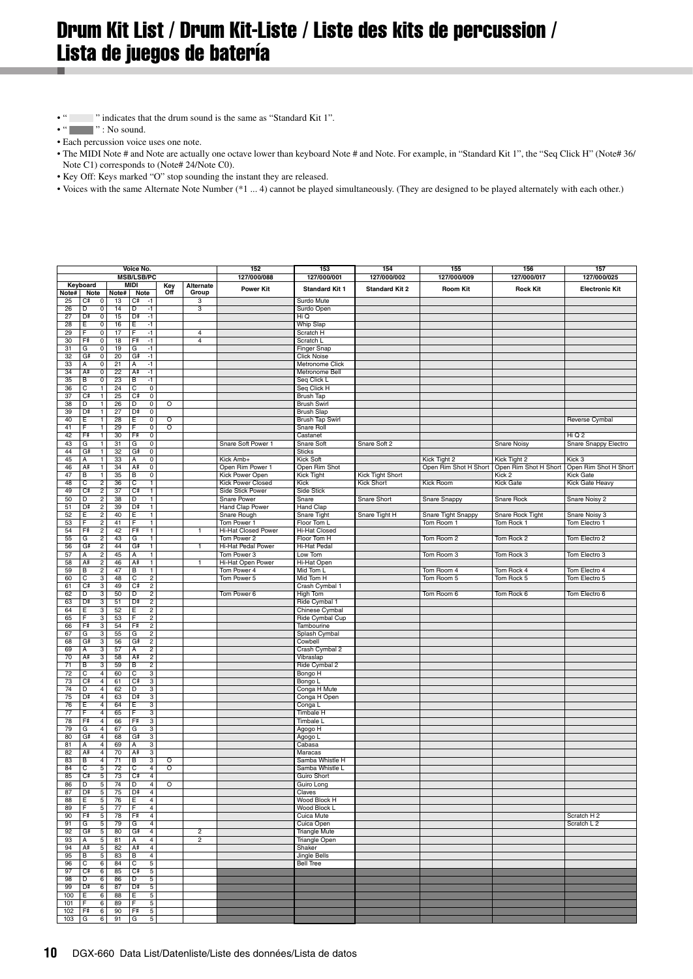# <span id="page-9-0"></span>Drum Kit List / Drum Kit-Liste / Liste des kits de percussion / Lista de juegos de batería

- " " indicates that the drum sound is the same as "Standard Kit 1".
- $\bullet$  "  $\qquad \qquad$  " : No sound.
- Each percussion voice uses one note.
- The MIDI Note # and Note are actually one octave lower than keyboard Note # and Note. For example, in "Standard Kit 1", the "Seq Click H" (Note# 36/
- Note C1) corresponds to (Note# 24/Note C0).
- Key Off: Keys marked "O" stop sounding the instant they are released.
- Voices with the same Alternate Note Number (\*1 ... 4) cannot be played simultaneously. (They are designed to be played alternately with each other.)

| Voice No.       |                                                      |          | 152                                                  | 153                     | 154              | 155                                 | 156                                     | 157                   |                       |                                 |                                    |
|-----------------|------------------------------------------------------|----------|------------------------------------------------------|-------------------------|------------------|-------------------------------------|-----------------------------------------|-----------------------|-----------------------|---------------------------------|------------------------------------|
|                 |                                                      |          | <b>MSB/LSB/PC</b>                                    |                         |                  | 127/000/088                         | 127/000/001                             | 127/000/002           | 127/000/009           | 127/000/017                     | 127/000/025                        |
|                 | Keyboard                                             |          | <b>MIDI</b>                                          | Key<br>Off              | <b>Alternate</b> | <b>Power Kit</b>                    | <b>Standard Kit 1</b>                   | <b>Standard Kit 2</b> | <b>Room Kit</b>       | <b>Rock Kit</b>                 | <b>Electronic Kit</b>              |
| Note# I         | Note                                                 | Note#    | Note                                                 |                         | Group            |                                     |                                         |                       |                       |                                 |                                    |
| 25<br>26        | Сŧ<br>$\overline{\mathbf{0}}$<br>Đ<br>$\overline{0}$ | 13<br>14 | C#<br>-1<br>Đ<br>-1                                  |                         | з<br>3           |                                     | Surdo Mute<br>Surdo Open                |                       |                       |                                 |                                    |
| 27              | D÷<br>$\overline{0}$                                 | 15       | D#<br>-1                                             |                         |                  |                                     | Hi Q                                    |                       |                       |                                 |                                    |
| 28              | 0<br>E                                               | 16       | -1<br>E                                              |                         |                  |                                     | <b>Whip Slap</b>                        |                       |                       |                                 |                                    |
| 29              | $\overline{\mathbf{0}}$<br>E                         | 17       | $-1$<br>F                                            |                         | $\overline{4}$   |                                     | Scratch H                               |                       |                       |                                 |                                    |
| 30              | F#<br>$\overline{\mathbf{0}}$                        | 18       | Fŧ<br>$\cdot$ 1                                      |                         | 4                |                                     | Scratch L                               |                       |                       |                                 |                                    |
| 31              | G<br>0                                               | 19       | G<br>$-1$                                            |                         |                  |                                     | Finger Snap                             |                       |                       |                                 |                                    |
| 32<br>33        | $\overline{0}$<br>G#<br>А<br>0                       | 20<br>21 | G#<br>$-1$<br>Α<br>$-1$                              |                         |                  |                                     | <b>Click Noise</b><br>Metronome Click   |                       |                       |                                 |                                    |
| 34              | A#<br>$\overline{0}$                                 | 22       | A#<br>$-1$                                           |                         |                  |                                     | Metronome Bell                          |                       |                       |                                 |                                    |
| 35              | В<br>$\overline{0}$                                  | 23       | B<br>$-1$                                            |                         |                  |                                     | Seq Click L                             |                       |                       |                                 |                                    |
| 36              | C<br>$\mathbf{1}$                                    | 24       | $\overline{0}$<br>C                                  |                         |                  |                                     | Seq Click H                             |                       |                       |                                 |                                    |
| 37              | C.<br>T                                              | 25       | $\overline{0}$<br>C#                                 |                         |                  |                                     | <b>Brush Tap</b>                        |                       |                       |                                 |                                    |
| 38<br>39        | T<br>D<br>D#<br>Ŧ                                    | 26<br>27 | $\overline{0}$<br>D<br>D#<br>$\overline{\mathbf{0}}$ | $\overline{\circ}$      |                  |                                     | <b>Brush Swirl</b><br><b>Brush Slap</b> |                       |                       |                                 |                                    |
| 40              | Ε<br>$\mathbf{1}$                                    | 28       | Ε<br>0                                               | $\circ$                 |                  |                                     | <b>Brush Tap Swirl</b>                  |                       |                       |                                 | Reverse Cymbal                     |
| 41              | F<br>T                                               | 29       | $\overline{0}$<br>F                                  | $\overline{\circ}$      |                  |                                     | Snare Roll                              |                       |                       |                                 |                                    |
| 42              | F#<br>1                                              | 30       | Fŧ<br>$\mathbf 0$                                    |                         |                  |                                     | Castanet                                |                       |                       |                                 | Hi Q 2                             |
| 43              | $\overline{1}$<br>G                                  | 31       | G<br>$\overline{0}$                                  |                         |                  | Snare Soft Power 1                  | <b>Snare Soft</b>                       | Snare Soft 2          |                       | <b>Snare Noisy</b>              | Snare Snappy Electro               |
| 44              | G#<br>$\mathbf{1}$                                   | 32       | G#<br>$\overline{0}$                                 |                         |                  |                                     | <b>Sticks</b>                           |                       |                       |                                 |                                    |
| 45              | А<br>1                                               | 33       | Α<br>0                                               |                         |                  | Kick Amb+                           | Kick Soft                               |                       | Kick Tight 2          | Kick Tight 2                    | Kick 3                             |
| 46<br>47        | A#<br>1<br>В<br>$\mathbf{1}$                         | 34<br>35 | A#<br>$\overline{0}$<br>B<br>$\mathbf 0$             |                         |                  | Open Rim Power 1<br>Kick Power Open | Open Rim Shot<br><b>Kick Tight</b>      | Kick Tight Short      | Open Rim Shot H Short | Open Rim Shot H Short<br>Kick 2 | Open Rim Shot H Short<br>Kick Gate |
| 48              | C<br>$\overline{2}$                                  | 36       | $\overline{c}$<br>$\overline{1}$                     |                         |                  | <b>Kick Power Closed</b>            | Kick                                    | Kick Short            | <b>Kick Room</b>      | <b>Kick Gate</b>                | Kick Gate Heavy                    |
| 49              | C#<br>$\overline{c}$                                 | 37       | C#<br>$\mathbf{1}$                                   |                         |                  | Side Stick Power                    | Side Stick                              |                       |                       |                                 |                                    |
| 50              | $\overline{2}$<br>Ð                                  | 38       | Đ<br>T                                               |                         |                  | Snare Power                         | Snare                                   | Snare Short           | Snare Snappy          | <b>Snare Rock</b>               | Snare Noisy 2                      |
| 51              | Dŧ<br>$\overline{\mathbf{2}}$                        | 39       | D#<br>1                                              |                         |                  | <b>Hand Clap Power</b>              | <b>Hand Clap</b>                        |                       |                       |                                 |                                    |
| 52              | $\overline{2}$<br>Ε                                  | 40       | $\overline{1}$<br>E                                  |                         |                  | Snare Rough                         | <b>Snare Tight</b>                      | Snare Tight H         | Snare Tight Snappy    | Snare Rock Tight                | Snare Noisy 3                      |
| 53<br>54        | $\overline{2}$<br>F<br>Fŧ<br>$\overline{2}$          | 41<br>42 | $\mathbf{1}$<br>F<br>Fŧ                              |                         | $\mathbf{1}$     | Tom Power 1                         | Floor Tom L<br><b>Hi-Hat Closed</b>     |                       | Tom Room 1            | Tom Rock 1                      | Tom Electro 1                      |
| 55              | $\overline{2}$<br>G                                  | 43       | 1<br>G<br>$\mathbf{1}$                               |                         |                  | Hi-Hat Closed Power<br>Tom Power 2  | Floor Tom H                             |                       | Tom Room 2            | Tom Rock 2                      | Tom Electro 2                      |
| 56              | G#<br>$\overline{2}$                                 | 44       | G=<br>$\overline{1}$                                 |                         | 1                | Hi-Hat Pedal Power                  | <b>Hi-Hat Pedal</b>                     |                       |                       |                                 |                                    |
| 57              | $\overline{2}$<br>A                                  | 45       | T<br>A                                               |                         |                  | Tom Power 3                         | Low Tom                                 |                       | Tom Room 3            | Tom Rock 3                      | Tom Electro 3                      |
| 58              | A#<br>$\overline{2}$                                 | 46       | A#<br>T                                              |                         | 1                | Hi-Hat Open Power                   | Hi-Hat Open                             |                       |                       |                                 |                                    |
| 59              | $\overline{c}$<br>в                                  | 47       | в<br>$\mathbf{1}$                                    |                         |                  | Tom Power 4                         | Mid Tom L                               |                       | Tom Room 4            | Tom Rock 4                      | Tom Electro 4                      |
| 60              | C<br>3<br>$C^{\frac{1}{2}}$                          | 48       | C<br>$\overline{c}$<br>C#<br>$\overline{2}$          |                         |                  | Tom Power 5                         | Mid Tom H                               |                       | Tom Room 5            | Tom Rock 5                      | Tom Electro 5                      |
| 61<br>62        | $\overline{3}$<br>D<br>3                             | 49<br>50 | D<br>$\overline{2}$                                  |                         |                  | Tom Power 6                         | Crash Cymbal 1<br><b>High Tom</b>       |                       | Tom Room 6            | Tom Rock 6                      | Tom Electro 6                      |
| 63              | D#<br>3                                              | 51       | D#<br>$\overline{2}$                                 |                         |                  |                                     | Ride Cymbal 1                           |                       |                       |                                 |                                    |
| 64              | 3<br>Е                                               | 52       | $\overline{\mathbf{c}}$<br>Е                         |                         |                  |                                     | Chinese Cymbal                          |                       |                       |                                 |                                    |
| 65              | 3<br>E                                               | 53       | $\overline{\mathbf{c}}$<br>F                         |                         |                  |                                     | Ride Cymbal Cup                         |                       |                       |                                 |                                    |
| 66              | 3<br>Fŧ                                              | 54       | F<br>$\overline{2}$                                  |                         |                  |                                     | Tambourine                              |                       |                       |                                 |                                    |
| 67              | 3<br>G                                               | 55       | $\overline{2}$<br>G                                  |                         |                  |                                     | Splash Cymbal                           |                       |                       |                                 |                                    |
| 68<br>69        | G#<br>3<br>$\overline{3}$<br>Ā                       | 56<br>57 | G#<br>$\overline{2}$<br>$\overline{2}$<br>A          |                         |                  |                                     | Cowbell<br>Crash Cymbal 2               |                       |                       |                                 |                                    |
| 70              | A#<br>3                                              | 58       | A#<br>$\overline{c}$                                 |                         |                  |                                     | Vibraslap                               |                       |                       |                                 |                                    |
| $\overline{71}$ | $\overline{B}$<br>$\overline{3}$                     | 59       | $\overline{B}$<br>$\overline{2}$                     |                         |                  |                                     | Ride Cymbal 2                           |                       |                       |                                 |                                    |
| 72              | С<br>$\overline{4}$                                  | 60       | с<br>3                                               |                         |                  |                                     | Bongo H                                 |                       |                       |                                 |                                    |
| 73              | C.<br>$\overline{4}$                                 | 61       | C#<br>3                                              |                         |                  |                                     | Bongo L                                 |                       |                       |                                 |                                    |
| 74              | D<br>$\overline{4}$                                  | 62       | $\overline{3}$<br>D                                  |                         |                  |                                     | Conga H Mute                            |                       |                       |                                 |                                    |
| 75              | D#<br>$\overline{4}$                                 | 63       | D#<br>3                                              |                         |                  |                                     | Conga H Open                            |                       |                       |                                 |                                    |
| 76<br>77        | 4<br>E<br>E<br>$\overline{4}$                        | 64<br>65 | $\overline{3}$<br>Ε<br>F<br>3                        |                         |                  |                                     | Conga L<br>Timbale H                    |                       |                       |                                 |                                    |
| 78              | F#<br>$\overline{4}$                                 | 66       | F<br>$\overline{3}$                                  |                         |                  |                                     | Timbale L                               |                       |                       |                                 |                                    |
| 79              | G<br>4                                               | 67       | G<br>3                                               |                         |                  |                                     | Agogo H                                 |                       |                       |                                 |                                    |
| 80              | $\overline{4}$<br>G#                                 | 68       | G<br>$\overline{3}$                                  |                         |                  |                                     | Agogo L                                 |                       |                       |                                 |                                    |
| 81              | $\overline{4}$<br>А                                  | 69       | 3<br>Α                                               |                         |                  |                                     | Cabasa                                  |                       |                       |                                 |                                    |
| 82              | $\overline{4}$<br>A#                                 | 70       | A#<br>3                                              |                         |                  |                                     | Maracas                                 |                       |                       |                                 |                                    |
| 83<br>84        | В<br>$\overline{4}$<br>C<br>5                        | 71<br>72 | В<br>3<br>C<br>$\overline{4}$                        | ō<br>$\overline{\circ}$ |                  |                                     | Samba Whistle H<br>Samba Whistle L      |                       |                       |                                 |                                    |
| 85              | Сŧ<br>5                                              | 73       | C#<br>$\overline{4}$                                 |                         |                  |                                     | <b>Guiro Short</b>                      |                       |                       |                                 |                                    |
| 86              | D<br>5                                               | 74       | D<br>$\overline{4}$                                  | ō                       |                  |                                     | Guiro Long                              |                       |                       |                                 |                                    |
| 87              | D#<br>5                                              | 75       | D#<br>$\overline{4}$                                 |                         |                  |                                     | Claves                                  |                       |                       |                                 |                                    |
| 88              | E<br>5                                               | 76       | Ė<br>$\overline{4}$                                  |                         |                  |                                     | Wood Block H                            |                       |                       |                                 |                                    |
| 89              | 5<br>Е                                               | 77       | Ē<br>$\overline{4}$                                  |                         |                  |                                     | Wood Block L                            |                       |                       |                                 |                                    |
| 90<br>91        | F#<br>5<br>G<br>5                                    | 78<br>79 | Fŧ<br>$\overline{4}$<br>G<br>$\overline{4}$          |                         |                  |                                     | Cuica Mute<br>Cuica Open                |                       |                       |                                 | Scratch H 2<br>Scratch L 2         |
| 92              | G#<br>5                                              | 80       | G<br>$\overline{4}$                                  |                         | $\overline{2}$   |                                     | <b>Triangle Mute</b>                    |                       |                       |                                 |                                    |
| 93              | 5<br>Α                                               | 81       | 4<br>А                                               |                         | 2                |                                     | <b>Triangle Open</b>                    |                       |                       |                                 |                                    |
| 94              | 5<br>A#                                              | 82       | A#<br>$\overline{4}$                                 |                         |                  |                                     | Shaker                                  |                       |                       |                                 |                                    |
| 95              | В<br>5                                               | 83       | в<br>$\overline{4}$                                  |                         |                  |                                     | <b>Jingle Bells</b>                     |                       |                       |                                 |                                    |
| 96              | c<br>6                                               | 84       | C<br>5                                               |                         |                  |                                     | <b>Bell Tree</b>                        |                       |                       |                                 |                                    |
| 97              | C₽<br>$6\overline{6}$                                | 85       | C#<br>5                                              |                         |                  |                                     |                                         |                       |                       |                                 |                                    |
| 98<br>99        | D<br>6<br>D#<br>6                                    | 86<br>87 | D<br>5<br>D#<br>5                                    |                         |                  |                                     |                                         |                       |                       |                                 |                                    |
| 100             | F<br>6                                               | 88       | F<br>5                                               |                         |                  |                                     |                                         |                       |                       |                                 |                                    |
| 101             | 6<br>F                                               | 89       | 5<br>F                                               |                         |                  |                                     |                                         |                       |                       |                                 |                                    |
| 102             | F#<br>6                                              | 90       | Fŧ<br>5                                              |                         |                  |                                     |                                         |                       |                       |                                 |                                    |
| 103             | $6 \overline{6}$<br>G                                | 91       | G<br>5                                               |                         |                  |                                     |                                         |                       |                       |                                 |                                    |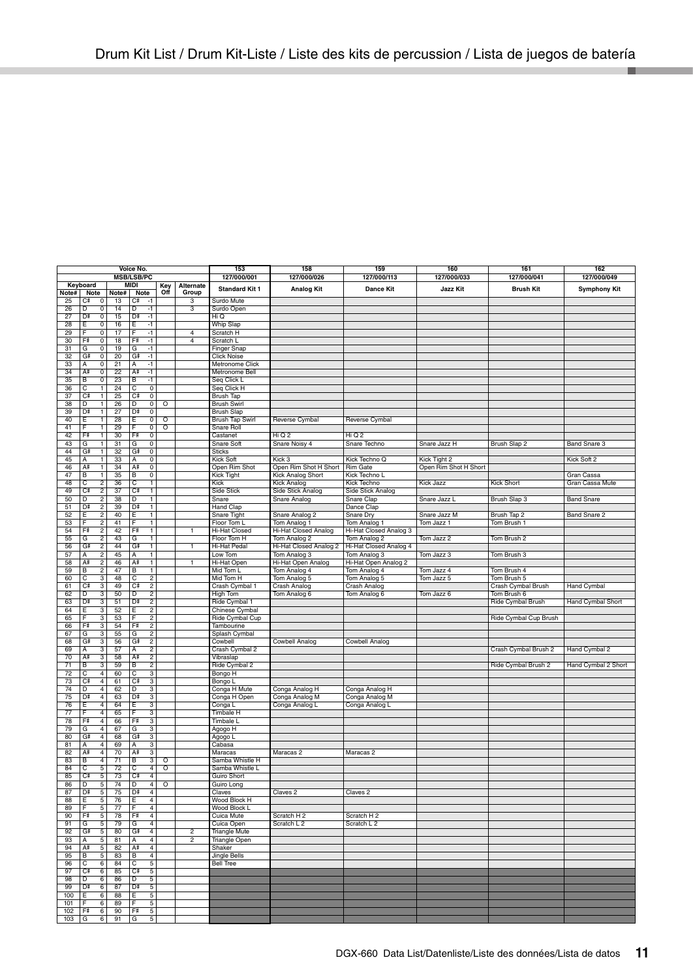| Voice No.       |                   | 153                             | 158                     | 159                              | 160                     | 161                     | 162                          |                                       |                            |                       |                       |                     |
|-----------------|-------------------|---------------------------------|-------------------------|----------------------------------|-------------------------|-------------------------|------------------------------|---------------------------------------|----------------------------|-----------------------|-----------------------|---------------------|
|                 |                   |                                 | <b>MSB/LSB/PC</b>       |                                  |                         |                         | 127/000/001                  | 127/000/026                           | 127/000/113                | 127/000/033           | 127/000/041           | 127/000/049         |
|                 | Keyboard          |                                 | MIDI                    |                                  | Key<br>Off              | Alternate               |                              |                                       |                            |                       | <b>Brush Kit</b>      |                     |
| Note#           | Note              | Note#                           | Note                    |                                  |                         | Group                   | <b>Standard Kit 1</b>        | <b>Analog Kit</b>                     | <b>Dance Kit</b>           | Jazz Kit              |                       | <b>Symphony Kit</b> |
| 25              | Сŧ                | 0<br>13                         | C#                      | $-1$                             |                         | 3                       | Surdo Mute                   |                                       |                            |                       |                       |                     |
| 26              | Đ                 | 0<br>14                         | D                       | $-1$                             |                         | 3                       | Surdo Open                   |                                       |                            |                       |                       |                     |
| 27              | D₽                | $\overline{0}$<br>15            | D#                      | $-1$                             |                         |                         | Hi Q                         |                                       |                            |                       |                       |                     |
| 28              | Ε                 | 0<br>16                         | Ε                       | $-1$                             |                         |                         | Whip Slap                    |                                       |                            |                       |                       |                     |
| 29              | F                 | 17<br>$\overline{0}$            | F                       | -1                               |                         | $\overline{4}$          | Scratch H                    |                                       |                            |                       |                       |                     |
| 30              | F#                | 0<br>18                         | F                       | $-1$                             |                         | $\overline{4}$          | Scratch L                    |                                       |                            |                       |                       |                     |
| 31              | G                 | $\overline{\text{o}}$<br>19     | G                       | -1                               |                         |                         | <b>Finger Snap</b>           |                                       |                            |                       |                       |                     |
| 32              | G#                | 0<br>20                         | G₽                      | $-1$                             |                         |                         | <b>Click Noise</b>           |                                       |                            |                       |                       |                     |
| 33              | А                 | 0<br>21                         | Α                       | $-1$                             |                         |                         | Metronome Click              |                                       |                            |                       |                       |                     |
| 34              | A#                | $\overline{0}$<br>22            | A#                      | -1                               |                         |                         | Metronome Bell               |                                       |                            |                       |                       |                     |
| 35              | В                 | 0<br>23                         | в                       | -1                               |                         |                         | Seq Click L                  |                                       |                            |                       |                       |                     |
| 36              | $\overline{c}$    | 24<br>1                         | c                       | $\overline{\text{o}}$            |                         |                         | Seq Click H                  |                                       |                            |                       |                       |                     |
| 37              | C₽                | T<br>25                         | C#                      | $\overline{\mathbf{0}}$          |                         |                         | <b>Brush Tap</b>             |                                       |                            |                       |                       |                     |
| 38              | D                 | 26<br>$\mathbf{1}$              | D                       | $^{\circ}$                       | O                       |                         | <b>Brush Swirl</b>           |                                       |                            |                       |                       |                     |
| 39              | D#<br>Έ           | 27<br>$\mathbf{1}$              | D#                      | $\overline{\mathbf{0}}$          |                         |                         | <b>Brush Slap</b>            |                                       |                            |                       |                       |                     |
| 40<br>41        | Έ                 | 28<br>29<br>$\overline{1}$      | Ε<br>Έ                  | 0<br>$\overline{\mathbf{0}}$     | O<br>$\overline{\circ}$ |                         | <b>Brush Tap Swirl</b>       | Reverse Cymbal                        | Reverse Cymbal             |                       |                       |                     |
| 42              | F#                | 30<br>$\mathbf{1}$              | F                       | $\overline{\mathbf{0}}$          |                         |                         | Snare Roll<br>Castanet       | Hi Q 2                                | Hi Q 2                     |                       |                       |                     |
| 43              | G                 | $\mathbf{1}$<br>31              | G                       | $\mathbf 0$                      |                         |                         | Snare Soft                   | Snare Noisy 4                         | Snare Techno               | Snare Jazz H          | Brush Slap 2          | Band Snare 3        |
| 44              | G#                | 32<br>$\mathbf{1}$              | G#                      | $\overline{0}$                   |                         |                         | <b>Sticks</b>                |                                       |                            |                       |                       |                     |
| 45              | А                 | 33<br>1                         | Α                       | 0                                |                         |                         | Kick Soft                    | Kick 3                                | Kick Techno Q              | Kick Tight 2          |                       | Kick Soft 2         |
| 46              | A#                | Ŧ<br>34                         | A#                      | $\overline{0}$                   |                         |                         | Open Rim Shot                | Open Rim Shot H Short                 | <b>Rim Gate</b>            | Open Rim Shot H Short |                       |                     |
| 47              | В                 | 35<br>$\mathbf{1}$              | в                       | $\overline{\text{o}}$            |                         |                         | <b>Kick Tight</b>            | <b>Kick Analog Short</b>              | Kick Techno L              |                       |                       | Gran Cassa          |
| 48              | C                 | 2<br>36                         | с                       | $\mathbf{1}$                     |                         |                         | Kick                         | Kick Analog                           | Kick Techno                | Kick Jazz             | <b>Kick Short</b>     | Gran Cassa Mute     |
| 49              | Сŧ                | $\overline{2}$<br>37            | C#                      | $\overline{1}$                   |                         |                         | Side Stick                   | Side Stick Analog                     | Side Stick Analog          |                       |                       |                     |
| 50              | D                 | $\overline{\mathbf{c}}$<br>38   | D                       | 1                                |                         |                         | Snare                        | Snare Analog                          | Snare Clap                 | Snare Jazz L          | Brush Slap 3          | <b>Band Snare</b>   |
| 51              | D#                | $\overline{2}$<br>39            | D#                      | $\overline{1}$                   |                         |                         | <b>Hand Clap</b>             |                                       | Dance Clap                 |                       |                       |                     |
| 52              | F                 | 40<br>2                         | Έ                       | $\overline{1}$                   |                         |                         | Snare Tight                  | Snare Analog 2                        | Snare Dry                  | Snare Jazz M          | Brush Tap 2           | Band Snare 2        |
| 53              | F                 | 41<br>2                         | E                       | 1                                |                         |                         | Floor Tom L                  | Tom Analog 1                          | Tom Analog 1               | Tom Jazz 1            | Tom Brush 1           |                     |
| 54              | F#                | $\overline{2}$<br>42            | Fŧ                      | $\overline{1}$                   |                         | $\mathbf{1}$            | <b>Hi-Hat Closed</b>         | Hi-Hat Closed Analog                  | Hi-Hat Closed Analog 3     |                       |                       |                     |
| 55              | G                 | 2<br>43                         | G                       | T                                |                         |                         | Floor Tom H                  | Tom Analog 2                          | Tom Analog 2               | Tom Jazz 2            | Tom Brush 2           |                     |
| 56              | G#                | $\overline{2}$<br>44            | G#                      | $\overline{1}$                   |                         | T                       | Hi-Hat Pedal                 | Hi-Hat Closed Analog 2                | Hi-Hat Closed Analog 4     |                       |                       |                     |
| 57              | A                 | 45<br>$\overline{2}$            | Α                       | T                                |                         |                         | Low Tom                      | Tom Analog 3                          | Tom Analog 3               | Tom Jazz 3            | Tom Brush 3           |                     |
| 58              | A#                | 46<br>$\overline{2}$            | A#                      | T                                |                         | 1                       | Hi-Hat Open                  | Hi-Hat Open Analog                    | Hi-Hat Open Analog 2       |                       |                       |                     |
| 59              | В                 | $\overline{2}$<br>47            | в                       | $\mathbf{1}$                     |                         |                         | Mid Tom L                    | Tom Analog 4                          | Tom Analog 4               | Tom Jazz 4            | Tom Brush 4           |                     |
| 60              | C                 | 3<br>48                         | C                       | $\overline{c}$                   |                         |                         | Mid Tom H                    | Tom Analog 5                          | Tom Analog 5               | Tom Jazz 5            | Tom Brush 5           |                     |
| 61              | $C^{\frac{1}{2}}$ | $\overline{3}$<br>49            | C#                      | $\overline{2}$                   |                         |                         | Crash Cymbal 1               | Crash Analog                          | <b>Crash Analog</b>        |                       | Crash Cymbal Brush    | <b>Hand Cymbal</b>  |
| 62              | D                 | 50<br>3                         | D                       | $\overline{2}$                   |                         |                         | High Tom                     | Tom Analog 6                          | Tom Analog 6               | Tom Jazz 6            | Tom Brush 6           |                     |
| 63              | D#                | 51<br>3                         | D#                      | $\overline{2}$                   |                         |                         | Ride Cymbal 1                |                                       |                            |                       | Ride Cymbal Brush     | Hand Cymbal Short   |
| 64              | Ε                 | 3<br>52                         | F                       | $\overline{2}$                   |                         |                         | Chinese Cymbal               |                                       |                            |                       |                       |                     |
| 65              | E<br>F#           | 3<br>53                         | E<br>F                  | $\overline{\mathbf{c}}$          |                         |                         | Ride Cymbal Cup              |                                       |                            |                       | Ride Cymbal Cup Brush |                     |
| 66              |                   | 3<br>54                         |                         | $\overline{2}$                   |                         |                         | Tambourine                   |                                       |                            |                       |                       |                     |
| 67<br>68        | G<br>G#           | 55<br>3<br>56<br>3              | G<br>G₽                 | $\overline{2}$<br>$\overline{2}$ |                         |                         | Splash Cymbal<br>Cowbell     | Cowbell Analog                        | Cowbell Analog             |                       |                       |                     |
| 69              | Ā                 | 57<br>3                         | Α                       | $\overline{2}$                   |                         |                         | Crash Cymbal 2               |                                       |                            |                       | Crash Cymbal Brush 2  | Hand Cymbal 2       |
| 70              | A#                | 3<br>58                         | A#                      | $\overline{\mathbf{c}}$          |                         |                         | Vibraslap                    |                                       |                            |                       |                       |                     |
| $\overline{71}$ | B                 | $\overline{3}$<br>59            | $\overline{B}$          | $\overline{2}$                   |                         |                         | Ride Cymbal 2                |                                       |                            |                       | Ride Cymbal Brush 2   | Hand Cymbal 2 Short |
| 72              | C                 | 4<br>60                         | c                       | 3                                |                         |                         | Bongo H                      |                                       |                            |                       |                       |                     |
| 73              | Сŧ                | 61<br>4                         | C#                      | 3                                |                         |                         | Bongo L                      |                                       |                            |                       |                       |                     |
| 74              | D                 | 4<br>62                         | D                       | 3                                |                         |                         | Conga H Mute                 | Conga Analog H                        | Conga Analog H             |                       |                       |                     |
| 75              | Dŧ                | 4<br>63                         | D#                      | 3                                |                         |                         | Conga H Open                 | Conga Analog M                        | Conga Analog M             |                       |                       |                     |
| 76              | Ε                 | 4<br>64                         | Έ                       | 3                                |                         |                         | Conga L                      | Conga Analog L                        | Conga Analog L             |                       |                       |                     |
| 77              | F                 | 4<br>65                         | F                       | 3                                |                         |                         | Timbale H                    |                                       |                            |                       |                       |                     |
| 78              | F‡                | 66<br>$\overline{4}$            | Fŧ                      | $\overline{3}$                   |                         |                         | Timbale L                    |                                       |                            |                       |                       |                     |
| 79              | G                 | 4<br>67                         | G                       | 3                                |                         |                         | Agogo H                      |                                       |                            |                       |                       |                     |
| 80              | G#                | $\overline{4}$<br>68            | G                       | 3                                |                         |                         | Agogo L                      |                                       |                            |                       |                       |                     |
| 81              | Ā                 | 4<br>69                         | Α                       | 3                                |                         |                         | Cabasa                       |                                       |                            |                       |                       |                     |
| 82              | A#                | $\overline{4}$<br>70            | A#                      | 3                                |                         |                         | Maracas                      | Maracas 2                             | Maracas 2                  |                       |                       |                     |
| 83              | В                 | $\overline{4}$<br>71            | B                       | $\overline{3}$                   | ō                       |                         | Samba Whistle H              |                                       |                            |                       |                       |                     |
| 84              | С                 | 72<br>5                         | C                       | 4                                | $\circ$                 |                         | Samba Whistle L              |                                       |                            |                       |                       |                     |
| 85              | Сŧ                | 5<br>73                         | C#                      | $\overline{4}$                   |                         |                         | Guiro Short                  |                                       |                            |                       |                       |                     |
| 86              | Đ                 | 5<br>74                         | $\overline{\mathsf{D}}$ | $\overline{4}$                   | $\overline{\circ}$      |                         | Guiro Long                   |                                       |                            |                       |                       |                     |
| 87              | D#                | $\mathbf 5$<br>75<br>76         | D#                      | $\overline{4}$                   |                         |                         | Claves                       | Claves <sub>2</sub>                   | Claves <sub>2</sub>        |                       |                       |                     |
| 88<br>89        | Ε<br>F            | 5<br>5<br>77                    | Ε<br>F                  | $\overline{4}$<br>4              |                         |                         | Wood Block H<br>Wood Block L |                                       |                            |                       |                       |                     |
|                 |                   |                                 |                         |                                  |                         |                         | Cuica Mute                   |                                       |                            |                       |                       |                     |
| 90<br>91        | F#<br>G           | 5<br>78<br>$\overline{5}$<br>79 | F₿<br>G                 | 4<br>4                           |                         |                         | Cuica Open                   | Scratch H 2<br>Scratch L <sub>2</sub> | Scratch H 2<br>Scratch L 2 |                       |                       |                     |
| 92              | G#                | 5<br>80                         | G#                      | $\overline{4}$                   |                         | $\overline{2}$          | <b>Triangle Mute</b>         |                                       |                            |                       |                       |                     |
| 93              | Α                 | 81<br>5                         | Α                       | $\overline{4}$                   |                         | $\overline{\mathbf{c}}$ | <b>Triangle Open</b>         |                                       |                            |                       |                       |                     |
| 94              | A#                | 5<br>82                         | A#                      | $\overline{4}$                   |                         |                         | Shaker                       |                                       |                            |                       |                       |                     |
| 95              | В                 | 5<br>83                         | в                       | 4                                |                         |                         | Jingle Bells                 |                                       |                            |                       |                       |                     |
| 96              | c                 | 6<br>84                         | c                       | 5                                |                         |                         | <b>Bell Tree</b>             |                                       |                            |                       |                       |                     |
| 97              | Сŧ                | 6<br>85                         | C#                      | 5                                |                         |                         |                              |                                       |                            |                       |                       |                     |
| 98              | D                 | 86<br>6                         | <sup>n</sup>            | 5                                |                         |                         |                              |                                       |                            |                       |                       |                     |
| 99              | Dŧ                | 6<br>87                         | D‡                      | 5                                |                         |                         |                              |                                       |                            |                       |                       |                     |
| 100             | F                 | 6<br>88                         | E                       | 5                                |                         |                         |                              |                                       |                            |                       |                       |                     |
| 101             | F                 | 6<br>89                         | F                       | 5                                |                         |                         |                              |                                       |                            |                       |                       |                     |
| 102             | F#                | 6<br>90                         | F                       | 5                                |                         |                         |                              |                                       |                            |                       |                       |                     |
| 103             | G                 | 91<br>6                         | G                       | 5                                |                         |                         |                              |                                       |                            |                       |                       |                     |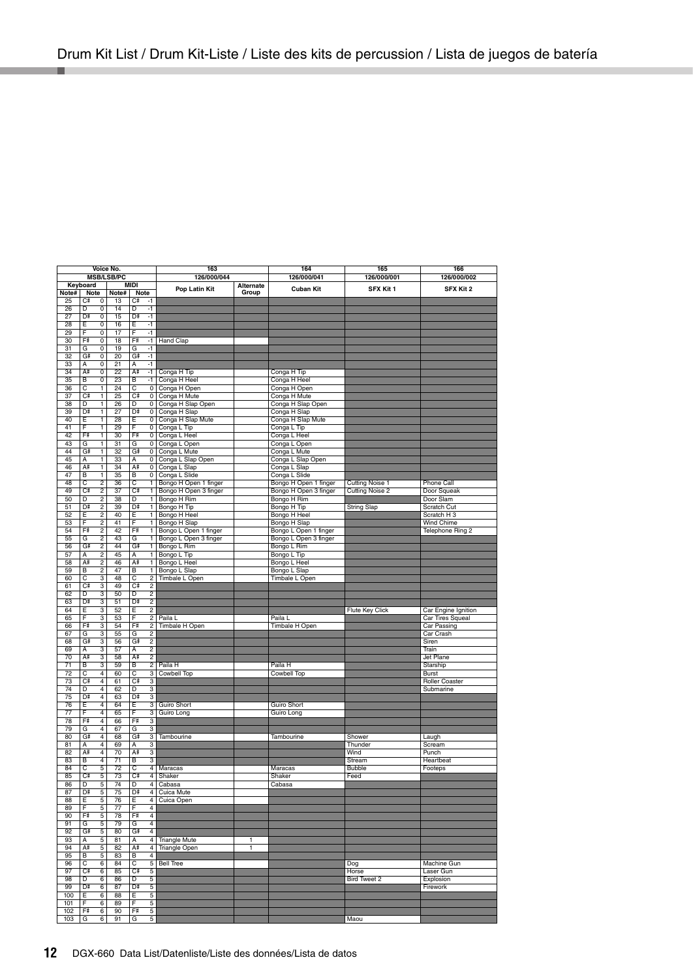| Voice No.       |                                |                      |                | 163                 |                                   | 164                | 165                               | 166                 |                           |
|-----------------|--------------------------------|----------------------|----------------|---------------------|-----------------------------------|--------------------|-----------------------------------|---------------------|---------------------------|
|                 |                                | <b>MSB/LSB/PC</b>    |                |                     | 126/000/044                       |                    | 126/000/041                       | 126/000/001         | 126/000/002               |
| Note#           | Keyboard<br>Note               | Note#                | MIDI           | Note                | Pop Latin Kit                     | Alternate<br>Group | <b>Cuban Kit</b>                  | SFX Kit 1           | SFX Kit 2                 |
| 25              | Сŧ<br>0                        | 13                   | C#             | -1                  |                                   |                    |                                   |                     |                           |
| 26              | D<br>0                         | 14                   | D              | $-1$                |                                   |                    |                                   |                     |                           |
| 27              | D<br>0                         | 15                   | D#             | $-1$                |                                   |                    |                                   |                     |                           |
| 28              | 0<br>E                         | 16                   | E              | $-1$                |                                   |                    |                                   |                     |                           |
| 29              | F<br>0                         | 17                   | F              | $-1$                |                                   |                    |                                   |                     |                           |
| 30              | F#<br>0                        | 18                   | F              | $-1$                | <b>Hand Clap</b>                  |                    |                                   |                     |                           |
| 31<br>32        | G<br>0<br>G#                   | 19                   | G              | $-1$<br>$-1$        |                                   |                    |                                   |                     |                           |
| 33              | 0<br>0<br>A                    | 20<br>21             | G.<br>A        | $-1$                |                                   |                    |                                   |                     |                           |
| 34              | A#<br>0                        | 22                   | A#             | $-1$                | Conga H Tip                       |                    | Conga H Tip                       |                     |                           |
| 35              | 0<br>В                         | 23                   | В              | $-1$                | Conga H Heel                      |                    | Conga H Heel                      |                     |                           |
| 36              | C                              | 1<br>24              | C              | 0                   | Conga H Open                      |                    | Conga H Open                      |                     |                           |
| 37              | C=                             | Ŧ<br>25              | $C^*$          | $\overline{0}$      | Conga H Mute                      |                    | Conga H Mute                      |                     |                           |
| 38              | D                              | 1<br>26              | D              |                     | 0 Conga H Slap Open               |                    | Conga H Slap Open                 |                     |                           |
| 39              | D.                             | 1<br>27              | D#             | 0                   | Conga H Slap                      |                    | Conga H Slap                      |                     |                           |
| 40              | Έ                              | 28<br>1              | Έ              | 0                   | Conga H Slap Mute                 |                    | Conga H Slap Mute                 |                     |                           |
| 41              | Ε<br>1                         | 29                   | F              | 0                   | Conga L Tip                       |                    | Conga L Tip                       |                     |                           |
| 42              | F#                             | 30<br>1              | F              | $\overline{0}$      | Conga L Heel                      |                    | Conga L Heel                      |                     |                           |
| 43<br>44        | G<br>G#                        | 1<br>31              | G              | 0                   | Conga L Open                      |                    | Conga L Open                      |                     |                           |
| 45              | A                              | 1<br>32<br>1<br>33   | G<br>A         | $\mathbf 0$<br>0    | Conga L Mute<br>Conga L Slap Open |                    | Conga L Mute<br>Conga L Slap Open |                     |                           |
| 46              | A#                             | ī<br>34              | A#             | 0                   | Conga L Slap                      |                    | Conga L Slap                      |                     |                           |
| 47              | В                              | 1<br>35              | В              |                     | 0 Conga L Slide                   |                    | Conga L Slide                     |                     |                           |
| 48              | C<br>$\overline{2}$            | 36                   | C              | $\mathbf{1}$        | Bongo H Open 1 finger             |                    | Bongo H Open 1 finger             | Cutting Noise 1     | Phone Call                |
| 49              | $C\bar{z}$<br>2                | 37                   | C#             | 1                   | Bongo H Open 3 finger             |                    | Bongo H Open 3 finger             | Cutting Noise 2     | Door Squeak               |
| 50              | 2<br>D                         | 38                   | D              | 1                   | Bongo H Rim                       |                    | Bongo H Rim                       |                     | Door Slam                 |
| 51              | $\overline{2}$<br>D.           | 39                   | D#             | 1                   | Bongo H Tip                       |                    | Bongo H Tip                       | <b>String Slap</b>  | Scratch Cut               |
| 52              | E                              | $\overline{2}$<br>40 | Έ              | 1                   | Bongo H Heel                      |                    | Bongo H Heel                      |                     | Scratch H <sub>3</sub>    |
| 53              | F<br>2                         | 41                   | Ē              | $\mathbf{1}$        | Bongo H Slap                      |                    | Bongo H Slap                      |                     | Wind Chime                |
| 54              | F#<br>2                        | 42                   | F              | T                   | Bongo L Open 1 finger             |                    | Bongo L Open 1 finger             |                     | Telephone Ring 2          |
| 55              | G<br>2                         | 43                   | G              | 1                   | Bongo L Open 3 finger             |                    | Bongo L Open 3 finger             |                     |                           |
| 56              | $\overline{2}$<br>G#           | 44                   | G              | T                   | Bongo L Rim                       |                    | Bongo L Rim                       |                     |                           |
| 57<br>58        | $\overline{2}$<br>А<br>A#      | 45<br>2<br>46        | А<br>A#        | 1<br>$\mathbf{1}$   | Bongo L Tip                       |                    | Bongo L Tip                       |                     |                           |
| 59              | $\overline{2}$<br>B            | 47                   | $\overline{B}$ | $\overline{1}$      | Bongo L Heel<br>Bongo L Slap      |                    | Bongo L Heel<br>Bongo L Slap      |                     |                           |
| 60              | 3<br>С                         | 48                   | C              | 2                   | Timbale L Open                    |                    | Timbale L Open                    |                     |                           |
| 61              | C.<br>3                        | 49                   | C#             | $\overline{2}$      |                                   |                    |                                   |                     |                           |
| 62              | D<br>3                         | 50                   | D              | $\overline{2}$      |                                   |                    |                                   |                     |                           |
| 63              | D≢                             | 3<br>51              | D#             | $\overline{2}$      |                                   |                    |                                   |                     |                           |
| 64              | 3<br>Ε                         | 52                   | Е              | $\overline{2}$      |                                   |                    |                                   | Flute Key Click     | Car Engine Ignition       |
| 65              | F<br>3                         | 53                   | Ē              | 2                   | Paila L                           |                    | Paila L                           |                     | Car Tires Squeal          |
| 66              | F#<br>3                        | 54                   | F              | $\overline{2}$      | Timbale H Open                    |                    | Timbale H Open                    |                     | <b>Car Passing</b>        |
| 67              | G                              | 3<br>55              | G              | $\overline{2}$      |                                   |                    |                                   |                     | Car Crash                 |
| 68              | 3<br>G#                        | 56                   | G.             | $\mathfrak{p}$      |                                   |                    |                                   |                     | Siren                     |
| 69<br>70        | 3<br>A<br>A#                   | 57                   | A<br>A#        | $\overline{2}$<br>2 |                                   |                    |                                   |                     | Train<br><b>Jet Plane</b> |
| $\overline{71}$ | 3<br>B<br>3                    | 58<br>59             | B              | $\overline{2}$      |                                   |                    | Paila H                           |                     | Starship                  |
| 72              | C<br>4                         | 60                   | C              | 3                   | Paila H<br>Cowbell Top            |                    | <b>Cowbell Top</b>                |                     | <b>Burst</b>              |
| 73              | C.<br>4                        | 61                   | C#             | 3                   |                                   |                    |                                   |                     | <b>Roller Coaster</b>     |
| 74              | D<br>4                         | 62                   | D              | 3                   |                                   |                    |                                   |                     | Submarine                 |
| 75              | D<br>4                         | 63                   | D#             | 3                   |                                   |                    |                                   |                     |                           |
| 76              | Έ<br>$\overline{4}$            | 64                   | E              | 3                   | <b>Guiro Short</b>                |                    | <b>Guiro Short</b>                |                     |                           |
| 77              | F<br>4                         | 65                   | F              | 3                   | Guiro Long                        |                    | Guiro Long                        |                     |                           |
| 78              | F#<br>$\overline{4}$           | 66                   | F              | 3                   |                                   |                    |                                   |                     |                           |
| 79              | G<br>4                         | 67                   | G              | 3                   |                                   |                    |                                   |                     |                           |
| 80              | G#<br>4                        | 68                   | G              | 3                   | Tambourine                        |                    | Tambourine                        | Shower              | Laugh                     |
| 81              | $\overline{4}$<br>A            | 69                   | $\overline{A}$ | 3                   |                                   |                    |                                   | Thunder             | Scream                    |
| 82<br>83        | A#<br>4<br>$\overline{4}$<br>В | 70<br>71             | A#<br>B        | 3<br>3              |                                   |                    |                                   | Wind<br>Stream      | Punch<br>Heartbeat        |
| 84              | c<br>5                         | 72                   | C              | 4                   | Maracas                           |                    | Maracas                           | <b>Bubble</b>       | Footeps                   |
| 85              | Сř<br>5                        | 73                   | C#             | $\overline{4}$      | Shaker                            |                    | Shaker                            | Feed                |                           |
| 86              | 5<br>Đ                         | 74                   | Đ              | $\overline{4}$      | Cabasa                            |                    | Cabasa                            |                     |                           |
| 87              | D#<br>5                        | 75                   | D#             | 4                   | Cuica Mute                        |                    |                                   |                     |                           |
| 88              | 5<br>Ε                         | 76                   | Е              | 4                   | Cuica Open                        |                    |                                   |                     |                           |
| 89              | F<br>5                         | 77                   | F              | 4                   |                                   |                    |                                   |                     |                           |
| 90              | F#<br>5                        | 78                   | Fŧ             | 4                   |                                   |                    |                                   |                     |                           |
| 91              | 5<br>G                         | 79                   | G              | 4                   |                                   |                    |                                   |                     |                           |
| 92              | G#<br>5                        | 80                   | G#             | 4                   |                                   |                    |                                   |                     |                           |
| 93              | 5<br>А                         | 81                   | Α              | $\overline{4}$      | <b>Triangle Mute</b>              | 1                  |                                   |                     |                           |
| 94              | A#<br>5                        | 82                   | A#             | 4<br>4              | Triangle Open                     | ī                  |                                   |                     |                           |
| 95<br>96        | 5<br>В<br>C<br>6               | 83<br>84             | B<br>C         | 5                   | <b>Bell Tree</b>                  |                    |                                   |                     | Machine Gun               |
| 97              | Сŧ<br>6                        | 85                   | C#             | 5                   |                                   |                    |                                   | Dog<br>Horse        | Laser Gun                 |
| 98              | D<br>6                         | 86                   | D              | 5                   |                                   |                    |                                   | <b>Bird Tweet 2</b> | Explosion                 |
| 99              | D<br>6                         | 87                   | D#             | 5                   |                                   |                    |                                   |                     | Firework                  |
| 100             | Έ<br>6                         | 88                   | Е              | 5                   |                                   |                    |                                   |                     |                           |
| 101             | F<br>6                         | 89                   | F              | 5                   |                                   |                    |                                   |                     |                           |
| 102             | F#<br>6                        | 90                   | Få             | 5                   |                                   |                    |                                   |                     |                           |
| 103             | G                              | 6<br>91              | G              | 5                   |                                   |                    |                                   | Maou                |                           |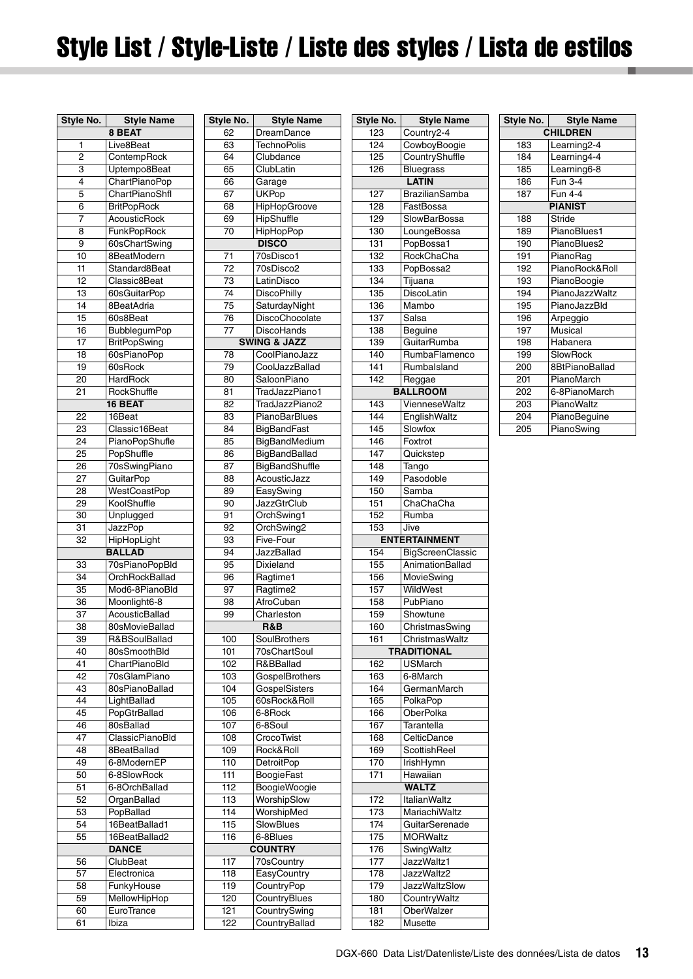# <span id="page-12-0"></span>Style List / Style-Liste / Liste des styles / Lista de estilos

| Style No. | Style Name                    | s |
|-----------|-------------------------------|---|
|           | 8 BEAT                        |   |
| 1         | Live8Beat                     |   |
| 2         | ContempRock                   |   |
| 3         | Uptempo8Beat                  |   |
| 4         | ChartPianoPop                 |   |
| 5         | ChartPianoShfl                |   |
| 6         | <b>BritPopRock</b>            |   |
| 7         | <b>AcousticRock</b>           |   |
| 8         | <b>FunkPopRock</b>            |   |
| 9         | 60sChartSwing                 |   |
| 10        | 8BeatModern                   |   |
| 11        | Standard8Beat                 |   |
| 12        | Classic8Beat                  |   |
| 13        | 60sGuitarPop                  |   |
| 14        | 8BeatAdria                    |   |
| 15        | 60s8Beat                      |   |
| 16        | BubblegumPop                  |   |
| 17        | <b>BritPopSwing</b>           |   |
| 18        | 60sPianoPop                   |   |
| 19        | 60sRock                       |   |
| 20        | HardRock                      |   |
| 21        | RockShuffle                   |   |
|           | 16 BEAT                       |   |
| 22        | 16Beat                        |   |
| 23        | Classic16Beat                 |   |
| 24        | <b>PianoPopShufle</b>         |   |
| 25        | PopShuffle                    |   |
| 26        | 70sSwingPiano                 |   |
| 27        | GuitarPop                     |   |
| 28        | WestCoastPop                  |   |
| 29        | KoolShuffle                   |   |
| 30        | Unplugged                     |   |
| 31        | JazzPop                       |   |
| 32        | <b>HipHopLight</b>            |   |
|           | BALLAD                        |   |
| 33        | 70sPianoPopBld                |   |
| 34        | OrchRockBallad                |   |
| 35        | Mod6-8PianoBld                |   |
| 36        | Moonlight6-8                  |   |
| 37        | AcousticBallad                |   |
| 38        | 80sMovieBallad                |   |
| 39        | R&BSoulBallad                 |   |
| 40        | 80sSmoothBld                  |   |
| 41        | ChartPianoBld                 |   |
| 42<br>43  | 70sGlamPiano                  |   |
| 44        | 80sPianoBallad<br>LightBallad |   |
| 45        |                               |   |
| 46        | PopGtrBallad<br>80sBallad     |   |
| 47        | ClassicPianoBld               |   |
| 48        | 8BeatBallad                   |   |
| 49        | 6-8ModernEP                   |   |
| 50        | 6-8SlowRock                   |   |
| 51        | 6-8OrchBallad                 |   |
| 52        | OrganBallad                   |   |
| 53        | PopBallad                     |   |
| 54        | 16BeatBallad1                 |   |
| 55        | 16BeatBallad2                 |   |
|           | <b>DANCE</b>                  |   |
| 56        | ClubBeat                      |   |
| 57        | Electronica                   |   |
| 58        | FunkyHouse                    |   |
| 59        | MellowHipHop                  |   |
| 60        | EuroTrance                    |   |
| 61        | Ibiza                         |   |

| Style No.        | <b>Style Name</b>       |
|------------------|-------------------------|
| 62               | DreamDance              |
| 63               | <b>TechnoPolis</b>      |
| 64               | Clubdance               |
| 65               | ClubLatin               |
| 66               | Garage                  |
| 67               |                         |
|                  | <b>UKPop</b>            |
| 68               | HipHopGroove            |
| 69               | HipShuffle              |
| 70               | <b>HipHopPop</b>        |
|                  | <b>DISCO</b>            |
| 71               | 70sDisco1               |
| 72               | 70sDisco2               |
| 73               | LatinDisco              |
| 74               | <b>DiscoPhilly</b>      |
| 75               | SaturdayNight           |
|                  |                         |
| 76               | DiscoChocolate          |
| 77               | DiscoHands              |
|                  | <b>SWING &amp; JAZZ</b> |
| 78               | CoolPianoJazz           |
| 79               | CoolJazzBallad          |
| 80               | SaloonPiano             |
| 81               | TradJazzPiano1          |
| 82               | TradJazzPiano2          |
| 83               | PianoBarBlues           |
|                  | <b>BigBandFast</b>      |
| 84               |                         |
| 85               | BigBandMedium           |
| 86               | BigBandBallad           |
| 87               | BigBandShuffle          |
| 88               | AcousticJazz            |
| 89               | EasySwing               |
| 90               | JazzGtrClub             |
| 91               | OrchSwing1              |
| 92               | OrchSwing2              |
| 93               | Five-Four               |
| 94               |                         |
|                  | JazzBallad              |
| 95               | Dixieland               |
| 96               | Ragtime1                |
| 97               | Ragtime2                |
| 98               | AfroCuban               |
| 99               | Charleston              |
|                  | R&B                     |
| 100              | SoulBrothers            |
| 101              | 70sChartSoul            |
| 102              | R&BBallad               |
|                  |                         |
| 103              | GospelBrothers          |
| 104              | GospelSisters           |
| 105              | 60sRock&Roll            |
| 106              | 6-8Rock                 |
| 107              | 6-8Soul                 |
| 108              | CrocoTwist              |
| 109              | Rock&Roll               |
| 110              | <b>DetroitPop</b>       |
| 111              | <b>BoogieFast</b>       |
| 112              | <b>BoogieWoogie</b>     |
|                  |                         |
| 113              | WorshipSlow             |
| 114              | WorshipMed              |
| 115              | SlowBlues               |
| 116              | 6-8Blues                |
|                  | <b>COUNTRY</b>          |
| 117              | 70sCountry              |
| 118              | EasyCountry             |
| 119              | CountryPop              |
| $\overline{1}20$ | CountryBlues            |
| 121              | CountrySwing            |
|                  |                         |
| 122              | CountryBallad           |

| Style No.  | <b>Style Name</b>     |
|------------|-----------------------|
| 123        | Country2-4            |
| 124        | CowboyBoogie          |
| 125        | CountryShuffle        |
| 126        | <b>Bluegrass</b>      |
|            | <b>LATIN</b>          |
| 127        | <b>BrazilianSamba</b> |
|            |                       |
| 128        | FastBossa             |
| 129        | SlowBarBossa          |
| 130        | LoungeBossa           |
| 131        | PopBossa1             |
| 132        | RockChaCha            |
| 133        | PopBossa2             |
| 134        | Tijuana               |
| 135        | DiscoLatin            |
| 136        | Mambo                 |
| 137        | Salsa                 |
| 138        | Beguine               |
| 139        | GuitarRumba           |
| 140        | RumbaFlamenco         |
| 141        | Rumbalsland           |
| 142        | Reggae                |
|            | <b>BALLROOM</b>       |
|            |                       |
| 143        | VienneseWaltz         |
| 144        | EnglishWaltz          |
| 145        | Slowfox               |
| 146        | Foxtrot               |
| 147        | Quickstep             |
| 148        | Tango                 |
| 149        | Pasodoble             |
| 150        | Samba                 |
| 151        | ChaChaCha             |
| 152        |                       |
|            | Rumba                 |
| 153        | Jive                  |
|            |                       |
|            | <b>ENTERTAINMENT</b>  |
| 154        | BigScreenClassic      |
| 155        | AnimationBallad       |
| 156        | MovieSwing            |
| 157        | WildWest              |
| 158        | PubPiano              |
| 159        | Showtune              |
| 160        | ChristmasSwing        |
| 161        | ChristmasWaltz        |
|            | <b>TRADITIONAL</b>    |
| 162        | <b>USMarch</b>        |
| 163        | 6-8March              |
| 164        | GermanMarch           |
| 165        | PolkaPop              |
| 166        | OberPolka             |
| 167        | Tarantella            |
| 168        | CelticDance           |
| 169        | ScottishReel          |
|            |                       |
| 170<br>171 | IrishHymn             |
|            | Hawaiian              |
|            | <b>WALTZ</b>          |
| 172        | <b>ItalianWaltz</b>   |
| 173        | MariachiWaltz         |
| 174        | GuitarSerenade        |
| 175        | <b>MORWaltz</b>       |
| 176        | SwingWaltz            |
| 177        | JazzWaltz1            |
| 178        | JazzWaltz2            |
| 179        | <b>JazzWaltzSlow</b>  |
| 180        | CountryWaltz          |
| 181        | <b>OberWalzer</b>     |

|                 | Style No. Style Name |  |  |  |  |  |  |
|-----------------|----------------------|--|--|--|--|--|--|
| <b>CHILDREN</b> |                      |  |  |  |  |  |  |
| 183             | Learning2-4          |  |  |  |  |  |  |
| 184             | Learning4-4          |  |  |  |  |  |  |
| 185             | Learning6-8          |  |  |  |  |  |  |
| 186             | Fun 3-4              |  |  |  |  |  |  |
| 187             | <b>Fun 4-4</b>       |  |  |  |  |  |  |
|                 | <b>PIANIST</b>       |  |  |  |  |  |  |
| 188             | Stride               |  |  |  |  |  |  |
| 189             | PianoBlues1          |  |  |  |  |  |  |
| 190             | PianoBlues2          |  |  |  |  |  |  |
| 191             | PianoRag             |  |  |  |  |  |  |
| 192             | PianoRock&Roll       |  |  |  |  |  |  |
| 193             | PianoBoogie          |  |  |  |  |  |  |
| 194             | PianoJazzWaltz       |  |  |  |  |  |  |
| 195             | PianoJazzBld         |  |  |  |  |  |  |
| 196             | Arpeggio             |  |  |  |  |  |  |
| 197             | Musical              |  |  |  |  |  |  |
| 198             | Habanera             |  |  |  |  |  |  |
| 199             | SlowRock             |  |  |  |  |  |  |
| 200             | 8BtPianoBallad       |  |  |  |  |  |  |
| 201             | PianoMarch           |  |  |  |  |  |  |
| 202             | 6-8PianoMarch        |  |  |  |  |  |  |
| 203             | PianoWaltz           |  |  |  |  |  |  |
| 204             | PianoBeguine         |  |  |  |  |  |  |
| 205             | PianoSwing           |  |  |  |  |  |  |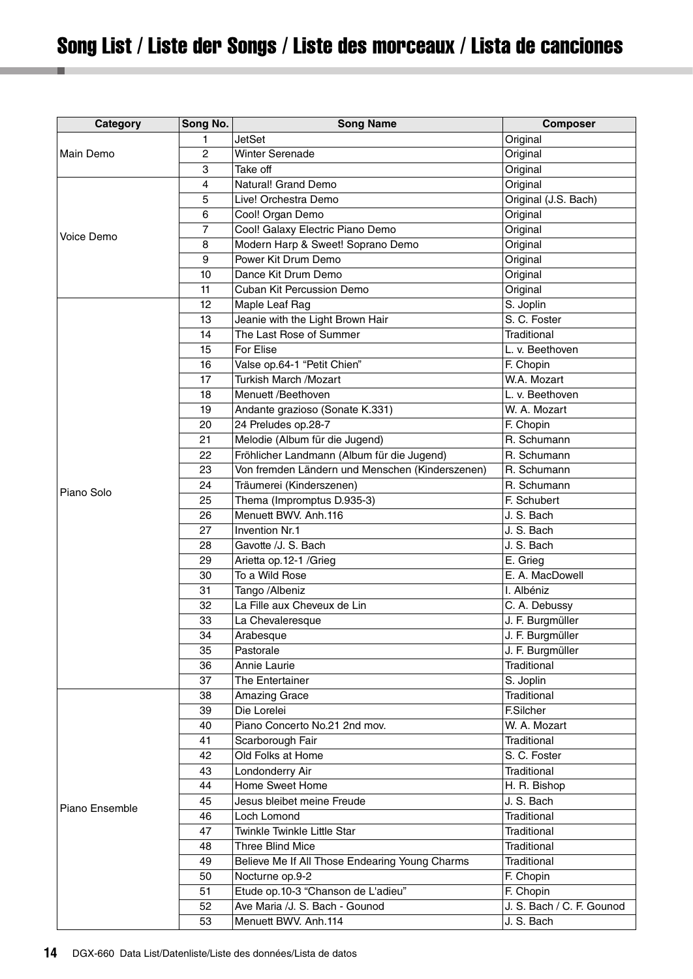# <span id="page-13-0"></span>Song List / Liste der Songs / Liste des morceaux / Lista de canciones

| Category       | Song No.       | <b>Song Name</b>                                | <b>Composer</b>           |
|----------------|----------------|-------------------------------------------------|---------------------------|
|                | 1              | <b>JetSet</b>                                   | Original                  |
| Main Demo      | $\overline{2}$ | <b>Winter Serenade</b>                          | Original                  |
|                | 3              | Take off                                        | Original                  |
|                | 4              | Natural! Grand Demo                             | Original                  |
|                | 5              | Live! Orchestra Demo                            | Original (J.S. Bach)      |
|                | 6              | Cool! Organ Demo                                | Original                  |
|                | 7              | Cool! Galaxy Electric Piano Demo                | Original                  |
| Voice Demo     | 8              | Modern Harp & Sweet! Soprano Demo               | Original                  |
|                | 9              | Power Kit Drum Demo                             | Original                  |
|                | 10             | Dance Kit Drum Demo                             | Original                  |
|                | 11             | Cuban Kit Percussion Demo                       | Original                  |
|                | 12             | Maple Leaf Rag                                  | S. Joplin                 |
|                | 13             | Jeanie with the Light Brown Hair                | S. C. Foster              |
|                | 14             | The Last Rose of Summer                         | Traditional               |
|                | 15             | For Elise                                       | L. v. Beethoven           |
|                | 16             | Valse op.64-1 "Petit Chien"                     | F. Chopin                 |
|                | 17             | Turkish March /Mozart                           | W.A. Mozart               |
|                | 18             | Menuett /Beethoven                              | L. v. Beethoven           |
|                | 19             | Andante grazioso (Sonate K.331)                 | W. A. Mozart              |
|                | 20             | 24 Preludes op.28-7                             | F. Chopin                 |
|                | 21             | Melodie (Album für die Jugend)                  | R. Schumann               |
|                | 22             | Fröhlicher Landmann (Album für die Jugend)      | R. Schumann               |
|                | 23             | Von fremden Ländern und Menschen (Kinderszenen) | R. Schumann               |
| Piano Solo     | 24             | Träumerei (Kinderszenen)                        | R. Schumann               |
|                | 25             | Thema (Impromptus D.935-3)                      | F. Schubert               |
|                | 26             | Menuett BWV. Anh.116                            | J. S. Bach                |
|                | 27             | Invention Nr.1                                  | J. S. Bach                |
|                | 28             | Gavotte /J. S. Bach                             | J. S. Bach                |
|                | 29             | Arietta op.12-1 /Grieg                          | E. Grieg                  |
|                | 30             | To a Wild Rose                                  | E. A. MacDowell           |
|                | 31             | Tango /Albeniz                                  | I. Albéniz                |
|                | 32             | La Fille aux Cheveux de Lin                     | C. A. Debussy             |
|                | 33             | La Chevaleresque                                | J. F. Burgmüller          |
|                | 34             | Arabesque                                       | J. F. Burgmüller          |
|                | 35             | Pastorale                                       | J. F. Burgmüller          |
|                | 36             | Annie Laurie                                    | Traditional               |
|                | 37             | The Entertainer                                 | S. Joplin                 |
|                | 38             | <b>Amazing Grace</b>                            | <b>Traditional</b>        |
|                | 39             | Die Lorelei                                     | <b>F.Silcher</b>          |
|                | 40             | Piano Concerto No.21 2nd mov.                   | W. A. Mozart              |
|                | 41             | Scarborough Fair                                | Traditional               |
|                | 42             | Old Folks at Home                               | S. C. Foster              |
|                | 43             | Londonderry Air                                 | Traditional               |
|                | 44             | Home Sweet Home                                 | H. R. Bishop              |
| Piano Ensemble | 45             | Jesus bleibet meine Freude                      | J. S. Bach                |
|                | 46             | Loch Lomond                                     | Traditional               |
|                | 47             | Twinkle Twinkle Little Star                     | Traditional               |
|                | 48             | Three Blind Mice                                | Traditional               |
|                | 49             | Believe Me If All Those Endearing Young Charms  | Traditional               |
|                | 50             | Nocturne op.9-2                                 | F. Chopin                 |
|                | 51             | Etude op.10-3 "Chanson de L'adieu"              | F. Chopin                 |
|                | 52             | Ave Maria /J. S. Bach - Gounod                  | J. S. Bach / C. F. Gounod |
|                | 53             | Menuett BWV. Anh.114                            | J. S. Bach                |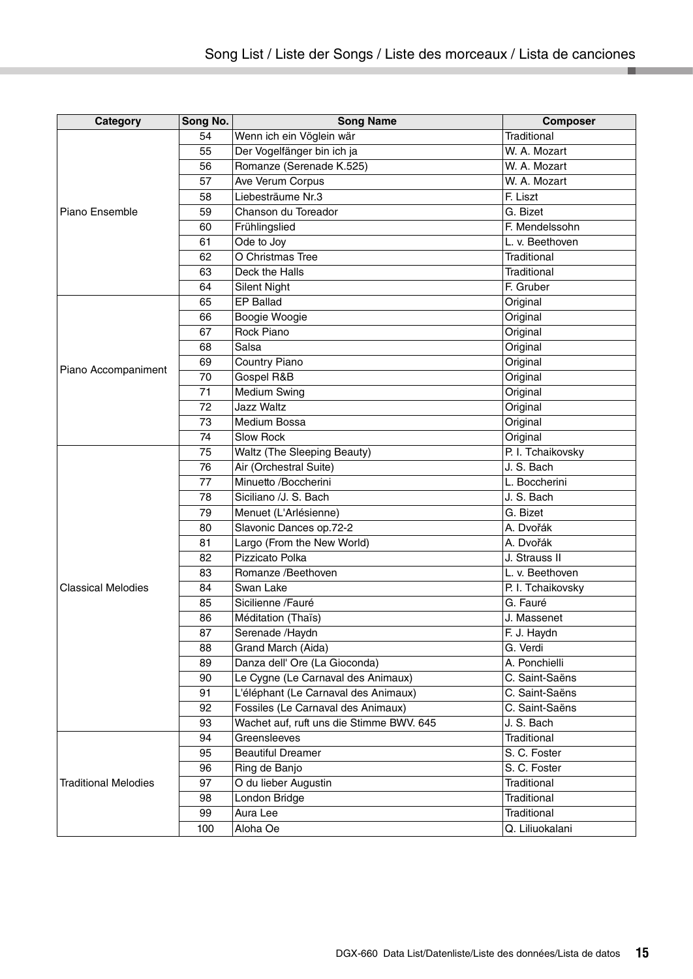| Category                    | Song No. | <b>Song Name</b>                         | <b>Composer</b>   |
|-----------------------------|----------|------------------------------------------|-------------------|
|                             | 54       | Wenn ich ein Vöglein wär                 | Traditional       |
|                             | 55       | Der Vogelfänger bin ich ja               | W. A. Mozart      |
|                             | 56       | Romanze (Serenade K.525)                 | W. A. Mozart      |
|                             | 57       | Ave Verum Corpus                         | W. A. Mozart      |
|                             | 58       | Liebesträume Nr.3                        | F. Liszt          |
| Piano Ensemble              | 59       | Chanson du Toreador                      | G. Bizet          |
|                             | 60       | Frühlingslied                            | F. Mendelssohn    |
|                             | 61       | Ode to Joy                               | L. v. Beethoven   |
|                             | 62       | O Christmas Tree                         | Traditional       |
|                             | 63       | Deck the Halls                           | Traditional       |
|                             | 64       | <b>Silent Night</b>                      | F. Gruber         |
|                             | 65       | <b>EP Ballad</b>                         | Original          |
|                             | 66       | Boogie Woogie                            | Original          |
|                             | 67       | Rock Piano                               | Original          |
|                             | 68       | Salsa                                    | Original          |
|                             | 69       | Country Piano                            | Original          |
| Piano Accompaniment         | 70       | Gospel R&B                               | Original          |
|                             | 71       | <b>Medium Swing</b>                      | Original          |
|                             | 72       | <b>Jazz Waltz</b>                        | Original          |
|                             | 73       | Medium Bossa                             | Original          |
|                             | 74       | <b>Slow Rock</b>                         | Original          |
|                             | 75       | <b>Waltz (The Sleeping Beauty)</b>       | P. I. Tchaikovsky |
|                             | 76       | Air (Orchestral Suite)                   | J. S. Bach        |
|                             | 77       | Minuetto /Boccherini                     | L. Boccherini     |
|                             | 78       | Siciliano /J. S. Bach                    | J. S. Bach        |
|                             | 79       | Menuet (L'Arlésienne)                    | G. Bizet          |
|                             | 80       | Slavonic Dances op.72-2                  | A. Dvořák         |
|                             | 81       | Largo (From the New World)               | A. Dvořák         |
|                             | 82       | Pizzicato Polka                          | J. Strauss II     |
|                             | 83       | Romanze /Beethoven                       | L. v. Beethoven   |
| <b>Classical Melodies</b>   | 84       | Swan Lake                                | P. I. Tchaikovsky |
|                             | 85       | Sicilienne /Fauré                        | G. Fauré          |
|                             | 86       | Méditation (Thaïs)                       | J. Massenet       |
|                             | 87       | Serenade /Haydn                          | F. J. Haydn       |
|                             | 88       | Grand March (Aida)                       | G. Verdi          |
|                             | 89       | Danza dell' Ore (La Gioconda)            | A. Ponchielli     |
|                             | 90       | Le Cygne (Le Carnaval des Animaux)       | C. Saint-Saëns    |
|                             | 91       | L'éléphant (Le Carnaval des Animaux)     | C. Saint-Saëns    |
|                             | 92       | Fossiles (Le Carnaval des Animaux)       | C. Saint-Saëns    |
|                             | 93       | Wachet auf, ruft uns die Stimme BWV. 645 | J. S. Bach        |
|                             | 94       | Greensleeves                             | Traditional       |
|                             | 95       | <b>Beautiful Dreamer</b>                 | S. C. Foster      |
|                             | 96       | Ring de Banjo                            | S. C. Foster      |
| <b>Traditional Melodies</b> | 97       | O du lieber Augustin                     | Traditional       |
|                             | 98       | London Bridge                            | Traditional       |
|                             | 99       | Aura Lee                                 | Traditional       |
|                             | 100      | Aloha Oe                                 | Q. Liliuokalani   |
|                             |          |                                          |                   |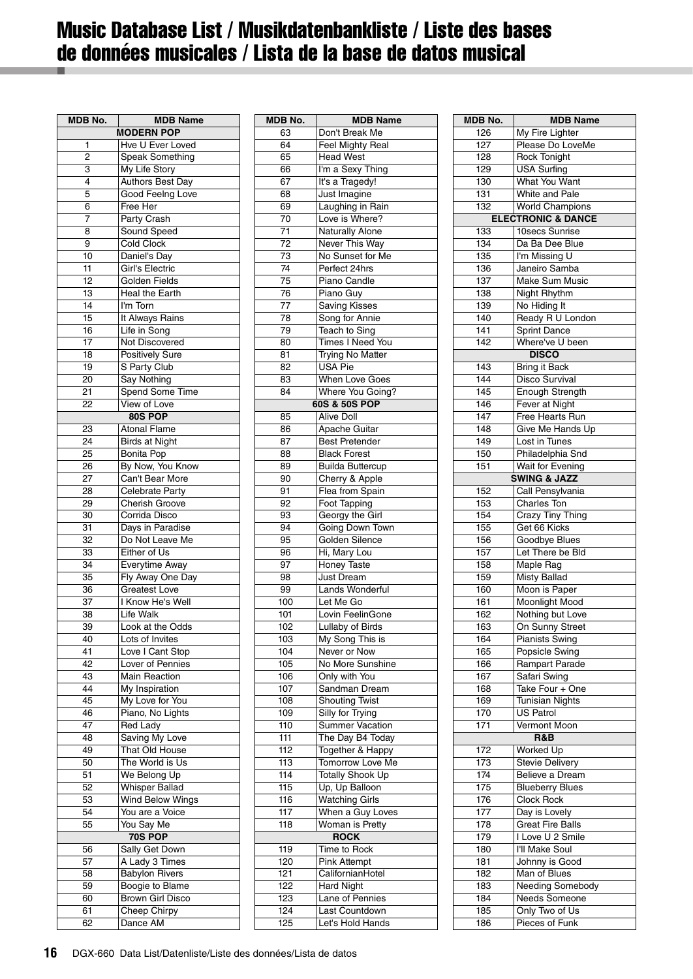# <span id="page-15-0"></span>Music Database List / Musikdatenbankliste / Liste des bases de données musicales / Lista de la base de datos musical

| MDB No.         | MDB Name                |
|-----------------|-------------------------|
|                 | <b>MODERN POP</b>       |
| 1               | Hve U Ever Loved        |
| 2               | Speak Something         |
| 3               | My Life Story           |
| 4               | Authors Best Day        |
| 5               | Good Feelng Love        |
| 6               | Free Her                |
| 7               | Party Crash             |
| 8               | Sound Speed             |
| 9               | Cold Clock              |
| 10              | Daniel's Day            |
| 11              | Girl's Electric         |
| 12              | Golden Fields           |
| 13              | Heal the Earth          |
| 14              | I'm Torn                |
| 15              | It Always Rains         |
| 16              | Life in Song            |
| 17              | Not Discovered          |
| 18              | <b>Positively Sure</b>  |
| 19              | S Party Club            |
| 20              | Say Nothing             |
| 21              | Spend Some Time         |
| 22              | View of Love            |
|                 | 80S POP                 |
| 23              | <b>Atonal Flame</b>     |
| 24              | <b>Birds at Night</b>   |
| 25              | <b>Bonita Pop</b>       |
| 26              | By Now, You Know        |
| 27              | Can't Bear More         |
| 28              | Celebrate Party         |
| 29              | Cherish Groove          |
| 30              | Corrida Disco           |
| 31              | Days in Paradise        |
| 32              | Do Not Leave Me         |
| 33              | Either of Us            |
| 34              | Everytime Away          |
| 35              | Fly Away One Day        |
| 36              | <b>Greatest Love</b>    |
| 37              | I Know He's Well        |
| 38              | Life Walk               |
| 39              | Look at the Odds        |
| 40              | Lots of Invites         |
| 41              | Love I Cant Stop        |
| 42              | Lover of Pennies        |
| $4\overline{3}$ | <b>Main Reaction</b>    |
| 44              | My Inspiration          |
| 45              | My Love for You         |
| 46              | Piano, No Lights        |
| 47              | <b>Red Lady</b>         |
| 48              | Saving My Love          |
| 49              | That Old House          |
| 50              | The World is Us         |
| 51              | We Belong Up            |
| 52              | <b>Whisper Ballad</b>   |
| 53              | <b>Wind Below Wings</b> |
| 54              | You are a Voice         |
| 55              | You Say Me              |
|                 | 70S POP                 |
| 56              | Sally Get Down          |
| 57              | A Lady 3 Times          |
| 58              | <b>Babylon Rivers</b>   |
| 59              | Boogie to Blame         |
| 60              | <b>Brown Girl Disco</b> |
| 61              | Cheep Chirpy            |
| 62              | Dance AM                |

| <b>MDB No.</b>   | <b>MDB Name</b>         |
|------------------|-------------------------|
| 63               | Don't Break Me          |
| 64               | <b>Feel Mighty Real</b> |
| 65               | <b>Head West</b>        |
| 66               | I'm a Sexy Thing        |
| 67               | It's a Tragedy!         |
| 68               | Just Imagine            |
| 69               | Laughing in Rain        |
| 70               | Love is Where?          |
| 71               | <b>Naturally Alone</b>  |
| 72               | Never This Way          |
| 73               | No Sunset for Me        |
| 74               | Perfect 24hrs           |
| 75               |                         |
|                  | Piano Candle            |
| 76               | Piano Guy               |
| 77               | <b>Saving Kisses</b>    |
| 78               | Song for Annie          |
| 79               | Teach to Sing           |
| 80               | Times I Need You        |
| 81               | <b>Trying No Matter</b> |
| 82               | USA Pie                 |
| 83               | When Love Goes          |
| 84               | Where You Going?        |
|                  | 60S & 50S POP           |
| 85               | <b>Alive Doll</b>       |
| 86               | Apache Guitar           |
| 87               | <b>Best Pretender</b>   |
| 88               | <b>Black Forest</b>     |
| 89               | <b>Builda Buttercup</b> |
| 90               | Cherry & Apple          |
| 91               | Flea from Spain         |
| 92               | Foot Tapping            |
| 93               | Georgy the Girl         |
| 94               | Going Down Town         |
| 95               | Golden Silence          |
| 96               | Hi, Mary Lou            |
| 97               | Honey Taste             |
| 98               | Just Dream              |
| 99               | Lands Wonderful         |
| 100              | Let Me Go               |
| 101              | Lovin FeelinGone        |
| 102              | Lullaby of Birds        |
| 103              | My Song This is         |
| 104              | Never or Now            |
| 105              | No More Sunshine        |
| 106              | Only with You           |
| 107              | Sandman Dream           |
| 108              | <b>Shouting Twist</b>   |
| າບອ              | Silly for Tryıng        |
| 110              | <b>Summer Vacation</b>  |
| 111              | The Day B4 Today        |
| 112              | Together & Happy        |
| 113              | Tomorrow Love Me        |
| 114              | <b>Totally Shook Up</b> |
|                  |                         |
| 115              | Up, Up Balloon          |
| 116              | <b>Watching Girls</b>   |
| 117              | When a Guy Loves        |
| 118              | Woman is Pretty         |
|                  | <b>ROCK</b>             |
| 119              | Time to Rock            |
| $\overline{120}$ | <b>Pink Attempt</b>     |
| 121              | CalifornianHotel        |
| 122              | <b>Hard Night</b>       |
| 123              | Lane of Pennies         |
| 124              | Last Countdown          |
| 125              | Let's Hold Hands        |

| <b>MDB No.</b> | <b>MDB Name</b>               |
|----------------|-------------------------------|
| 126            | My Fire Lighter               |
| 127            | Please Do LoveMe              |
| 128            | <b>Rock Tonight</b>           |
| 129            | <b>USA Surfing</b>            |
| 130            | What You Want                 |
| 131            | White and Pale                |
| 132            | <b>World Champions</b>        |
|                | <b>ELECTRONIC &amp; DANCE</b> |
|                |                               |
| 133            | 10secs Sunrise                |
| 134            | Da Ba Dee Blue                |
| 135            | I'm Missing U                 |
| 136            | Janeiro Samba                 |
| 137            | <b>Make Sum Music</b>         |
| 138            | Night Rhythm                  |
| 139            | No Hiding It                  |
| 140            | Ready R U London              |
| 141            | <b>Sprint Dance</b>           |
| 142            | Where've U been               |
|                | <b>DISCO</b>                  |
|                |                               |
| 143            | <b>Bring it Back</b>          |
| 144            | <b>Disco Survival</b>         |
| 145            | <b>Enough Strength</b>        |
| 146            | Fever at Night                |
| 147            | Free Hearts Run               |
| 148            | Give Me Hands Up              |
| 149            | Lost in Tunes                 |
| 150            | Philadelphia Snd              |
| 151            | Wait for Evening              |
|                | <b>SWING &amp; JAZZ</b>       |
|                |                               |
| 152            | Call Pensylvania              |
| 153            | Charles Ton                   |
| 154            | Crazy Tiny Thing              |
| 155            | Get 66 Kicks                  |
| 156            | Goodbye Blues                 |
| 157            | Let There be Bld              |
| 158            | Maple Rag                     |
| 159            | Misty Ballad                  |
| 160            | Moon is Paper                 |
| 161            | <b>Moonlight Mood</b>         |
| 162            | Nothing but Love              |
| 163            | On Sunny Street               |
| 164            | <b>Pianists Swing</b>         |
| 165            | <b>Popsicle Swing</b>         |
| 166            | Rampart Parade                |
| 167            | Safari Swing                  |
|                |                               |
| 168            | Take Four + One               |
| 169            | <b>Tunisian Nights</b>        |
| 170            | US Patrol                     |
| 171            | Vermont Moon                  |
|                | R&B                           |
| 172            | Worked Up                     |
| 173            | <b>Stevie Delivery</b>        |
| 174            | Believe a Dream               |
| 175            | <b>Blueberry Blues</b>        |
| 176            | Clock Rock                    |
| 177            | Day is Lovely                 |
|                |                               |
| 178            | <b>Great Fire Balls</b>       |
| 179            | I Love U 2 Smile              |
| 180            | I'll Make Soul                |
| 181            | Johnny is Good                |
| 182            | Man of Blues                  |
| 183            | Needing Somebody              |
| 184            | Needs Someone                 |
| 185            | Only Two of Us                |
| 186            | Pieces of Funk                |
|                |                               |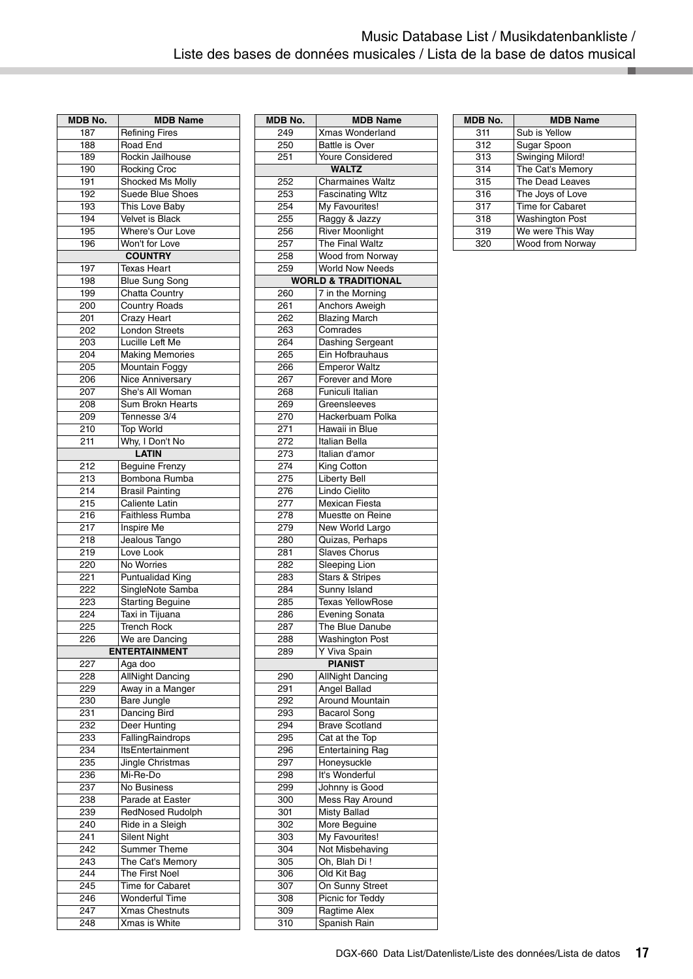| MDB No.    | <b>MDB Name</b>                         |
|------------|-----------------------------------------|
| 187        | <b>Refining Fires</b>                   |
| 188        | Road End                                |
| 189        | Rockin Jailhouse                        |
| 190        | Rocking Croc                            |
| 191        | Shocked Ms Molly                        |
| 192        | <b>Suede Blue Shoes</b>                 |
| 193        | This Love Baby                          |
| 194        | Velvet is Black                         |
| 195        | Where's Our Love                        |
| 196        | Won't for Love                          |
|            | <b>COUNTRY</b>                          |
| 197        | <b>Texas Heart</b>                      |
| 198<br>199 | <b>Blue Sung Song</b><br>Chatta Country |
| 200        | <b>Country Roads</b>                    |
| 201        | <b>Crazy Heart</b>                      |
| 202        | <b>London Streets</b>                   |
| 203        | Lucille Left Me                         |
| 204        | <b>Making Memories</b>                  |
| 205        | Mountain Foggy                          |
| 206        | Nice Anniversary                        |
| 207        | She's All Woman                         |
| 208        | Sum Brokn Hearts                        |
| 209        | Tennesse 3/4                            |
| 210        | Top World                               |
| 211        | Why, I Don't No                         |
|            | <b>LATIN</b>                            |
| 212        | <b>Beguine Frenzy</b>                   |
| 213        | Bombona Rumba                           |
| 214        | <b>Brasil Painting</b>                  |
| 215        | Caliente Latin                          |
| 216        | Faithless Rumba                         |
| 217        | Inspire Me                              |
| 218        | Jealous Tango                           |
| 219        | Love Look                               |
| 220        | No Worries                              |
| 221        | Puntualidad King                        |
| 222        | SingleNote Samba                        |
| 223<br>224 | <b>Starting Beguine</b>                 |
|            | Taxi in Tijuana                         |
| 225        | <b>Trench Rock</b>                      |
| 226        | We are Dancing<br><b>ENTERTAINMENT</b>  |
| 227        | Aga doo                                 |
| 228        | <b>AllNight Dancing</b>                 |
| 229        | Away in a Manger                        |
| 230        | Bare Jungle                             |
| 231        | Dancing Bird                            |
| 232        | Deer Hunting                            |
| 233        | FallingRaindrops                        |
| 234        | ItsEntertainment                        |
| 235        | Jingle Christmas                        |
| 236        | Mi-Re-Do                                |
| 237        | No Business                             |
| 238        | Parade at Easter                        |
| 239        | <b>RedNosed Rudolph</b>                 |
| 240        | Ride in a Sleigh                        |
| 241        | Silent Night                            |
| 242        | Summer Theme                            |
| 243        | The Cat's Memory                        |
| 244        | The First Noel                          |
| 245        | Time for Cabaret                        |
| 246        | <b>Wonderful Time</b>                   |
| 247        | <b>Xmas Chestnuts</b>                   |
| 248        | Xmas is White                           |

| <b>MDB No.</b>    | <b>MDB Name</b>                         |
|-------------------|-----------------------------------------|
| 249               | Xmas Wonderland                         |
| 250               | <b>Battle is Over</b>                   |
| 251               | <b>Youre Considered</b>                 |
|                   | <b>WALTZ</b>                            |
| 252               | <b>Charmaines Waltz</b>                 |
| 253               | <b>Fascinating WItz</b>                 |
| 254               | My Favourites!                          |
| 255               | Raggy & Jazzy                           |
| 256               | <b>River Moonlight</b>                  |
| 257               | The Final Waltz                         |
| 258               | <b>Wood from Norway</b>                 |
| 259               | <b>World Now Needs</b>                  |
|                   | <b>WORLD &amp; TRADITIONAL</b>          |
| 260               | 7 in the Morning                        |
| 261               | Anchors Aweigh                          |
| 262               | <b>Blazing March</b>                    |
| 263               | Comrades                                |
| 264               | Dashing Sergeant                        |
| 265               | Ein Hofbrauhaus                         |
| 266               | <b>Emperor Waltz</b>                    |
| 267               | Forever and More<br>Funiculi Italian    |
| 268<br>269        | Greensleeves                            |
| 270               | Hackerbuam Polka                        |
| 271               | Hawaii in Blue                          |
| 272               | Italian Bella                           |
| 273               | Italian d'amor                          |
| 274               | King Cotton                             |
| $\overline{2}$ 75 | <b>Liberty Bell</b>                     |
| 276               | Lindo Cielito                           |
| 277               | Mexican Fiesta                          |
| 278               | Muestte on Reine                        |
| 279               | New World Largo                         |
| 280               | Quizas, Perhaps                         |
| 281               | <b>Slaves Chorus</b>                    |
| 282               | <b>Sleeping Lion</b>                    |
| 283               | <b>Stars &amp; Stripes</b>              |
| 284               | Sunny Island<br><b>Texas YellowRose</b> |
| 285<br>286        | <b>Evening Sonata</b>                   |
| 287               | The Blue Danube                         |
| 288               | <b>Washington Post</b>                  |
| 289               | Y Viva Spain                            |
|                   | <b>PIANIST</b>                          |
| 290               | <b>AllNight Dancing</b>                 |
| 291               | Angel Ballad                            |
| 292               | <b>Around Mountain</b>                  |
| 293               | Bacarol Song                            |
| 294               | <b>Brave Scotland</b>                   |
| 295               | Cat at the Top                          |
| 296               | <b>Entertaining Rag</b>                 |
| 297               | Honeysuckle                             |
| 298               | It's Wonderful                          |
| 299               | Johnny is Good                          |
| 300               | Mess Ray Around                         |
| 301               | <b>Misty Ballad</b>                     |
| 302               | More Beguine                            |
| 303<br>304        | My Favourites!<br>Not Misbehaving       |
| 305               | Oh, Blah Di!                            |
| 306               | Old Kit Bag                             |
| 307               | On Sunny Street                         |
| 308               | Picnic for Teddy                        |
| 309               | Ragtime Alex                            |
| 310               | Spanish Rain                            |

| <b>MDB No.</b> | <b>MDB Name</b>         |
|----------------|-------------------------|
| 311            | Sub is Yellow           |
| 312            | Sugar Spoon             |
| 313            | <b>Swinging Milord!</b> |
| 314            | The Cat's Memory        |
| 315            | The Dead Leaves         |
| 316            | The Joys of Love        |
| 317            | Time for Cabaret        |
| 318            | <b>Washington Post</b>  |
| 319            | We were This Way        |
| 320            | Wood from Norway        |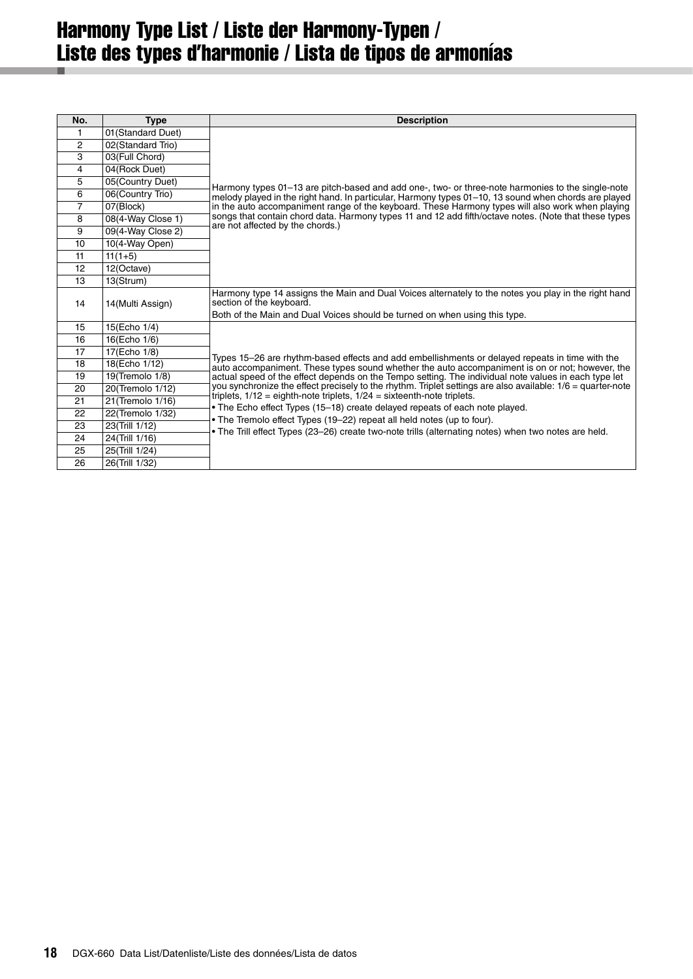# <span id="page-17-0"></span>Harmony Type List / Liste der Harmony-Typen / Liste des types d'harmonie / Lista de tipos de armonías

| No.            | <b>Type</b>        | <b>Description</b>                                                                                                                                                                                             |
|----------------|--------------------|----------------------------------------------------------------------------------------------------------------------------------------------------------------------------------------------------------------|
| 1              | 01 (Standard Duet) |                                                                                                                                                                                                                |
| 2              | 02(Standard Trio)  |                                                                                                                                                                                                                |
| 3              | 03(Full Chord)     |                                                                                                                                                                                                                |
| 4              | 04(Rock Duet)      |                                                                                                                                                                                                                |
| 5              | 05(Country Duet)   | Harmony types 01–13 are pitch-based and add one-, two- or three-note harmonies to the single-note                                                                                                              |
| 6              | 06(Country Trio)   | melody played in the right hand. In particular, Harmony types 01-10, 13 sound when chords are played                                                                                                           |
| $\overline{7}$ | 07(Block)          | in the auto accompaniment range of the keyboard. These Harmony types will also work when playing                                                                                                               |
| 8              | 08(4-Way Close 1)  | songs that contain chord data. Harmony types 11 and 12 add fifth/octave notes. (Note that these types<br>are not affected by the chords.)                                                                      |
| 9              | 09(4-Way Close 2)  |                                                                                                                                                                                                                |
| 10             | 10(4-Way Open)     |                                                                                                                                                                                                                |
| 11             | $11(1+5)$          |                                                                                                                                                                                                                |
| 12             | 12(Octave)         |                                                                                                                                                                                                                |
| 13             | 13(Strum)          |                                                                                                                                                                                                                |
| 14             | 14(Multi Assign)   | Harmony type 14 assigns the Main and Dual Voices alternately to the notes you play in the right hand<br>section of the keyboard.<br>Both of the Main and Dual Voices should be turned on when using this type. |
| 15             | 15(Echo 1/4)       |                                                                                                                                                                                                                |
| 16             | 16(Echo 1/6)       |                                                                                                                                                                                                                |
| 17             | 17(Echo 1/8)       |                                                                                                                                                                                                                |
| 18             | 18(Echo 1/12)      | Types 15–26 are rhythm-based effects and add embellishments or delayed repeats in time with the                                                                                                                |
| 19             | 19(Tremolo 1/8)    | auto accompaniment. These types sound whether the auto accompaniment is on or not; however, the<br>actual speed of the effect depends on the Tempo setting. The individual note values in each type let        |
| 20             | 20(Tremolo 1/12)   | you synchronize the effect precisely to the rhythm. Triplet settings are also available: 1/6 = quarter-note                                                                                                    |
| 21             | 21(Tremolo 1/16)   | triplets, $1/12$ = eighth-note triplets, $1/24$ = sixteenth-note triplets.                                                                                                                                     |
| 22             | 22(Tremolo 1/32)   | . The Echo effect Types (15-18) create delayed repeats of each note played.                                                                                                                                    |
| 23             | 23(Trill 1/12)     | • The Tremolo effect Types (19–22) repeat all held notes (up to four).                                                                                                                                         |
| 24             | 24(Trill 1/16)     | • The Trill effect Types (23–26) create two-note trills (alternating notes) when two notes are held.                                                                                                           |
| 25             | 25(Trill 1/24)     |                                                                                                                                                                                                                |
| 26             | 26(Trill 1/32)     |                                                                                                                                                                                                                |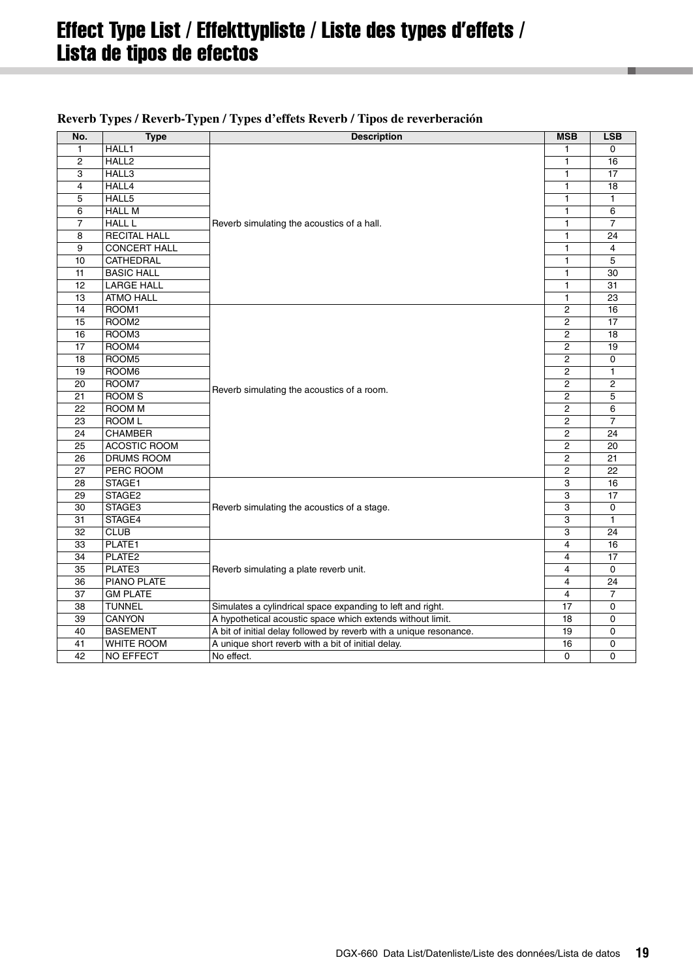# <span id="page-18-0"></span>Effect Type List / Effekttypliste / Liste des types d'effets / Lista de tipos de efectos

| No.             | <b>Type</b>         | <b>Description</b>                                                 | <b>MSB</b>     | <b>LSB</b>      |
|-----------------|---------------------|--------------------------------------------------------------------|----------------|-----------------|
| 1               | HALL1               |                                                                    |                | 0               |
| $\overline{2}$  | HALL <sub>2</sub>   |                                                                    | 1              | 16              |
| 3               | HALL3               |                                                                    | 1              | 17              |
| $\overline{4}$  | HALL4               |                                                                    | $\mathbf{1}$   | 18              |
| 5               | HALL5               |                                                                    | 1              | 1               |
| 6               | <b>HALL M</b>       |                                                                    | $\mathbf{1}$   | 6               |
| $\overline{7}$  | <b>HALL L</b>       | Reverb simulating the acoustics of a hall.                         | 1              | $\overline{7}$  |
| 8               | <b>RECITAL HALL</b> |                                                                    | 1              | 24              |
| 9               | <b>CONCERT HALL</b> |                                                                    | 1              | 4               |
| 10              | <b>CATHEDRAL</b>    |                                                                    | $\mathbf{1}$   | 5               |
| 11              | <b>BASIC HALL</b>   |                                                                    | 1              | 30              |
| 12              | <b>LARGE HALL</b>   |                                                                    | $\mathbf{1}$   | 31              |
| 13              | <b>ATMO HALL</b>    |                                                                    | 1              | 23              |
| 14              | ROOM1               |                                                                    | $\overline{c}$ | 16              |
| 15              | ROOM <sub>2</sub>   |                                                                    | $\overline{c}$ | 17              |
| 16              | ROOM3               |                                                                    | $\overline{c}$ | 18              |
| 17              | ROOM4               |                                                                    | 2              | 19              |
| 18              | ROOM <sub>5</sub>   |                                                                    | $\overline{c}$ | 0               |
| 19              | ROOM6               |                                                                    | $\overline{2}$ | $\mathbf{1}$    |
| 20              | ROOM7               | Reverb simulating the acoustics of a room.                         | $\overline{2}$ | $\overline{2}$  |
| 21              | ROOM <sub>S</sub>   |                                                                    | 2              | 5               |
| 22              | <b>ROOM M</b>       |                                                                    | $\overline{c}$ | 6               |
| 23              | <b>ROOM L</b>       |                                                                    | $\overline{2}$ | $\overline{7}$  |
| 24              | <b>CHAMBER</b>      |                                                                    | $\overline{c}$ | $\overline{24}$ |
| 25              | ACOSTIC ROOM        |                                                                    | 2              | 20              |
| 26              | <b>DRUMS ROOM</b>   |                                                                    | $\overline{c}$ | 21              |
| 27              | PERC ROOM           |                                                                    | 2              | 22              |
| 28              | STAGE1              |                                                                    | 3              | 16              |
| 29              | STAGE2              |                                                                    | 3              | 17              |
| 30              | STAGE3              | Reverb simulating the acoustics of a stage.                        | 3              | $\Omega$        |
| 31              | STAGE4              |                                                                    | 3              | $\mathbf{1}$    |
| 32              | <b>CLUB</b>         |                                                                    | 3              | 24              |
| 33              | PLATE1              |                                                                    | $\overline{4}$ | 16              |
| 34              | PLATE <sub>2</sub>  |                                                                    | 4              | 17              |
| 35              | PLATE3              | Reverb simulating a plate reverb unit.                             | 4              | 0               |
| 36              | <b>PIANO PLATE</b>  |                                                                    | $\overline{4}$ | 24              |
| $\overline{37}$ | <b>GM PLATE</b>     |                                                                    | $\overline{4}$ | $\overline{7}$  |
| 38              | <b>TUNNEL</b>       | Simulates a cylindrical space expanding to left and right.         | 17             | 0               |
| 39              | <b>CANYON</b>       | A hypothetical acoustic space which extends without limit.         | 18             | 0               |
| 40              | <b>BASEMENT</b>     | A bit of initial delay followed by reverb with a unique resonance. | 19             | $\pmb{0}$       |
| 41              | <b>WHITE ROOM</b>   | A unique short reverb with a bit of initial delay.                 | 16             | 0               |
| 42              | <b>NO EFFECT</b>    | No effect.                                                         | $\Omega$       | 0               |

### **Reverb Types / Reverb-Typen / Types d'effets Reverb / Tipos de reverberación**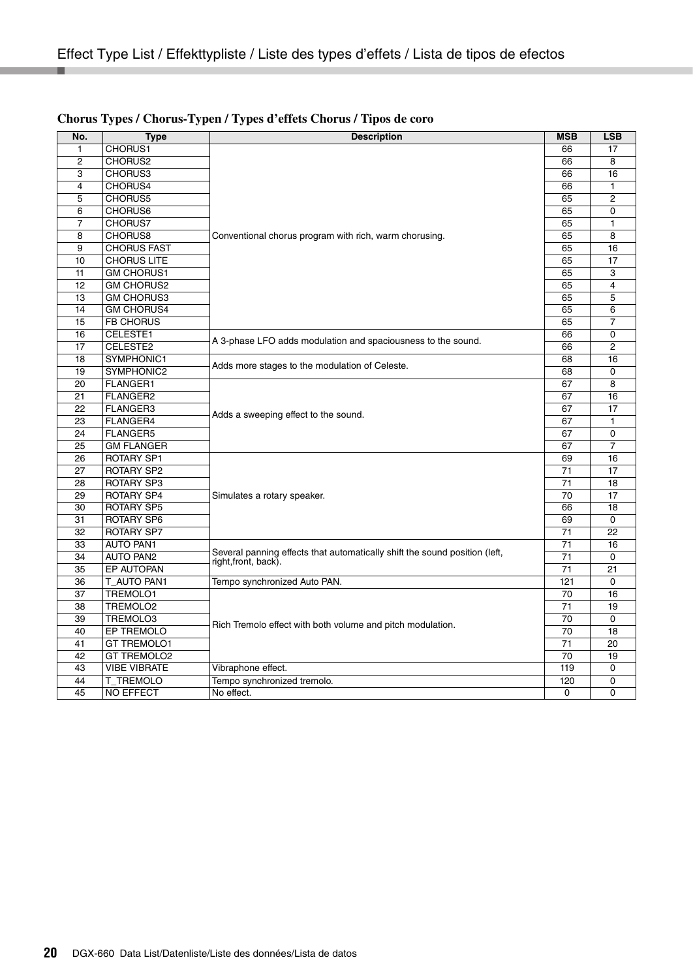| No.            | <b>Type</b>         | <b>Description</b>                                                         | <b>MSB</b> | <b>LSB</b>     |
|----------------|---------------------|----------------------------------------------------------------------------|------------|----------------|
| $\mathbf{1}$   | CHORUS1             |                                                                            | 66         | 17             |
| $\overline{2}$ | CHORUS2             |                                                                            | 66         | 8              |
| 3              | CHORUS3             |                                                                            | 66         | 16             |
| 4              | CHORUS4             |                                                                            | 66         | 1              |
| 5              | CHORUS5             |                                                                            | 65         | $\overline{2}$ |
| 6              | CHORUS6             |                                                                            | 65         | 0              |
| 7              | CHORUS7             |                                                                            | 65         | 1              |
| 8              | CHORUS8             | Conventional chorus program with rich, warm chorusing.                     | 65         | 8              |
| 9              | <b>CHORUS FAST</b>  |                                                                            | 65         | 16             |
| 10             | <b>CHORUS LITE</b>  |                                                                            | 65         | 17             |
| 11             | <b>GM CHORUS1</b>   |                                                                            | 65         | 3              |
| 12             | <b>GM CHORUS2</b>   |                                                                            | 65         | $\overline{4}$ |
| 13             | <b>GM CHORUS3</b>   |                                                                            | 65         | 5              |
| 14             | <b>GM CHORUS4</b>   |                                                                            | 65         | 6              |
| 15             | <b>FB CHORUS</b>    |                                                                            | 65         | 7              |
| 16             | CELESTE1            | A 3-phase LFO adds modulation and spaciousness to the sound.               | 66         | 0              |
| 17             | CELESTE2            |                                                                            | 66         | $\overline{2}$ |
| 18             | SYMPHONIC1          | Adds more stages to the modulation of Celeste.                             | 68         | 16             |
| 19             | SYMPHONIC2          |                                                                            | 68         | $\Omega$       |
| 20             | <b>FLANGER1</b>     |                                                                            | 67         | 8              |
| 21             | FLANGER2            |                                                                            | 67         | 16             |
| 22             | <b>FLANGER3</b>     | Adds a sweeping effect to the sound.                                       | 67         | 17             |
| 23             | FLANGER4            |                                                                            | 67         | 1              |
| 24             | <b>FLANGER5</b>     |                                                                            | 67         | $\Omega$       |
| 25             | <b>GM FLANGER</b>   |                                                                            | 67         | $\overline{7}$ |
| 26             | <b>ROTARY SP1</b>   |                                                                            | 69         | 16             |
| 27             | <b>ROTARY SP2</b>   |                                                                            | 71         | 17             |
| 28             | ROTARY SP3          |                                                                            | 71         | 18             |
| 29             | ROTARY SP4          | Simulates a rotary speaker.                                                | 70         | 17             |
| 30             | <b>ROTARY SP5</b>   |                                                                            | 66         | 18             |
| 31             | ROTARY SP6          |                                                                            | 69         | 0              |
| 32             | ROTARY SP7          |                                                                            | 71         | 22             |
| 33             | <b>AUTO PAN1</b>    | Several panning effects that automatically shift the sound position (left, | 71         | 16             |
| 34             | AUTO PAN2           | right, front, back).                                                       | 71         | 0              |
| 35             | EP AUTOPAN          |                                                                            | 71         | 21             |
| 36             | T AUTO PAN1         | Tempo synchronized Auto PAN.                                               | 121        | 0              |
| 37             | TREMOLO1            |                                                                            | 70         | 16             |
| 38             | TREMOLO2            |                                                                            | 71         | 19             |
| 39             | TREMOLO3            | Rich Tremolo effect with both volume and pitch modulation.                 | 70         | 0              |
| 40             | EP TREMOLO          |                                                                            | 70         | 18             |
| 41             | <b>GT TREMOLO1</b>  |                                                                            | 71         | 20             |
| 42             | <b>GT TREMOLO2</b>  |                                                                            | 70         | 19             |
| 43             | <b>VIBE VIBRATE</b> | Vibraphone effect.                                                         | 119        | 0              |
| 44             | T TREMOLO           | Tempo synchronized tremolo.                                                | 120        | 0              |
| 45             | <b>NO EFFECT</b>    | No effect.                                                                 | $\Omega$   | $\Omega$       |

#### **Chorus Types / Chorus-Typen / Types d'effets Chorus / Tipos de coro**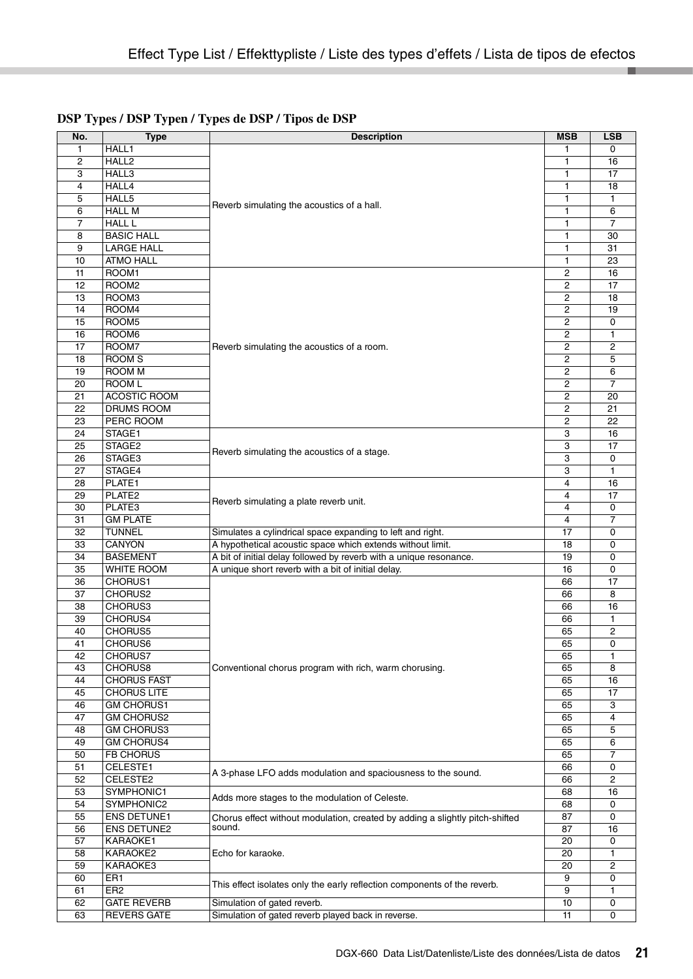| No.            | <b>Type</b>         | <b>Description</b>                                                           | <b>MSB</b>     | <b>LSB</b>     |
|----------------|---------------------|------------------------------------------------------------------------------|----------------|----------------|
| $\mathbf{1}$   | HALL1               |                                                                              |                | 0              |
| $\overline{c}$ | HALL2               |                                                                              | 1              | 16             |
| 3              | HALL3               |                                                                              | 1              | 17             |
| 4              | HALL4               |                                                                              | 1              | 18             |
| 5              | HALL5               |                                                                              | 1              | 1              |
| 6              | <b>HALL M</b>       | Reverb simulating the acoustics of a hall.                                   | 1              | 6              |
| $\overline{7}$ | <b>HALL L</b>       |                                                                              | 1              | 7              |
| 8              | <b>BASIC HALL</b>   |                                                                              | 1              | 30             |
| 9              | <b>LARGE HALL</b>   |                                                                              | 1              | 31             |
| 10             | <b>ATMO HALL</b>    |                                                                              | 1              | 23             |
| 11             | ROOM1               |                                                                              | 2              | 16             |
| 12             | ROOM <sub>2</sub>   |                                                                              | 2              | 17             |
| 13             | ROOM3               |                                                                              | 2              | 18             |
| 14             | ROOM4               |                                                                              | $\overline{2}$ | 19             |
| 15             | ROOM <sub>5</sub>   |                                                                              | 2              | 0              |
| 16             | ROOM6               |                                                                              | $\overline{2}$ | 1              |
| 17             | ROOM7               | Reverb simulating the acoustics of a room.                                   | 2              | $\overline{c}$ |
| 18             | <b>ROOM S</b>       |                                                                              | $\overline{2}$ | 5              |
| 19             | ROOM M              |                                                                              | $\overline{c}$ | 6              |
| 20             | ROOM L              |                                                                              | 2              | $\overline{7}$ |
| 21             | <b>ACOSTIC ROOM</b> |                                                                              | 2              | 20             |
| 22             | DRUMS ROOM          |                                                                              | 2              | 21             |
| 23             | PERC ROOM           |                                                                              | 2              | 22             |
| 24             | STAGE1              |                                                                              | 3              | 16             |
| 25             | STAGE2              | Reverb simulating the acoustics of a stage.                                  | 3              | 17             |
| 26             | STAGE3              |                                                                              | 3              | 0              |
| 27             | STAGE4              |                                                                              | 3              | 1              |
| 28             | PLATE1              |                                                                              | 4              | 16             |
| 29             | PLATE <sub>2</sub>  | Reverb simulating a plate reverb unit.                                       | 4              | 17             |
| 30             | PLATE3              |                                                                              | 4              | 0              |
| 31             | <b>GM PLATE</b>     |                                                                              | 4              | 7              |
| 32             | <b>TUNNEL</b>       | Simulates a cylindrical space expanding to left and right.                   | 17             | 0              |
| 33             | CANYON              | A hypothetical acoustic space which extends without limit.                   | 18             | 0              |
| 34             | <b>BASEMENT</b>     | A bit of initial delay followed by reverb with a unique resonance.           | 19             | 0              |
| 35             | WHITE ROOM          | A unique short reverb with a bit of initial delay.                           | 16             | 0              |
| 36             | CHORUS1             |                                                                              | 66             | 17             |
| 37             | CHORUS2             |                                                                              | 66             | 8              |
| 38             | CHORUS3<br>CHORUS4  |                                                                              | 66             | 16             |
| 39<br>40       |                     |                                                                              | 66             | 1              |
| 41             | CHORUS5<br>CHORUS6  |                                                                              | 65<br>65       | 2<br>0         |
| 42             | CHORUS7             |                                                                              | 65             | 1              |
| 43             | CHORUS8             | Conventional chorus program with rich, warm chorusing.                       | 65             | 8              |
| 44             | <b>CHORUS FAST</b>  |                                                                              | 65             | 16             |
| 45             | <b>CHORUS LITE</b>  |                                                                              | 65             | 17             |
| 46             | <b>GM CHORUS1</b>   |                                                                              | 65             | 3              |
| 47             | <b>GM CHORUS2</b>   |                                                                              | 65             | 4              |
| 48             | <b>GM CHORUS3</b>   |                                                                              | 65             | 5              |
| 49             | <b>GM CHORUS4</b>   |                                                                              | 65             | 6              |
| 50             | FB CHORUS           |                                                                              | 65             | 7              |
| 51             | CELESTE1            |                                                                              | 66             | 0              |
| 52             | CELESTE2            | A 3-phase LFO adds modulation and spaciousness to the sound.                 | 66             | 2              |
| 53             | SYMPHONIC1          |                                                                              | 68             | 16             |
| 54             | SYMPHONIC2          | Adds more stages to the modulation of Celeste.                               | 68             | 0              |
| 55             | <b>ENS DETUNE1</b>  | Chorus effect without modulation, created by adding a slightly pitch-shifted | 87             | 0              |
| 56             | <b>ENS DETUNE2</b>  | sound.                                                                       | 87             | 16             |
| 57             | KARAOKE1            |                                                                              | 20             | 0              |
| 58             | KARAOKE2            | Echo for karaoke.                                                            | 20             | 1              |
| 59             | KARAOKE3            |                                                                              | 20             | 2              |
| 60             | ER1                 |                                                                              | 9              | 0              |
| 61             | ER <sub>2</sub>     | This effect isolates only the early reflection components of the reverb.     | 9              | 1              |
| 62             | <b>GATE REVERB</b>  | Simulation of gated reverb.                                                  | 10             | 0              |
| 63             | <b>REVERS GATE</b>  | Simulation of gated reverb played back in reverse.                           | 11             | 0              |

### **DSP Types / DSP Typen / Types de DSP / Tipos de DSP**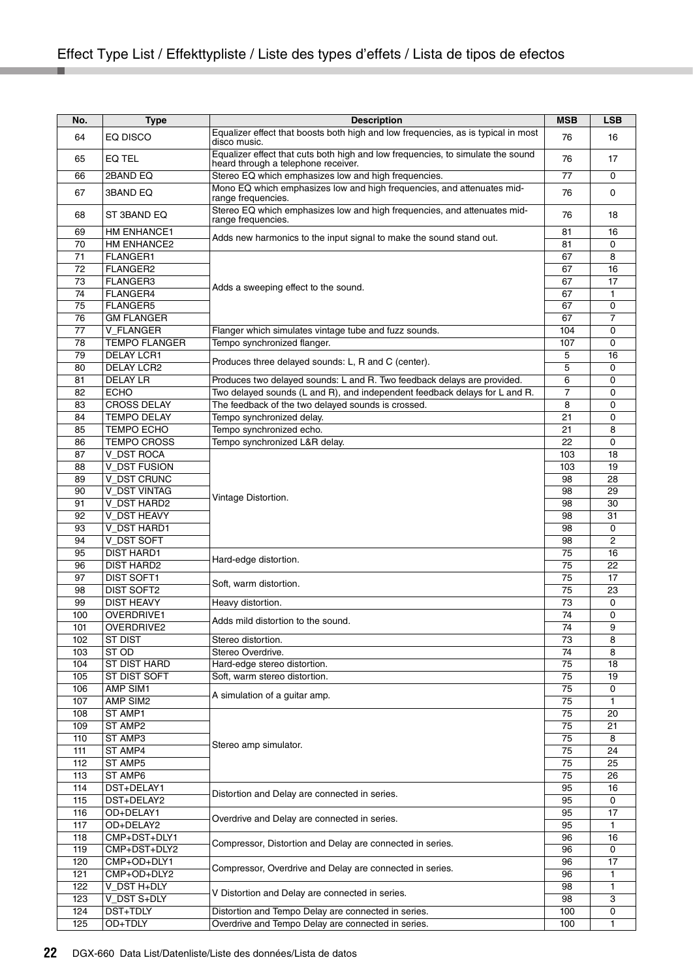| No.        | <b>Type</b>              | <b>Description</b>                                                                             | <b>MSB</b> | <b>LSB</b>          |
|------------|--------------------------|------------------------------------------------------------------------------------------------|------------|---------------------|
|            |                          | Equalizer effect that boosts both high and low frequencies, as is typical in most              |            |                     |
| 64         | EQ DISCO                 | disco music.                                                                                   | 76         | 16                  |
| 65         | EQ TEL                   | Equalizer effect that cuts both high and low frequencies, to simulate the sound                | 76         | 17                  |
|            |                          | heard through a telephone receiver.                                                            |            |                     |
| 66         | 2BAND EQ                 | Stereo EQ which emphasizes low and high frequencies.                                           | 77         | 0                   |
| 67         | 3BAND EQ                 | Mono EQ which emphasizes low and high frequencies, and attenuates mid-                         | 76         | 0                   |
|            |                          | range frequencies.                                                                             |            |                     |
| 68         | ST 3BAND EQ              | Stereo EQ which emphasizes low and high frequencies, and attenuates mid-<br>range frequencies. | 76         | 18                  |
| 69         | HM ENHANCE1              |                                                                                                | 81         | 16                  |
| 70         | HM ENHANCE2              | Adds new harmonics to the input signal to make the sound stand out.                            | 81         | 0                   |
| 71         | FLANGER1                 |                                                                                                | 67         | 8                   |
| 72         | FLANGER2                 |                                                                                                | 67         | 16                  |
| 73         | FLANGER3                 |                                                                                                | 67         | 17                  |
| 74         | FLANGER4                 | Adds a sweeping effect to the sound.                                                           | 67         | 1                   |
| 75         | <b>FLANGER5</b>          |                                                                                                | 67         | 0                   |
| 76         | <b>GM FLANGER</b>        |                                                                                                | 67         | $\overline{7}$      |
| 77         | <b>V FLANGER</b>         | Flanger which simulates vintage tube and fuzz sounds.                                          | 104        | 0                   |
| 78         | <b>TEMPO FLANGER</b>     | Tempo synchronized flanger.                                                                    | 107        | 0                   |
| 79         | DELAY LCR1               |                                                                                                | 5          | 16                  |
| 80         | <b>DELAY LCR2</b>        | Produces three delayed sounds: L, R and C (center).                                            | 5          | 0                   |
| 81         | <b>DELAY LR</b>          | Produces two delayed sounds: L and R. Two feedback delays are provided.                        | 6          | 0                   |
| 82         | <b>ECHO</b>              | Two delayed sounds (L and R), and independent feedback delays for L and R.                     | 7          | 0                   |
| 83         | <b>CROSS DELAY</b>       | The feedback of the two delayed sounds is crossed.                                             | 8          | 0                   |
| 84         | <b>TEMPO DELAY</b>       | Tempo synchronized delay.                                                                      | 21         | 0                   |
| 85         | <b>TEMPO ECHO</b>        | Tempo synchronized echo.                                                                       | 21         | 8                   |
| 86         | <b>TEMPO CROSS</b>       | Tempo synchronized L&R delay.                                                                  | 22         | $\mathbf 0$         |
| 87         | V DST ROCA               |                                                                                                | 103        | 18                  |
| 88         | <b>V_DST FUSION</b>      |                                                                                                | 103        | 19                  |
| 89         | V DST CRUNC              |                                                                                                | 98         | 28                  |
| 90         | V DST VINTAG             |                                                                                                | 98         | 29                  |
|            | V DST HARD2              | Vintage Distortion.                                                                            | 98         |                     |
| 91<br>92   | V DST HEAVY              |                                                                                                | 98         | 30                  |
|            |                          |                                                                                                |            | 31                  |
| 93<br>94   | V DST HARD1              |                                                                                                | 98         | 0<br>$\overline{2}$ |
|            | V_DST SOFT               |                                                                                                | 98         |                     |
| 95         | <b>DIST HARD1</b>        | Hard-edge distortion.                                                                          | 75         | 16                  |
| 96         | <b>DIST HARD2</b>        |                                                                                                | 75         | 22                  |
| 97<br>98   | DIST SOFT1<br>DIST SOFT2 | Soft, warm distortion.                                                                         | 75<br>75   | 17<br>23            |
| 99         | <b>DIST HEAVY</b>        |                                                                                                | 73         |                     |
|            |                          | Heavy distortion.                                                                              | 74         | 0                   |
| 100        | OVERDRIVE1               | Adds mild distortion to the sound.                                                             | 74         | $\mathbf 0$<br>9    |
| 101        | OVERDRIVE2               |                                                                                                |            |                     |
| 102        | <b>ST DIST</b><br>ST OD  | Stereo distortion.<br>Stereo Overdrive.                                                        | 73         | 8                   |
| 103        |                          |                                                                                                | 74         | 8                   |
| 104        | ST DIST HARD             | Hard-edge stereo distortion.                                                                   | 75         | 18                  |
| 105<br>106 | ST DIST SOFT<br>AMP SIM1 | Soft, warm stereo distortion.                                                                  | 75<br>75   | 19<br>0             |
|            | AMP SIM2                 | A simulation of a guitar amp.                                                                  |            |                     |
| 107        |                          |                                                                                                | 75         | $\mathbf{1}$<br>20  |
| 108        | ST AMP1                  |                                                                                                | 75         |                     |
| 109        | ST AMP2                  |                                                                                                | 75         | 21                  |
| 110        | ST AMP3<br>ST AMP4       | Stereo amp simulator.                                                                          | 75         | 8                   |
| 111<br>112 | ST AMP5                  |                                                                                                | 75         | 24                  |
|            |                          |                                                                                                | 75         | 25                  |
| 113        | ST AMP6                  |                                                                                                | 75         | 26                  |
| 114        | DST+DELAY1               | Distortion and Delay are connected in series.                                                  | 95         | 16                  |
| 115        | DST+DELAY2               |                                                                                                | 95         | 0                   |
| 116        | OD+DELAY1                | Overdrive and Delay are connected in series.                                                   | 95         | 17                  |
| 117        | OD+DELAY2                |                                                                                                | 95         | 1                   |
| 118        | CMP+DST+DLY1             | Compressor, Distortion and Delay are connected in series.                                      | 96         | 16                  |
| 119        | CMP+DST+DLY2             |                                                                                                | 96         | 0                   |
| 120        | CMP+OD+DLY1              | Compressor, Overdrive and Delay are connected in series.                                       | 96         | 17                  |
| 121        | CMP+OD+DLY2              |                                                                                                | 96         | 1                   |
| 122        | V_DST H+DLY              | V Distortion and Delay are connected in series.                                                | 98         | 1                   |
| 123        | V_DST S+DLY              |                                                                                                | 98         | 3                   |
| 124        | DST+TDLY                 | Distortion and Tempo Delay are connected in series.                                            | 100        | 0                   |
| 125        | OD+TDLY                  | Overdrive and Tempo Delay are connected in series.                                             | 100        | 1                   |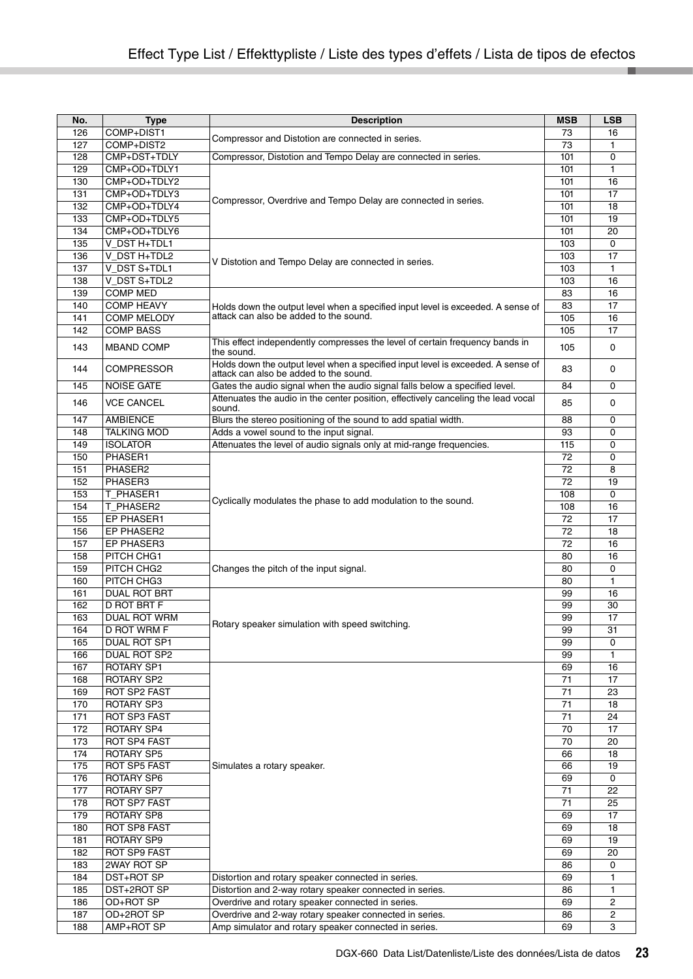| No. | <b>Type</b>        | <b>Description</b>                                                                                                         | <b>MSB</b> | <b>LSB</b> |
|-----|--------------------|----------------------------------------------------------------------------------------------------------------------------|------------|------------|
| 126 | COMP+DIST1         |                                                                                                                            | 73         | 16         |
| 127 | COMP+DIST2         | Compressor and Distotion are connected in series.                                                                          | 73         | 1          |
| 128 | CMP+DST+TDLY       | Compressor, Distotion and Tempo Delay are connected in series.                                                             | 101        | 0          |
| 129 | CMP+OD+TDLY1       |                                                                                                                            | 101        | 1          |
| 130 | CMP+OD+TDLY2       | Compressor, Overdrive and Tempo Delay are connected in series.                                                             | 101        | 16         |
| 131 | CMP+OD+TDLY3       |                                                                                                                            | 101        | 17         |
| 132 | CMP+OD+TDLY4       |                                                                                                                            | 101        | 18         |
| 133 | CMP+OD+TDLY5       |                                                                                                                            | 101        | 19         |
| 134 | CMP+OD+TDLY6       |                                                                                                                            | 101        | 20         |
| 135 | V DST H+TDL1       |                                                                                                                            | 103        | 0          |
| 136 | V DST H+TDL2       |                                                                                                                            | 103        | 17         |
| 137 | V_DST S+TDL1       | V Distotion and Tempo Delay are connected in series.                                                                       | 103        | 1          |
| 138 | V_DST S+TDL2       |                                                                                                                            | 103        | 16         |
| 139 | <b>COMP MED</b>    |                                                                                                                            | 83         | 16         |
| 140 | <b>COMP HEAVY</b>  | Holds down the output level when a specified input level is exceeded. A sense of                                           | 83         | 17         |
| 141 | <b>COMP MELODY</b> | attack can also be added to the sound.                                                                                     | 105        | 16         |
| 142 | <b>COMP BASS</b>   |                                                                                                                            | 105        | 17         |
|     |                    |                                                                                                                            |            |            |
| 143 | MBAND COMP         | This effect independently compresses the level of certain frequency bands in<br>the sound.                                 | 105        | 0          |
| 144 | COMPRESSOR         | Holds down the output level when a specified input level is exceeded. A sense of<br>attack can also be added to the sound. | 83         | 0          |
| 145 | <b>NOISE GATE</b>  | Gates the audio signal when the audio signal falls below a specified level.                                                | 84         | 0          |
| 146 | <b>VCE CANCEL</b>  | Attenuates the audio in the center position, effectively canceling the lead vocal<br>sound.                                | 85         | 0          |
| 147 | <b>AMBIENCE</b>    | Blurs the stereo positioning of the sound to add spatial width.                                                            | 88         | 0          |
| 148 | <b>TALKING MOD</b> | Adds a vowel sound to the input signal.                                                                                    | 93         | 0          |
| 149 | <b>ISOLATOR</b>    | Attenuates the level of audio signals only at mid-range frequencies.                                                       | 115        | 0          |
| 150 | PHASER1            |                                                                                                                            | 72         | 0          |
| 151 | PHASER2            |                                                                                                                            | 72         | 8          |
| 152 | PHASER3            |                                                                                                                            | 72         | 19         |
|     |                    |                                                                                                                            |            | 0          |
| 153 | T_PHASER1          | Cyclically modulates the phase to add modulation to the sound.                                                             | 108        |            |
| 154 | T PHASER2          |                                                                                                                            | 108        | 16         |
| 155 | EP PHASER1         |                                                                                                                            | 72         | 17         |
| 156 | EP PHASER2         |                                                                                                                            | 72         | 18         |
| 157 | EP PHASER3         |                                                                                                                            | 72         | 16         |
| 158 | PITCH CHG1         |                                                                                                                            | 80         | 16         |
| 159 | PITCH CHG2         | Changes the pitch of the input signal.                                                                                     | 80         | 0          |
| 160 | PITCH CHG3         |                                                                                                                            | 80         | 1          |
| 161 | DUAL ROT BRT       |                                                                                                                            | 99         | 16         |
| 162 | D ROT BRT F        |                                                                                                                            | 99         | 30         |
| 163 | DUAL ROT WRM       | Rotary speaker simulation with speed switching.                                                                            | 99         | 17         |
| 164 | D ROT WRM F        |                                                                                                                            | 99         | 31         |
| 165 | DUAL ROT SP1       |                                                                                                                            | 99         | 0          |
| 166 | DUAL ROT SP2       |                                                                                                                            | 99         | 1          |
| 167 | ROTARY SP1         |                                                                                                                            | 69         | 16         |
| 168 | ROTARY SP2         |                                                                                                                            | 71         | 17         |
| 169 | ROT SP2 FAST       |                                                                                                                            | 71         | 23         |
| 170 | ROTARY SP3         |                                                                                                                            | 71         | 18         |
| 171 | ROT SP3 FAST       |                                                                                                                            | 71         | 24         |
| 172 | ROTARY SP4         |                                                                                                                            | 70         | 17         |
| 173 | ROT SP4 FAST       |                                                                                                                            | 70         | 20         |
| 174 | ROTARY SP5         |                                                                                                                            | 66         | 18         |
| 175 | ROT SP5 FAST       | Simulates a rotary speaker.                                                                                                | 66         | 19         |
| 176 | ROTARY SP6         |                                                                                                                            | 69         | 0          |
| 177 | ROTARY SP7         |                                                                                                                            | 71         | 22         |
| 178 | ROT SP7 FAST       |                                                                                                                            | 71         | 25         |
| 179 | ROTARY SP8         |                                                                                                                            | 69         | 17         |
| 180 | ROT SP8 FAST       |                                                                                                                            | 69         | 18         |
| 181 | ROTARY SP9         |                                                                                                                            | 69         | 19         |
| 182 | ROT SP9 FAST       |                                                                                                                            | 69         | 20         |
| 183 | 2WAY ROT SP        |                                                                                                                            | 86         | 0          |
| 184 | DST+ROT SP         | Distortion and rotary speaker connected in series.                                                                         | 69         | 1          |
| 185 | DST+2ROT SP        | Distortion and 2-way rotary speaker connected in series.                                                                   | 86         | 1          |
| 186 | OD+ROT SP          | Overdrive and rotary speaker connected in series.                                                                          | 69         | 2          |
| 187 | OD+2ROT SP         | Overdrive and 2-way rotary speaker connected in series.                                                                    | 86         | 2          |
| 188 | AMP+ROT SP         | Amp simulator and rotary speaker connected in series.                                                                      | 69         | 3          |
|     |                    |                                                                                                                            |            |            |